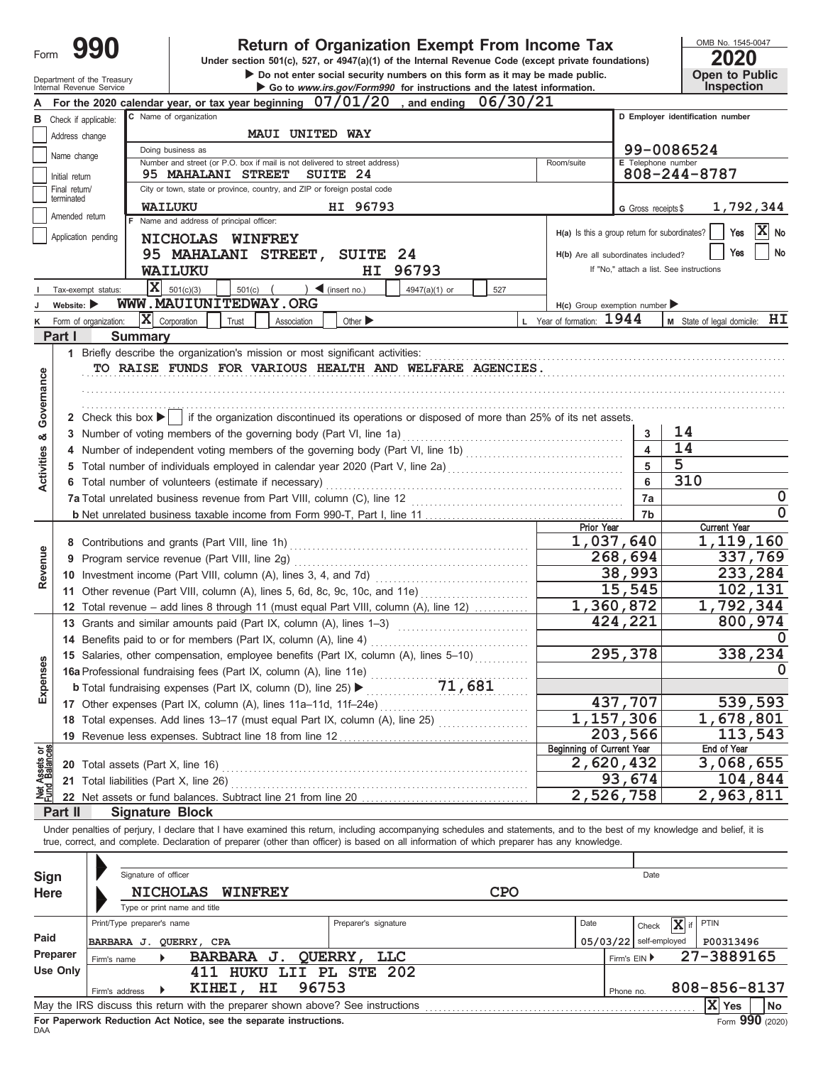| Form                           | 990                            |                                                         | OMB No. 1545-0047<br>2020                                                                                                                                                         |              |                                                 |                              |                                            |
|--------------------------------|--------------------------------|---------------------------------------------------------|-----------------------------------------------------------------------------------------------------------------------------------------------------------------------------------|--------------|-------------------------------------------------|------------------------------|--------------------------------------------|
|                                |                                |                                                         | Under section 501(c), 527, or 4947(a)(1) of the Internal Revenue Code (except private foundations)<br>Do not enter social security numbers on this form as it may be made public. |              |                                                 |                              | Open to Public                             |
|                                |                                | Department of the Treasury<br>Internal Revenue Service  | Go to www.irs.gov/Form990 for instructions and the latest information.                                                                                                            |              |                                                 |                              | Inspection                                 |
|                                |                                |                                                         | For the 2020 calendar year, or tax year beginning 07/01/20<br>, and ending                                                                                                        | 06/30/21     |                                                 |                              |                                            |
|                                |                                | <b>B</b> Check if applicable:                           | C Name of organization                                                                                                                                                            |              |                                                 |                              | D Employer identification number           |
|                                | Address change                 |                                                         | MAUI UNITED WAY                                                                                                                                                                   |              |                                                 |                              |                                            |
|                                | Name change                    |                                                         | Doing business as<br>Number and street (or P.O. box if mail is not delivered to street address)                                                                                   |              | Room/suite                                      | E Telephone number           | 99-0086524                                 |
|                                | Initial return                 |                                                         | <b>95 MAHALANI STREET</b><br>SUITE 24                                                                                                                                             |              |                                                 |                              | 808-244-8787                               |
|                                | Final return/                  |                                                         | City or town, state or province, country, and ZIP or foreign postal code                                                                                                          |              |                                                 |                              |                                            |
|                                | terminated                     | <b>WAILUKU</b>                                          | HI 96793                                                                                                                                                                          |              |                                                 | G Gross receipts \$          | 1,792,344                                  |
|                                | Amended return                 |                                                         | F Name and address of principal officer:                                                                                                                                          |              | $H(a)$ is this a group return for subordinates? |                              | $ X $ No<br>Yes                            |
|                                |                                | Application pending                                     | NICHOLAS WINFREY                                                                                                                                                                  |              |                                                 |                              |                                            |
|                                |                                |                                                         | 95 MAHALANI STREET,<br>SUITE 24                                                                                                                                                   |              | H(b) Are all subordinates included?             |                              | <b>No</b><br>Yes                           |
|                                |                                |                                                         | HI 96793<br>WAILUKU                                                                                                                                                               |              |                                                 |                              | If "No," attach a list. See instructions   |
|                                |                                | $\overline{\mathbf{x}}$<br>Tax-exempt status:           | 501(c)(3)<br>) $\blacktriangleleft$ (insert no.)<br>501(c)<br>$4947(a)(1)$ or                                                                                                     | 527          |                                                 |                              |                                            |
|                                | Website: $\blacktriangleright$ |                                                         | WWW.MAUIUNITEDWAY.ORG                                                                                                                                                             |              | $H(c)$ Group exemption number                   |                              |                                            |
| κ                              |                                | $\bar{\mathbf{X}}$ Corporation<br>Form of organization: | Trust<br>Other $\blacktriangleright$<br>Association                                                                                                                               |              | L Year of formation: 1944                       |                              | $M$ State of legal domicile: $H\mathbf{I}$ |
|                                | Part I                         | <b>Summary</b>                                          |                                                                                                                                                                                   |              |                                                 |                              |                                            |
|                                |                                |                                                         |                                                                                                                                                                                   |              |                                                 |                              |                                            |
|                                |                                |                                                         | TO RAISE FUNDS FOR VARIOUS HEALTH AND WELFARE AGENCIES.                                                                                                                           |              |                                                 |                              |                                            |
| Governance                     |                                |                                                         |                                                                                                                                                                                   |              |                                                 |                              |                                            |
|                                |                                |                                                         |                                                                                                                                                                                   |              |                                                 |                              |                                            |
|                                |                                |                                                         | 2 Check this box $\blacktriangleright$   if the organization discontinued its operations or disposed of more than 25% of its net assets.                                          |              |                                                 |                              |                                            |
| න්                             |                                |                                                         | 3 Number of voting members of the governing body (Part VI, line 1a)                                                                                                               |              |                                                 | 3<br>$\overline{\mathbf{4}}$ | 14<br>14                                   |
|                                |                                |                                                         | 5 Total number of individuals employed in calendar year 2020 (Part V, line 2a) [[[[[[[[[[[[[[[[[[[[[[[[[[[[[[[                                                                    |              |                                                 | 5                            | 5                                          |
| Activities                     |                                |                                                         |                                                                                                                                                                                   | 6            | 310                                             |                              |                                            |
|                                |                                |                                                         | 6 Total number of volunteers (estimate if necessary)                                                                                                                              |              |                                                 | 7a                           | 0                                          |
|                                |                                |                                                         |                                                                                                                                                                                   |              |                                                 | 7b                           | 0                                          |
|                                |                                |                                                         |                                                                                                                                                                                   |              | <b>Prior Year</b>                               |                              | <b>Current Year</b>                        |
|                                |                                |                                                         | 8 Contributions and grants (Part VIII, line 1h)                                                                                                                                   |              | 1,037,640                                       |                              | 1,119,160                                  |
|                                |                                |                                                         | 9 Program service revenue (Part VIII, line 2g)                                                                                                                                    |              | 268,694                                         | 337,769                      |                                            |
| Revenue                        |                                |                                                         |                                                                                                                                                                                   |              |                                                 | 38,993                       | 233,284                                    |
|                                |                                |                                                         | 11 Other revenue (Part VIII, column (A), lines 5, 6d, 8c, 9c, 10c, and 11e)                                                                                                       |              |                                                 | 15,545                       | 102,131                                    |
|                                |                                |                                                         | 12 Total revenue - add lines 8 through 11 (must equal Part VIII, column (A), line 12)                                                                                             |              | 1,360,872                                       |                              | 1,792,344                                  |
|                                |                                |                                                         | 13 Grants and similar amounts paid (Part IX, column (A), lines 1–3)                                                                                                               |              |                                                 | 424,221                      | 800,974                                    |
|                                |                                |                                                         | 14 Benefits paid to or for members (Part IX, column (A), line 4)                                                                                                                  |              |                                                 |                              | 0                                          |
|                                |                                |                                                         | 15 Salaries, other compensation, employee benefits (Part IX, column (A), lines 5-10)                                                                                              |              |                                                 | 295,378                      | 338,234                                    |
|                                |                                |                                                         | 16a Professional fundraising fees (Part IX, column (A), line 11e)                                                                                                                 |              |                                                 |                              | 0                                          |
| Expenses                       |                                |                                                         | 71,681<br><b>b</b> Total fundraising expenses (Part IX, column (D), line 25) >                                                                                                    |              |                                                 |                              |                                            |
|                                |                                |                                                         | 17 Other expenses (Part IX, column (A), lines 11a-11d, 11f-24e)                                                                                                                   |              | 1,157,306                                       | 437,707                      | 539,593                                    |
|                                |                                |                                                         | 18 Total expenses. Add lines 13-17 (must equal Part IX, column (A), line 25)                                                                                                      |              |                                                 | 203,566                      | 1,678,801<br>113,543                       |
|                                |                                |                                                         | 19 Revenue less expenses. Subtract line 18 from line 12                                                                                                                           |              | <b>Beginning of Current Year</b>                |                              | End of Year                                |
| Net Assets or<br>Fund Balances |                                | 20 Total assets (Part X, line 16)                       |                                                                                                                                                                                   |              | 2,620,432                                       |                              | 3,068,655                                  |
|                                |                                | 21 Total liabilities (Part X, line 26)                  |                                                                                                                                                                                   |              |                                                 | 93,674                       | 104,844                                    |
|                                |                                |                                                         |                                                                                                                                                                                   |              | 2,526,758                                       |                              | 2,963,811                                  |
|                                | Part II                        | <b>Signature Block</b>                                  |                                                                                                                                                                                   |              |                                                 |                              |                                            |
|                                |                                |                                                         | Under penalties of perjury, I declare that I have examined this return, including accompanying schedules and statements, and to the best of my knowledge and belief, it is        |              |                                                 |                              |                                            |
|                                |                                |                                                         | true, correct, and complete. Declaration of preparer (other than officer) is based on all information of which preparer has any knowledge.                                        |              |                                                 |                              |                                            |
|                                |                                |                                                         |                                                                                                                                                                                   |              |                                                 |                              |                                            |
| Sign                           |                                | Signature of officer                                    |                                                                                                                                                                                   |              |                                                 | Date                         |                                            |
| <b>Here</b>                    |                                | <b>NICHOLAS</b>                                         | <b>WINFREY</b>                                                                                                                                                                    | <b>CPO</b>   |                                                 |                              |                                            |
|                                |                                | Type or print name and title                            |                                                                                                                                                                                   |              |                                                 |                              |                                            |
|                                |                                | Print/Type preparer's name                              | Preparer's signature                                                                                                                                                              |              | Date                                            | Check                        | X if<br>PTIN                               |
| Paid                           |                                | BARBARA J. QUERRY, CPA                                  | QUERRY,<br><b>LLC</b><br><b>BARBARA J.</b>                                                                                                                                        |              |                                                 | 05/03/22   self-employed     | P00313496                                  |
|                                | <b>Preparer</b>                | Firm's name                                             |                                                                                                                                                                                   | Firm's EIN ▶ | 27-3889165                                      |                              |                                            |
|                                | Use Only                       |                                                         | 411 HUKU LII PL STE 202                                                                                                                                                           |              |                                                 |                              |                                            |
|                                |                                | Firm's address                                          | KIHEI, HI<br>96753                                                                                                                                                                |              |                                                 | Phone no.                    | 808-856-8137                               |
|                                |                                |                                                         | May the IRS discuss this return with the preparer shown above? See instructions                                                                                                   |              |                                                 |                              | $ X $ Yes<br>No                            |

| Under penalties of perjury, I declare that I have examined this return, including accompanying schedules and statements, and to the best of my knowledge and belief, it is |  |  |
|----------------------------------------------------------------------------------------------------------------------------------------------------------------------------|--|--|
| true, correct, and complete. Declaration of preparer (other than officer) is based on all information of which preparer has any knowledge.                                 |  |  |

| Sign<br>Here |                                                      | Signature of officer | <b>NICHOLAS</b> | <b>WINFREY</b> |                                                                   | <b>CPO</b>                                                                      | Date |  |              |                          |              |                               |  |
|--------------|------------------------------------------------------|----------------------|-----------------|----------------|-------------------------------------------------------------------|---------------------------------------------------------------------------------|------|--|--------------|--------------------------|--------------|-------------------------------|--|
|              | Type or print name and title                         |                      |                 |                |                                                                   |                                                                                 |      |  |              |                          |              |                               |  |
|              | Print/Type preparer's name                           |                      |                 |                |                                                                   | Preparer's signature                                                            | Date |  |              |                          |              |                               |  |
| Paid         | BARBARA J.                                           |                      | OUERRY, CPA     |                |                                                                   |                                                                                 |      |  |              | $05/03/22$ self-employed | P00313496    |                               |  |
| Preparer     | Firm's name                                          |                      |                 | BARBARA J.     | <b>QUERRY</b>                                                     | LLC                                                                             |      |  | Firm's $EIN$ |                          | 27-3889165   |                               |  |
| Use Only     |                                                      |                      | 411             |                |                                                                   | HUKU LII PL STE 202                                                             |      |  |              |                          |              |                               |  |
|              | 96753<br>HI<br>KIHEI,<br>Firm's address<br>Phone no. |                      |                 |                |                                                                   |                                                                                 |      |  |              |                          | 808-856-8137 |                               |  |
|              |                                                      |                      |                 |                |                                                                   | May the IRS discuss this return with the preparer shown above? See instructions |      |  |              |                          | $ X $ Yes    | No                            |  |
|              |                                                      |                      |                 |                | For Panerwork Reduction Act Notice, see the senarate instructions |                                                                                 |      |  |              |                          |              | $F_{\text{max}}$ QQN $(2020)$ |  |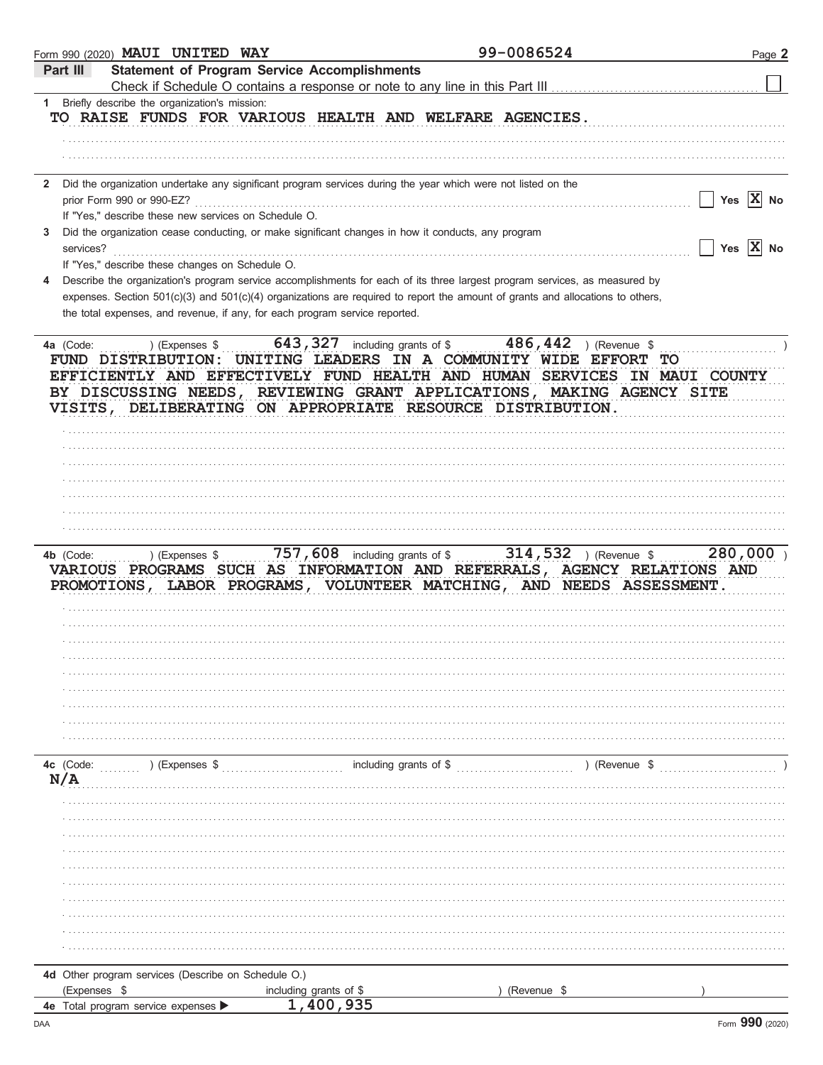| <b>Statement of Program Service Accomplishments</b><br>Part III<br>Check if Schedule O contains a response or note to any line in this Part III<br>Briefly describe the organization's mission:<br>$1 \quad$<br>TO RAISE FUNDS FOR VARIOUS HEALTH AND WELFARE AGENCIES.<br>Did the organization undertake any significant program services during the year which were not listed on the<br>$\mathbf{2}$<br>Yes $ X $ No<br>prior Form 990 or 990-EZ?<br>If "Yes," describe these new services on Schedule O.<br>Did the organization cease conducting, or make significant changes in how it conducts, any program<br>3<br>Yes $X$ No<br>services?<br>If "Yes," describe these changes on Schedule O.<br>Describe the organization's program service accomplishments for each of its three largest program services, as measured by<br>4<br>expenses. Section 501(c)(3) and 501(c)(4) organizations are required to report the amount of grants and allocations to others,<br>the total expenses, and revenue, if any, for each program service reported.<br>643, 327 including grants of \$486, 442 ) (Revenue \$<br>) (Expenses \$<br>4a (Code:<br>FUND DISTRIBUTION: UNITING LEADERS IN A COMMUNITY WIDE EFFORT<br>TО<br>EFFICIENTLY AND EFFECTIVELY FUND HEALTH AND HUMAN SERVICES IN MAUI COUNTY<br>BY DISCUSSING NEEDS, REVIEWING GRANT APPLICATIONS, MAKING AGENCY SITE<br>VISITS, DELIBERATING ON APPROPRIATE RESOURCE DISTRIBUTION.<br>757, 608 including grants of \$ 314, 532 ) (Revenue \$<br>280,000<br>) (Expenses \$<br>4b (Code:<br>VARIOUS PROGRAMS SUCH AS INFORMATION AND REFERRALS, AGENCY RELATIONS AND<br>PROMOTIONS, LABOR PROGRAMS, VOLUNTEER MATCHING, AND NEEDS ASSESSMENT.<br>) (Expenses \$<br>including grants of \$<br>) (Revenue \$<br>4c (Code:<br>N/A<br>4d Other program services (Describe on Schedule O.)<br>(Expenses \$<br>including grants of \$<br>(Revenue \$<br>1,400,935<br>4e Total program service expenses | Form 990 (2020) MAUI UNITED WAY | 99-0086524 | Page 2 |
|----------------------------------------------------------------------------------------------------------------------------------------------------------------------------------------------------------------------------------------------------------------------------------------------------------------------------------------------------------------------------------------------------------------------------------------------------------------------------------------------------------------------------------------------------------------------------------------------------------------------------------------------------------------------------------------------------------------------------------------------------------------------------------------------------------------------------------------------------------------------------------------------------------------------------------------------------------------------------------------------------------------------------------------------------------------------------------------------------------------------------------------------------------------------------------------------------------------------------------------------------------------------------------------------------------------------------------------------------------------------------------------------------------------------------------------------------------------------------------------------------------------------------------------------------------------------------------------------------------------------------------------------------------------------------------------------------------------------------------------------------------------------------------------------------------------------------------------------------------------------------------------------------------------------------------------------------------|---------------------------------|------------|--------|
|                                                                                                                                                                                                                                                                                                                                                                                                                                                                                                                                                                                                                                                                                                                                                                                                                                                                                                                                                                                                                                                                                                                                                                                                                                                                                                                                                                                                                                                                                                                                                                                                                                                                                                                                                                                                                                                                                                                                                          |                                 |            |        |
|                                                                                                                                                                                                                                                                                                                                                                                                                                                                                                                                                                                                                                                                                                                                                                                                                                                                                                                                                                                                                                                                                                                                                                                                                                                                                                                                                                                                                                                                                                                                                                                                                                                                                                                                                                                                                                                                                                                                                          |                                 |            |        |
|                                                                                                                                                                                                                                                                                                                                                                                                                                                                                                                                                                                                                                                                                                                                                                                                                                                                                                                                                                                                                                                                                                                                                                                                                                                                                                                                                                                                                                                                                                                                                                                                                                                                                                                                                                                                                                                                                                                                                          |                                 |            |        |
|                                                                                                                                                                                                                                                                                                                                                                                                                                                                                                                                                                                                                                                                                                                                                                                                                                                                                                                                                                                                                                                                                                                                                                                                                                                                                                                                                                                                                                                                                                                                                                                                                                                                                                                                                                                                                                                                                                                                                          |                                 |            |        |
|                                                                                                                                                                                                                                                                                                                                                                                                                                                                                                                                                                                                                                                                                                                                                                                                                                                                                                                                                                                                                                                                                                                                                                                                                                                                                                                                                                                                                                                                                                                                                                                                                                                                                                                                                                                                                                                                                                                                                          |                                 |            |        |
|                                                                                                                                                                                                                                                                                                                                                                                                                                                                                                                                                                                                                                                                                                                                                                                                                                                                                                                                                                                                                                                                                                                                                                                                                                                                                                                                                                                                                                                                                                                                                                                                                                                                                                                                                                                                                                                                                                                                                          |                                 |            |        |
|                                                                                                                                                                                                                                                                                                                                                                                                                                                                                                                                                                                                                                                                                                                                                                                                                                                                                                                                                                                                                                                                                                                                                                                                                                                                                                                                                                                                                                                                                                                                                                                                                                                                                                                                                                                                                                                                                                                                                          |                                 |            |        |
|                                                                                                                                                                                                                                                                                                                                                                                                                                                                                                                                                                                                                                                                                                                                                                                                                                                                                                                                                                                                                                                                                                                                                                                                                                                                                                                                                                                                                                                                                                                                                                                                                                                                                                                                                                                                                                                                                                                                                          |                                 |            |        |
|                                                                                                                                                                                                                                                                                                                                                                                                                                                                                                                                                                                                                                                                                                                                                                                                                                                                                                                                                                                                                                                                                                                                                                                                                                                                                                                                                                                                                                                                                                                                                                                                                                                                                                                                                                                                                                                                                                                                                          |                                 |            |        |
|                                                                                                                                                                                                                                                                                                                                                                                                                                                                                                                                                                                                                                                                                                                                                                                                                                                                                                                                                                                                                                                                                                                                                                                                                                                                                                                                                                                                                                                                                                                                                                                                                                                                                                                                                                                                                                                                                                                                                          |                                 |            |        |
|                                                                                                                                                                                                                                                                                                                                                                                                                                                                                                                                                                                                                                                                                                                                                                                                                                                                                                                                                                                                                                                                                                                                                                                                                                                                                                                                                                                                                                                                                                                                                                                                                                                                                                                                                                                                                                                                                                                                                          |                                 |            |        |
|                                                                                                                                                                                                                                                                                                                                                                                                                                                                                                                                                                                                                                                                                                                                                                                                                                                                                                                                                                                                                                                                                                                                                                                                                                                                                                                                                                                                                                                                                                                                                                                                                                                                                                                                                                                                                                                                                                                                                          |                                 |            |        |
|                                                                                                                                                                                                                                                                                                                                                                                                                                                                                                                                                                                                                                                                                                                                                                                                                                                                                                                                                                                                                                                                                                                                                                                                                                                                                                                                                                                                                                                                                                                                                                                                                                                                                                                                                                                                                                                                                                                                                          |                                 |            |        |
|                                                                                                                                                                                                                                                                                                                                                                                                                                                                                                                                                                                                                                                                                                                                                                                                                                                                                                                                                                                                                                                                                                                                                                                                                                                                                                                                                                                                                                                                                                                                                                                                                                                                                                                                                                                                                                                                                                                                                          |                                 |            |        |
|                                                                                                                                                                                                                                                                                                                                                                                                                                                                                                                                                                                                                                                                                                                                                                                                                                                                                                                                                                                                                                                                                                                                                                                                                                                                                                                                                                                                                                                                                                                                                                                                                                                                                                                                                                                                                                                                                                                                                          |                                 |            |        |
|                                                                                                                                                                                                                                                                                                                                                                                                                                                                                                                                                                                                                                                                                                                                                                                                                                                                                                                                                                                                                                                                                                                                                                                                                                                                                                                                                                                                                                                                                                                                                                                                                                                                                                                                                                                                                                                                                                                                                          |                                 |            |        |
|                                                                                                                                                                                                                                                                                                                                                                                                                                                                                                                                                                                                                                                                                                                                                                                                                                                                                                                                                                                                                                                                                                                                                                                                                                                                                                                                                                                                                                                                                                                                                                                                                                                                                                                                                                                                                                                                                                                                                          |                                 |            |        |
|                                                                                                                                                                                                                                                                                                                                                                                                                                                                                                                                                                                                                                                                                                                                                                                                                                                                                                                                                                                                                                                                                                                                                                                                                                                                                                                                                                                                                                                                                                                                                                                                                                                                                                                                                                                                                                                                                                                                                          |                                 |            |        |
|                                                                                                                                                                                                                                                                                                                                                                                                                                                                                                                                                                                                                                                                                                                                                                                                                                                                                                                                                                                                                                                                                                                                                                                                                                                                                                                                                                                                                                                                                                                                                                                                                                                                                                                                                                                                                                                                                                                                                          |                                 |            |        |
|                                                                                                                                                                                                                                                                                                                                                                                                                                                                                                                                                                                                                                                                                                                                                                                                                                                                                                                                                                                                                                                                                                                                                                                                                                                                                                                                                                                                                                                                                                                                                                                                                                                                                                                                                                                                                                                                                                                                                          |                                 |            |        |
|                                                                                                                                                                                                                                                                                                                                                                                                                                                                                                                                                                                                                                                                                                                                                                                                                                                                                                                                                                                                                                                                                                                                                                                                                                                                                                                                                                                                                                                                                                                                                                                                                                                                                                                                                                                                                                                                                                                                                          |                                 |            |        |
|                                                                                                                                                                                                                                                                                                                                                                                                                                                                                                                                                                                                                                                                                                                                                                                                                                                                                                                                                                                                                                                                                                                                                                                                                                                                                                                                                                                                                                                                                                                                                                                                                                                                                                                                                                                                                                                                                                                                                          |                                 |            |        |
|                                                                                                                                                                                                                                                                                                                                                                                                                                                                                                                                                                                                                                                                                                                                                                                                                                                                                                                                                                                                                                                                                                                                                                                                                                                                                                                                                                                                                                                                                                                                                                                                                                                                                                                                                                                                                                                                                                                                                          |                                 |            |        |
|                                                                                                                                                                                                                                                                                                                                                                                                                                                                                                                                                                                                                                                                                                                                                                                                                                                                                                                                                                                                                                                                                                                                                                                                                                                                                                                                                                                                                                                                                                                                                                                                                                                                                                                                                                                                                                                                                                                                                          |                                 |            |        |
|                                                                                                                                                                                                                                                                                                                                                                                                                                                                                                                                                                                                                                                                                                                                                                                                                                                                                                                                                                                                                                                                                                                                                                                                                                                                                                                                                                                                                                                                                                                                                                                                                                                                                                                                                                                                                                                                                                                                                          |                                 |            |        |
|                                                                                                                                                                                                                                                                                                                                                                                                                                                                                                                                                                                                                                                                                                                                                                                                                                                                                                                                                                                                                                                                                                                                                                                                                                                                                                                                                                                                                                                                                                                                                                                                                                                                                                                                                                                                                                                                                                                                                          |                                 |            |        |
|                                                                                                                                                                                                                                                                                                                                                                                                                                                                                                                                                                                                                                                                                                                                                                                                                                                                                                                                                                                                                                                                                                                                                                                                                                                                                                                                                                                                                                                                                                                                                                                                                                                                                                                                                                                                                                                                                                                                                          |                                 |            |        |
|                                                                                                                                                                                                                                                                                                                                                                                                                                                                                                                                                                                                                                                                                                                                                                                                                                                                                                                                                                                                                                                                                                                                                                                                                                                                                                                                                                                                                                                                                                                                                                                                                                                                                                                                                                                                                                                                                                                                                          |                                 |            |        |
|                                                                                                                                                                                                                                                                                                                                                                                                                                                                                                                                                                                                                                                                                                                                                                                                                                                                                                                                                                                                                                                                                                                                                                                                                                                                                                                                                                                                                                                                                                                                                                                                                                                                                                                                                                                                                                                                                                                                                          |                                 |            |        |
|                                                                                                                                                                                                                                                                                                                                                                                                                                                                                                                                                                                                                                                                                                                                                                                                                                                                                                                                                                                                                                                                                                                                                                                                                                                                                                                                                                                                                                                                                                                                                                                                                                                                                                                                                                                                                                                                                                                                                          |                                 |            |        |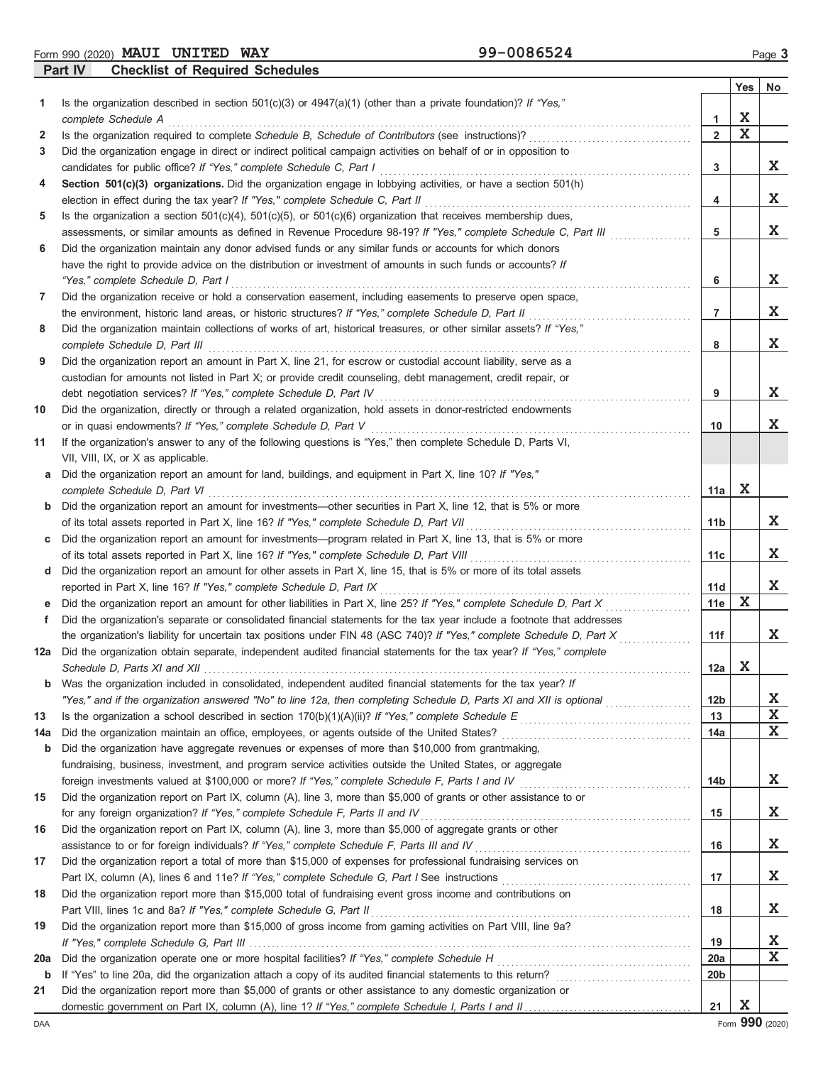Form 990 (2020) Page **3 MAUI UNITED WAY 99-0086524**

**Part IV Checklist of Required Schedules**

|                   | encember of required concuent                                                                                                                                                                                                                    |                     |             |             |
|-------------------|--------------------------------------------------------------------------------------------------------------------------------------------------------------------------------------------------------------------------------------------------|---------------------|-------------|-------------|
|                   |                                                                                                                                                                                                                                                  |                     | Yes         | No          |
| 1.                | Is the organization described in section $501(c)(3)$ or $4947(a)(1)$ (other than a private foundation)? If "Yes,"                                                                                                                                |                     | X           |             |
|                   | complete Schedule A                                                                                                                                                                                                                              | 1<br>$\overline{2}$ | $\mathbf x$ |             |
| $\mathbf{2}$<br>3 | Is the organization required to complete Schedule B, Schedule of Contributors (see instructions)?<br>Did the organization engage in direct or indirect political campaign activities on behalf of or in opposition to                            |                     |             |             |
|                   | candidates for public office? If "Yes," complete Schedule C, Part I                                                                                                                                                                              | 3                   |             | X           |
| 4                 | Section 501(c)(3) organizations. Did the organization engage in lobbying activities, or have a section 501(h)                                                                                                                                    |                     |             |             |
|                   | election in effect during the tax year? If "Yes," complete Schedule C, Part II                                                                                                                                                                   | 4                   |             | X           |
| 5                 | Is the organization a section $501(c)(4)$ , $501(c)(5)$ , or $501(c)(6)$ organization that receives membership dues,                                                                                                                             |                     |             |             |
|                   | assessments, or similar amounts as defined in Revenue Procedure 98-19? If "Yes," complete Schedule C, Part III                                                                                                                                   | 5                   |             | X           |
| 6                 | Did the organization maintain any donor advised funds or any similar funds or accounts for which donors                                                                                                                                          |                     |             |             |
|                   | have the right to provide advice on the distribution or investment of amounts in such funds or accounts? If                                                                                                                                      |                     |             |             |
|                   | "Yes," complete Schedule D, Part I                                                                                                                                                                                                               | 6                   |             | X           |
| 7                 | Did the organization receive or hold a conservation easement, including easements to preserve open space,                                                                                                                                        |                     |             |             |
|                   | the environment, historic land areas, or historic structures? If "Yes," complete Schedule D, Part II                                                                                                                                             | 7                   |             | X           |
| 8                 | Did the organization maintain collections of works of art, historical treasures, or other similar assets? If "Yes,"                                                                                                                              |                     |             |             |
|                   | complete Schedule D, Part III                                                                                                                                                                                                                    | 8                   |             | X           |
| 9                 | Did the organization report an amount in Part X, line 21, for escrow or custodial account liability, serve as a                                                                                                                                  |                     |             |             |
|                   | custodian for amounts not listed in Part X; or provide credit counseling, debt management, credit repair, or                                                                                                                                     |                     |             |             |
|                   | debt negotiation services? If "Yes," complete Schedule D, Part IV                                                                                                                                                                                | 9                   |             | X           |
| 10                | Did the organization, directly or through a related organization, hold assets in donor-restricted endowments                                                                                                                                     |                     |             |             |
|                   | or in quasi endowments? If "Yes," complete Schedule D, Part V                                                                                                                                                                                    | 10                  |             | X.          |
| 11                | If the organization's answer to any of the following questions is "Yes," then complete Schedule D, Parts VI,                                                                                                                                     |                     |             |             |
|                   | VII, VIII, IX, or X as applicable.                                                                                                                                                                                                               |                     |             |             |
| a                 | Did the organization report an amount for land, buildings, and equipment in Part X, line 10? If "Yes,"                                                                                                                                           |                     |             |             |
|                   | complete Schedule D, Part VI                                                                                                                                                                                                                     | 11a                 | X           |             |
| $\mathbf b$       | Did the organization report an amount for investments—other securities in Part X, line 12, that is 5% or more                                                                                                                                    |                     |             |             |
|                   | of its total assets reported in Part X, line 16? If "Yes," complete Schedule D, Part VII                                                                                                                                                         | 11 <sub>b</sub>     |             | X           |
| c                 | Did the organization report an amount for investments—program related in Part X, line 13, that is 5% or more                                                                                                                                     |                     |             |             |
|                   | of its total assets reported in Part X, line 16? If "Yes," complete Schedule D, Part VIII                                                                                                                                                        | 11c                 |             | X           |
| d                 | Did the organization report an amount for other assets in Part X, line 15, that is 5% or more of its total assets                                                                                                                                |                     |             | X           |
|                   | reported in Part X, line 16? If "Yes," complete Schedule D, Part IX                                                                                                                                                                              | 11d                 | X           |             |
| е                 | Did the organization report an amount for other liabilities in Part X, line 25? If "Yes," complete Schedule D, Part X<br>Did the organization's separate or consolidated financial statements for the tax year include a footnote that addresses | 11e                 |             |             |
| f                 | the organization's liability for uncertain tax positions under FIN 48 (ASC 740)? If "Yes," complete Schedule D, Part X                                                                                                                           | 11f                 |             | X           |
| 12a               | Did the organization obtain separate, independent audited financial statements for the tax year? If "Yes," complete                                                                                                                              |                     |             |             |
|                   |                                                                                                                                                                                                                                                  | 12a                 | X           |             |
| b                 | Was the organization included in consolidated, independent audited financial statements for the tax year? If                                                                                                                                     |                     |             |             |
|                   | "Yes," and if the organization answered "No" to line 12a, then completing Schedule D, Parts XI and XII is optional                                                                                                                               | 12 <sub>b</sub>     |             | X           |
| 13                | Is the organization a school described in section $170(b)(1)(A)(ii)$ ? If "Yes," complete Schedule E                                                                                                                                             | 13                  |             | $\mathbf X$ |
| 14a               | Did the organization maintain an office, employees, or agents outside of the United States?                                                                                                                                                      | 14a                 |             | $\mathbf x$ |
| b                 | Did the organization have aggregate revenues or expenses of more than \$10,000 from grantmaking,                                                                                                                                                 |                     |             |             |
|                   | fundraising, business, investment, and program service activities outside the United States, or aggregate                                                                                                                                        |                     |             |             |
|                   | foreign investments valued at \$100,000 or more? If "Yes," complete Schedule F, Parts I and IV                                                                                                                                                   | 14b                 |             | X           |
| 15                | Did the organization report on Part IX, column (A), line 3, more than \$5,000 of grants or other assistance to or                                                                                                                                |                     |             |             |
|                   | for any foreign organization? If "Yes," complete Schedule F, Parts II and IV                                                                                                                                                                     | 15                  |             | X           |
| 16                | Did the organization report on Part IX, column (A), line 3, more than \$5,000 of aggregate grants or other                                                                                                                                       |                     |             |             |
|                   | assistance to or for foreign individuals? If "Yes," complete Schedule F, Parts III and IV                                                                                                                                                        | 16                  |             | X           |
| 17                | Did the organization report a total of more than \$15,000 of expenses for professional fundraising services on                                                                                                                                   |                     |             |             |
|                   |                                                                                                                                                                                                                                                  | 17                  |             | X           |
| 18                | Did the organization report more than \$15,000 total of fundraising event gross income and contributions on                                                                                                                                      |                     |             |             |
|                   | Part VIII, lines 1c and 8a? If "Yes," complete Schedule G, Part II                                                                                                                                                                               | 18                  |             | X           |
| 19                | Did the organization report more than \$15,000 of gross income from gaming activities on Part VIII, line 9a?                                                                                                                                     |                     |             |             |
|                   |                                                                                                                                                                                                                                                  | 19                  |             | X           |
| 20a               |                                                                                                                                                                                                                                                  | 20a                 |             | X           |
| b                 |                                                                                                                                                                                                                                                  | 20 <sub>b</sub>     |             |             |
| 21                | Did the organization report more than \$5,000 of grants or other assistance to any domestic organization or                                                                                                                                      |                     |             |             |
|                   |                                                                                                                                                                                                                                                  | 21                  | X           |             |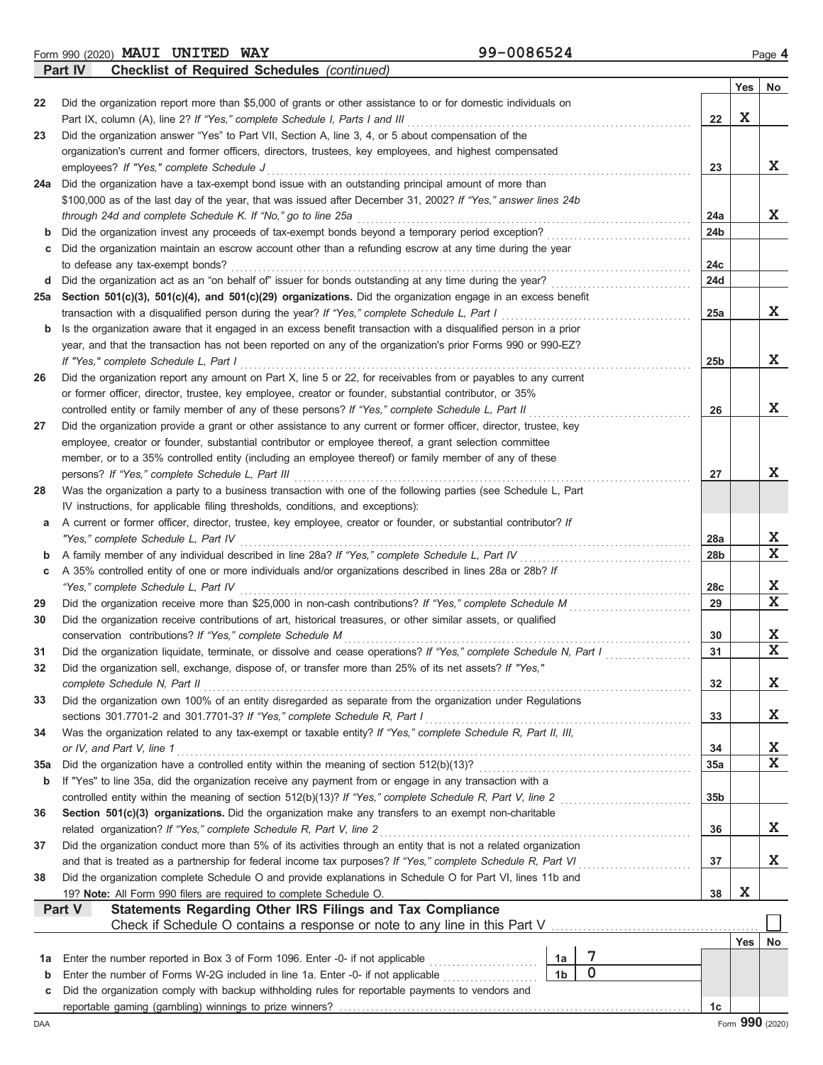Form 990 (2020) Page **4 MAUI UNITED WAY 99-0086524**

**Part IV Checklist of Required Schedules** *(continued)*

| Did the organization report more than \$5,000 of grants or other assistance to or for domestic individuals on<br>22<br>Part IX, column (A), line 2? If "Yes," complete Schedule I, Parts I and III<br>Did the organization answer "Yes" to Part VII, Section A, line 3, 4, or 5 about compensation of the<br>23<br>organization's current and former officers, directors, trustees, key employees, and highest compensated<br>employees? If "Yes," complete Schedule J<br>Did the organization have a tax-exempt bond issue with an outstanding principal amount of more than<br>24a | 22<br>23<br>24a<br>24b | Yes<br>X | No<br>X.                |
|--------------------------------------------------------------------------------------------------------------------------------------------------------------------------------------------------------------------------------------------------------------------------------------------------------------------------------------------------------------------------------------------------------------------------------------------------------------------------------------------------------------------------------------------------------------------------------------|------------------------|----------|-------------------------|
|                                                                                                                                                                                                                                                                                                                                                                                                                                                                                                                                                                                      |                        |          |                         |
|                                                                                                                                                                                                                                                                                                                                                                                                                                                                                                                                                                                      |                        |          |                         |
|                                                                                                                                                                                                                                                                                                                                                                                                                                                                                                                                                                                      |                        |          |                         |
|                                                                                                                                                                                                                                                                                                                                                                                                                                                                                                                                                                                      |                        |          |                         |
|                                                                                                                                                                                                                                                                                                                                                                                                                                                                                                                                                                                      |                        |          |                         |
|                                                                                                                                                                                                                                                                                                                                                                                                                                                                                                                                                                                      |                        |          |                         |
| \$100,000 as of the last day of the year, that was issued after December 31, 2002? If "Yes," answer lines 24b                                                                                                                                                                                                                                                                                                                                                                                                                                                                        |                        |          |                         |
| through 24d and complete Schedule K. If "No," go to line 25a                                                                                                                                                                                                                                                                                                                                                                                                                                                                                                                         |                        |          | X                       |
| Did the organization invest any proceeds of tax-exempt bonds beyond a temporary period exception?<br>b                                                                                                                                                                                                                                                                                                                                                                                                                                                                               |                        |          |                         |
| Did the organization maintain an escrow account other than a refunding escrow at any time during the year<br>c                                                                                                                                                                                                                                                                                                                                                                                                                                                                       |                        |          |                         |
| to defease any tax-exempt bonds?                                                                                                                                                                                                                                                                                                                                                                                                                                                                                                                                                     | 24c                    |          |                         |
| Did the organization act as an "on behalf of" issuer for bonds outstanding at any time during the year?<br>d                                                                                                                                                                                                                                                                                                                                                                                                                                                                         | 24d                    |          |                         |
| Section 501(c)(3), 501(c)(4), and 501(c)(29) organizations. Did the organization engage in an excess benefit<br>25a                                                                                                                                                                                                                                                                                                                                                                                                                                                                  |                        |          |                         |
| transaction with a disqualified person during the year? If "Yes," complete Schedule L, Part I                                                                                                                                                                                                                                                                                                                                                                                                                                                                                        | 25a                    |          | X                       |
| Is the organization aware that it engaged in an excess benefit transaction with a disqualified person in a prior<br>b                                                                                                                                                                                                                                                                                                                                                                                                                                                                |                        |          |                         |
| year, and that the transaction has not been reported on any of the organization's prior Forms 990 or 990-EZ?                                                                                                                                                                                                                                                                                                                                                                                                                                                                         |                        |          |                         |
| If "Yes," complete Schedule L, Part I                                                                                                                                                                                                                                                                                                                                                                                                                                                                                                                                                | 25 <sub>b</sub>        |          | X                       |
| Did the organization report any amount on Part X, line 5 or 22, for receivables from or payables to any current<br>26                                                                                                                                                                                                                                                                                                                                                                                                                                                                |                        |          |                         |
| or former officer, director, trustee, key employee, creator or founder, substantial contributor, or 35%                                                                                                                                                                                                                                                                                                                                                                                                                                                                              |                        |          |                         |
| controlled entity or family member of any of these persons? If "Yes," complete Schedule L, Part II                                                                                                                                                                                                                                                                                                                                                                                                                                                                                   | 26                     |          | X                       |
| Did the organization provide a grant or other assistance to any current or former officer, director, trustee, key<br>27                                                                                                                                                                                                                                                                                                                                                                                                                                                              |                        |          |                         |
| employee, creator or founder, substantial contributor or employee thereof, a grant selection committee<br>member, or to a 35% controlled entity (including an employee thereof) or family member of any of these                                                                                                                                                                                                                                                                                                                                                                     |                        |          |                         |
| persons? If "Yes," complete Schedule L, Part III                                                                                                                                                                                                                                                                                                                                                                                                                                                                                                                                     | 27                     |          | X.                      |
| Was the organization a party to a business transaction with one of the following parties (see Schedule L, Part<br>28                                                                                                                                                                                                                                                                                                                                                                                                                                                                 |                        |          |                         |
| IV instructions, for applicable filing thresholds, conditions, and exceptions):                                                                                                                                                                                                                                                                                                                                                                                                                                                                                                      |                        |          |                         |
| A current or former officer, director, trustee, key employee, creator or founder, or substantial contributor? If<br>а                                                                                                                                                                                                                                                                                                                                                                                                                                                                |                        |          |                         |
| "Yes," complete Schedule L, Part IV                                                                                                                                                                                                                                                                                                                                                                                                                                                                                                                                                  | 28a                    |          | X                       |
| A family member of any individual described in line 28a? If "Yes," complete Schedule L, Part IV<br>b                                                                                                                                                                                                                                                                                                                                                                                                                                                                                 | 28 <sub>b</sub>        |          | $\mathbf{x}$            |
| A 35% controlled entity of one or more individuals and/or organizations described in lines 28a or 28b? If<br>С                                                                                                                                                                                                                                                                                                                                                                                                                                                                       |                        |          |                         |
| "Yes," complete Schedule L, Part IV                                                                                                                                                                                                                                                                                                                                                                                                                                                                                                                                                  | 28c                    |          | X                       |
| Did the organization receive more than \$25,000 in non-cash contributions? If "Yes," complete Schedule M<br>29                                                                                                                                                                                                                                                                                                                                                                                                                                                                       | 29                     |          | $\overline{\mathbf{x}}$ |
| Did the organization receive contributions of art, historical treasures, or other similar assets, or qualified<br>30                                                                                                                                                                                                                                                                                                                                                                                                                                                                 |                        |          |                         |
| conservation contributions? If "Yes," complete Schedule M                                                                                                                                                                                                                                                                                                                                                                                                                                                                                                                            | 30                     |          | X                       |
| Did the organization liquidate, terminate, or dissolve and cease operations? If "Yes," complete Schedule N, Part I<br>31                                                                                                                                                                                                                                                                                                                                                                                                                                                             | 31                     |          | $\mathbf x$             |
| Did the organization sell, exchange, dispose of, or transfer more than 25% of its net assets? If "Yes,"<br>32                                                                                                                                                                                                                                                                                                                                                                                                                                                                        |                        |          |                         |
| complete Schedule N, Part II                                                                                                                                                                                                                                                                                                                                                                                                                                                                                                                                                         | 32                     |          | X                       |
| Did the organization own 100% of an entity disregarded as separate from the organization under Regulations<br>33                                                                                                                                                                                                                                                                                                                                                                                                                                                                     |                        |          |                         |
| sections 301.7701-2 and 301.7701-3? If "Yes," complete Schedule R, Part I                                                                                                                                                                                                                                                                                                                                                                                                                                                                                                            | 33                     |          | X                       |
| Was the organization related to any tax-exempt or taxable entity? If "Yes," complete Schedule R, Part II, III,<br>34                                                                                                                                                                                                                                                                                                                                                                                                                                                                 |                        |          |                         |
| or IV, and Part V, line 1                                                                                                                                                                                                                                                                                                                                                                                                                                                                                                                                                            | 34                     |          | X                       |
| Did the organization have a controlled entity within the meaning of section 512(b)(13)?<br><b>35a</b>                                                                                                                                                                                                                                                                                                                                                                                                                                                                                | 35a                    |          | $\mathbf x$             |
| If "Yes" to line 35a, did the organization receive any payment from or engage in any transaction with a<br>b                                                                                                                                                                                                                                                                                                                                                                                                                                                                         |                        |          |                         |
| controlled entity within the meaning of section 512(b)(13)? If "Yes," complete Schedule R, Part V, line 2                                                                                                                                                                                                                                                                                                                                                                                                                                                                            | 35b                    |          |                         |
| Section 501(c)(3) organizations. Did the organization make any transfers to an exempt non-charitable<br>36                                                                                                                                                                                                                                                                                                                                                                                                                                                                           |                        |          |                         |
| related organization? If "Yes," complete Schedule R, Part V, line 2                                                                                                                                                                                                                                                                                                                                                                                                                                                                                                                  | 36                     |          | X                       |
| Did the organization conduct more than 5% of its activities through an entity that is not a related organization<br>37                                                                                                                                                                                                                                                                                                                                                                                                                                                               |                        |          |                         |
| and that is treated as a partnership for federal income tax purposes? If "Yes," complete Schedule R, Part VI                                                                                                                                                                                                                                                                                                                                                                                                                                                                         | 37                     |          | X                       |
| Did the organization complete Schedule O and provide explanations in Schedule O for Part VI, lines 11b and<br>38                                                                                                                                                                                                                                                                                                                                                                                                                                                                     |                        |          |                         |
| 19? Note: All Form 990 filers are required to complete Schedule O.                                                                                                                                                                                                                                                                                                                                                                                                                                                                                                                   | 38                     | X        |                         |
| Part V<br>Statements Regarding Other IRS Filings and Tax Compliance                                                                                                                                                                                                                                                                                                                                                                                                                                                                                                                  |                        |          |                         |
| Check if Schedule O contains a response or note to any line in this Part V                                                                                                                                                                                                                                                                                                                                                                                                                                                                                                           |                        |          |                         |
| 7                                                                                                                                                                                                                                                                                                                                                                                                                                                                                                                                                                                    |                        | Yes      | No                      |
| Enter the number reported in Box 3 of Form 1096. Enter -0- if not applicable<br>1a<br>1a<br>$\overline{0}$<br>1 <sub>b</sub><br>Enter the number of Forms W-2G included in line 1a. Enter -0- if not applicable                                                                                                                                                                                                                                                                                                                                                                      |                        |          |                         |
| b<br>Did the organization comply with backup withholding rules for reportable payments to vendors and<br>с                                                                                                                                                                                                                                                                                                                                                                                                                                                                           |                        |          |                         |
|                                                                                                                                                                                                                                                                                                                                                                                                                                                                                                                                                                                      | 1c                     |          |                         |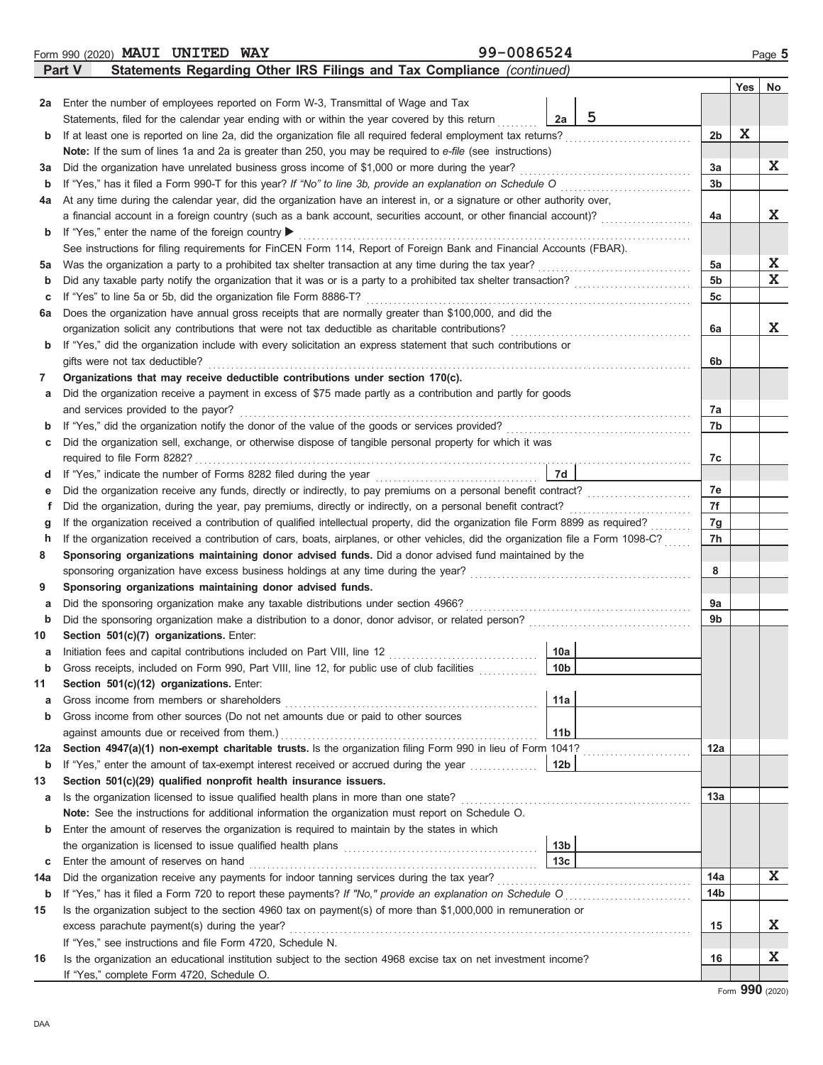|     | 99-0086524<br>Form 990 (2020) MAUI UNITED WAY                                                                                      |                 |                 |             | Page 5    |
|-----|------------------------------------------------------------------------------------------------------------------------------------|-----------------|-----------------|-------------|-----------|
|     | Statements Regarding Other IRS Filings and Tax Compliance (continued)<br>Part V                                                    |                 |                 |             |           |
|     |                                                                                                                                    |                 |                 | Yes         | <b>No</b> |
|     | 2a Enter the number of employees reported on Form W-3, Transmittal of Wage and Tax                                                 |                 |                 |             |           |
|     | Statements, filed for the calendar year ending with or within the year covered by this return                                      | 5<br>2a         |                 |             |           |
| b   | If at least one is reported on line 2a, did the organization file all required federal employment tax returns?                     |                 | 2 <sub>b</sub>  | $\mathbf x$ |           |
|     | Note: If the sum of lines 1a and 2a is greater than 250, you may be required to e-file (see instructions)                          |                 |                 |             |           |
| За  | Did the organization have unrelated business gross income of \$1,000 or more during the year?                                      |                 | 3a              |             | X.        |
| b   | If "Yes," has it filed a Form 990-T for this year? If "No" to line 3b, provide an explanation on Schedule O                        |                 | 3 <sub>b</sub>  |             |           |
| 4a  | At any time during the calendar year, did the organization have an interest in, or a signature or other authority over,            |                 |                 |             |           |
|     | a financial account in a foreign country (such as a bank account, securities account, or other financial account)?                 |                 | 4a              |             | X.        |
| b   | If "Yes," enter the name of the foreign country $\blacktriangleright$                                                              |                 |                 |             |           |
|     | See instructions for filing requirements for FinCEN Form 114, Report of Foreign Bank and Financial Accounts (FBAR).                |                 |                 |             |           |
| 5a  | Was the organization a party to a prohibited tax shelter transaction at any time during the tax year?                              |                 | 5a              |             | X.        |
| b   | Did any taxable party notify the organization that it was or is a party to a prohibited tax shelter transaction?                   |                 | 5 <sub>b</sub>  |             | X         |
| c   | If "Yes" to line 5a or 5b, did the organization file Form 8886-T?                                                                  |                 | 5c              |             |           |
| 6а  | Does the organization have annual gross receipts that are normally greater than \$100,000, and did the                             |                 |                 |             |           |
|     | organization solicit any contributions that were not tax deductible as charitable contributions?                                   |                 | 6a              |             | X         |
| b   | If "Yes," did the organization include with every solicitation an express statement that such contributions or                     |                 |                 |             |           |
|     | gifts were not tax deductible?                                                                                                     |                 | 6b              |             |           |
| 7   | Organizations that may receive deductible contributions under section 170(c).                                                      |                 |                 |             |           |
| а   | Did the organization receive a payment in excess of \$75 made partly as a contribution and partly for goods                        |                 |                 |             |           |
|     | and services provided to the payor?                                                                                                |                 | 7a              |             |           |
| b   | If "Yes," did the organization notify the donor of the value of the goods or services provided?                                    |                 | 7b              |             |           |
| c   | Did the organization sell, exchange, or otherwise dispose of tangible personal property for which it was                           |                 |                 |             |           |
|     | required to file Form 8282?                                                                                                        |                 | 7c              |             |           |
| d   | If "Yes," indicate the number of Forms 8282 filed during the year                                                                  | 7d              |                 |             |           |
| е   | Did the organization receive any funds, directly or indirectly, to pay premiums on a personal benefit contract?                    |                 | 7e              |             |           |
| f   | Did the organization, during the year, pay premiums, directly or indirectly, on a personal benefit contract?                       |                 | 7f              |             |           |
| g   | If the organization received a contribution of qualified intellectual property, did the organization file Form 8899 as required?   |                 | 7g              |             |           |
| h   | If the organization received a contribution of cars, boats, airplanes, or other vehicles, did the organization file a Form 1098-C? |                 | 7h              |             |           |
| 8   | Sponsoring organizations maintaining donor advised funds. Did a donor advised fund maintained by the                               |                 |                 |             |           |
|     | sponsoring organization have excess business holdings at any time during the year?                                                 |                 | 8               |             |           |
| 9   | Sponsoring organizations maintaining donor advised funds.                                                                          |                 |                 |             |           |
| а   | Did the sponsoring organization make any taxable distributions under section 4966?                                                 |                 | 9a              |             |           |
| b   | Did the sponsoring organization make a distribution to a donor, donor advisor, or related person?                                  |                 | 9 <sub>b</sub>  |             |           |
| 10  | Section 501(c)(7) organizations. Enter:                                                                                            |                 |                 |             |           |
| а   | Initiation fees and capital contributions included on Part VIII, line 12                                                           | 10a             |                 |             |           |
| b   | Gross receipts, included on Form 990, Part VIII, line 12, for public use of club facilities                                        | 10 <sub>b</sub> |                 |             |           |
| 11  | Section 501(c)(12) organizations. Enter:                                                                                           |                 |                 |             |           |
| а   | Gross income from members or shareholders                                                                                          | 11a             |                 |             |           |
| b   | Gross income from other sources (Do not net amounts due or paid to other sources                                                   |                 |                 |             |           |
|     | against amounts due or received from them.)                                                                                        | 11 <sub>b</sub> |                 |             |           |
| 12a | Section 4947(a)(1) non-exempt charitable trusts. Is the organization filing Form 990 in lieu of Form 1041?                         |                 | 12a             |             |           |
| b   |                                                                                                                                    |                 |                 |             |           |
| 13  | Section 501(c)(29) qualified nonprofit health insurance issuers.                                                                   |                 |                 |             |           |
| а   | Is the organization licensed to issue qualified health plans in more than one state?                                               |                 | 13a             |             |           |
|     | Note: See the instructions for additional information the organization must report on Schedule O.                                  |                 |                 |             |           |
| b   | Enter the amount of reserves the organization is required to maintain by the states in which                                       |                 |                 |             |           |
|     |                                                                                                                                    | 13 <sub>b</sub> |                 |             |           |
| c   | Enter the amount of reserves on hand                                                                                               | 13 <sub>c</sub> |                 |             |           |
| 14a | Did the organization receive any payments for indoor tanning services during the tax year?                                         |                 | 14a             |             | X         |
| b   |                                                                                                                                    |                 | 14 <sub>b</sub> |             |           |
| 15  | Is the organization subject to the section 4960 tax on payment(s) of more than \$1,000,000 in remuneration or                      |                 |                 |             |           |
|     | excess parachute payment(s) during the year?                                                                                       |                 | 15              |             | X.        |
|     | If "Yes," see instructions and file Form 4720, Schedule N.                                                                         |                 |                 |             | X.        |
| 16  | Is the organization an educational institution subject to the section 4968 excise tax on net investment income?                    |                 | 16              |             |           |
|     | If "Yes," complete Form 4720, Schedule O.                                                                                          |                 |                 |             |           |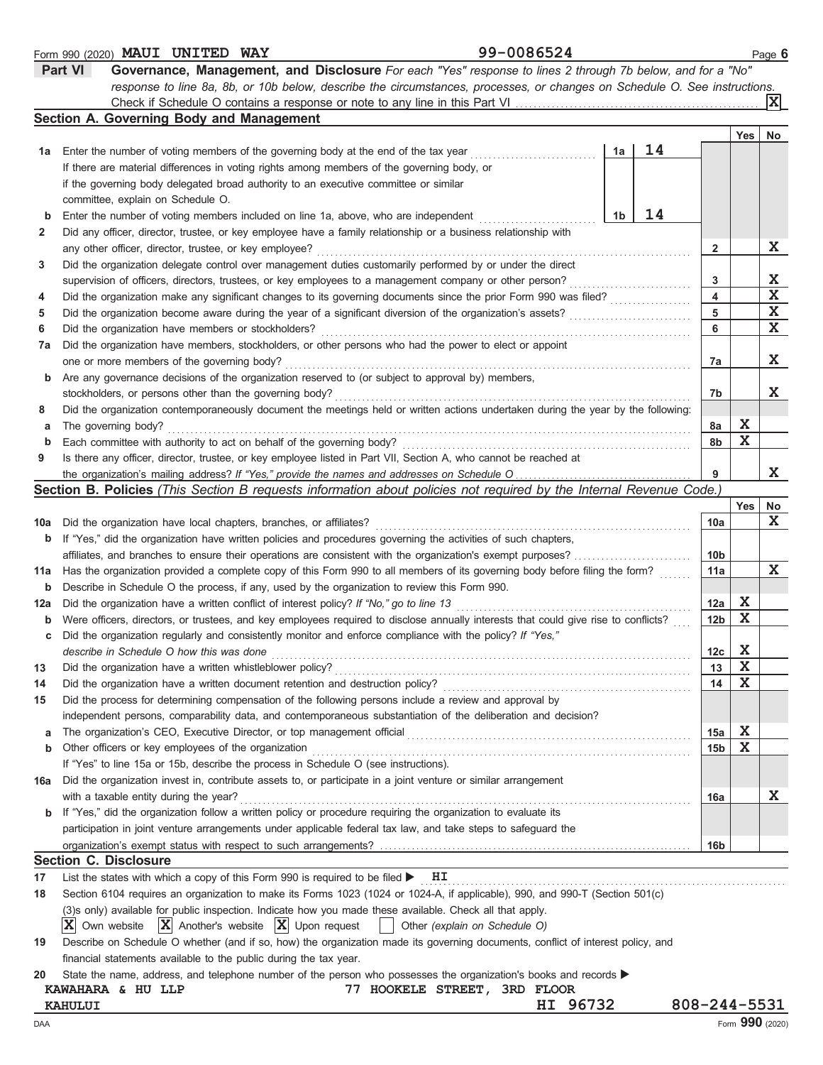|     | 99-0086524<br>Form 990 (2020) MAUI UNITED WAY                                                                                                                 |                 |             | Page 6          |
|-----|---------------------------------------------------------------------------------------------------------------------------------------------------------------|-----------------|-------------|-----------------|
|     | <b>Part VI</b><br>Governance, Management, and Disclosure For each "Yes" response to lines 2 through 7b below, and for a "No"                                  |                 |             |                 |
|     | response to line 8a, 8b, or 10b below, describe the circumstances, processes, or changes on Schedule O. See instructions.                                     |                 |             |                 |
|     |                                                                                                                                                               |                 |             | XI              |
|     | Section A. Governing Body and Management                                                                                                                      |                 |             |                 |
|     |                                                                                                                                                               |                 | Yes         | No              |
| 1а  | 14<br>1a<br>Enter the number of voting members of the governing body at the end of the tax year                                                               |                 |             |                 |
|     | If there are material differences in voting rights among members of the governing body, or                                                                    |                 |             |                 |
|     | if the governing body delegated broad authority to an executive committee or similar                                                                          |                 |             |                 |
|     | committee, explain on Schedule O.                                                                                                                             |                 |             |                 |
| b   | 14<br>1b<br>Enter the number of voting members included on line 1a, above, who are independent                                                                |                 |             |                 |
| 2   | Did any officer, director, trustee, or key employee have a family relationship or a business relationship with                                                |                 |             |                 |
|     |                                                                                                                                                               |                 |             | X               |
|     | any other officer, director, trustee, or key employee?                                                                                                        | $\mathbf{2}$    |             |                 |
| 3   | Did the organization delegate control over management duties customarily performed by or under the direct                                                     |                 |             |                 |
|     | supervision of officers, directors, trustees, or key employees to a management company or other person?                                                       | 3               |             | X               |
| 4   | Did the organization make any significant changes to its governing documents since the prior Form 990 was filed?                                              | 4               |             | X               |
| 5   | Did the organization become aware during the year of a significant diversion of the organization's assets?                                                    | 5               |             | X               |
| 6   | Did the organization have members or stockholders?                                                                                                            | 6               |             | $\mathbf X$     |
| 7a  | Did the organization have members, stockholders, or other persons who had the power to elect or appoint                                                       |                 |             |                 |
|     | one or more members of the governing body?                                                                                                                    | 7a              |             | X               |
| b   | Are any governance decisions of the organization reserved to (or subject to approval by) members,                                                             |                 |             |                 |
|     | stockholders, or persons other than the governing body?                                                                                                       | 7b              |             | X               |
| 8   | Did the organization contemporaneously document the meetings held or written actions undertaken during the year by the following:                             |                 |             |                 |
| а   | The governing body?                                                                                                                                           | 8a              | X           |                 |
| b   | Each committee with authority to act on behalf of the governing body?                                                                                         | 8b              | $\mathbf X$ |                 |
| 9   | Is there any officer, director, trustee, or key employee listed in Part VII, Section A, who cannot be reached at                                              |                 |             |                 |
|     |                                                                                                                                                               | 9               |             | X               |
|     | Section B. Policies (This Section B requests information about policies not required by the Internal Revenue Code.)                                           |                 |             |                 |
|     |                                                                                                                                                               |                 | Yes         | No              |
| 10a | Did the organization have local chapters, branches, or affiliates?                                                                                            | 10a             |             | X               |
| b   | If "Yes," did the organization have written policies and procedures governing the activities of such chapters,                                                |                 |             |                 |
|     | affiliates, and branches to ensure their operations are consistent with the organization's exempt purposes?                                                   | 10 <sub>b</sub> |             |                 |
|     |                                                                                                                                                               |                 |             | X               |
| 11a | Has the organization provided a complete copy of this Form 990 to all members of its governing body before filing the form?                                   | 11a             |             |                 |
| b   | Describe in Schedule O the process, if any, used by the organization to review this Form 990.                                                                 |                 |             |                 |
| 12a | Did the organization have a written conflict of interest policy? If "No," go to line 13                                                                       | 12a             | X           |                 |
| b   | Were officers, directors, or trustees, and key employees required to disclose annually interests that could give rise to conflicts?                           | 12 <sub>b</sub> | $\mathbf X$ |                 |
|     | Did the organization regularly and consistently monitor and enforce compliance with the policy? If "Yes,"                                                     |                 |             |                 |
|     | describe in Schedule O how this was done                                                                                                                      | 12c             | X           |                 |
| 13  | Did the organization have a written whistleblower policy?                                                                                                     | 13              | $\mathbf x$ |                 |
| 14  | Did the organization have a written document retention and destruction policy?                                                                                | 14              | X           |                 |
| 15  | Did the process for determining compensation of the following persons include a review and approval by                                                        |                 |             |                 |
|     | independent persons, comparability data, and contemporaneous substantiation of the deliberation and decision?                                                 |                 |             |                 |
| a   | The organization's CEO, Executive Director, or top management official [11] content to the organization's CEO, Executive Director, or top management official | 15a             | $\mathbf x$ |                 |
| b   | Other officers or key employees of the organization                                                                                                           | 15 <sub>b</sub> | X           |                 |
|     | If "Yes" to line 15a or 15b, describe the process in Schedule O (see instructions).                                                                           |                 |             |                 |
| 16a | Did the organization invest in, contribute assets to, or participate in a joint venture or similar arrangement                                                |                 |             |                 |
|     | with a taxable entity during the year?                                                                                                                        | 16a             |             | X               |
|     | <b>b</b> If "Yes," did the organization follow a written policy or procedure requiring the organization to evaluate its                                       |                 |             |                 |
|     | participation in joint venture arrangements under applicable federal tax law, and take steps to safeguard the                                                 |                 |             |                 |
|     |                                                                                                                                                               | 16b             |             |                 |
|     | <b>Section C. Disclosure</b>                                                                                                                                  |                 |             |                 |
| 17  | List the states with which a copy of this Form 990 is required to be filed $\blacktriangleright$ $\blacksquare$ $\blacksquare$                                |                 |             |                 |
| 18  | Section 6104 requires an organization to make its Forms 1023 (1024 or 1024-A, if applicable), 990, and 990-T (Section 501(c)                                  |                 |             |                 |
|     |                                                                                                                                                               |                 |             |                 |
|     | (3)s only) available for public inspection. Indicate how you made these available. Check all that apply.                                                      |                 |             |                 |
|     | $ \mathbf{X} $ Another's website $ \mathbf{X} $ Upon request<br>$ \mathbf{X} $ Own website<br>Other (explain on Schedule O)                                   |                 |             |                 |
| 19  | Describe on Schedule O whether (and if so, how) the organization made its governing documents, conflict of interest policy, and                               |                 |             |                 |
|     | financial statements available to the public during the tax year.                                                                                             |                 |             |                 |
| 20  | State the name, address, and telephone number of the person who possesses the organization's books and records                                                |                 |             |                 |
|     | 77 HOOKELE STREET, 3RD FLOOR<br>KAWAHARA & HU LLP                                                                                                             |                 |             |                 |
|     | HI 96732<br>KAHULUI                                                                                                                                           | 808-244-5531    |             |                 |
| DAA |                                                                                                                                                               |                 |             | Form 990 (2020) |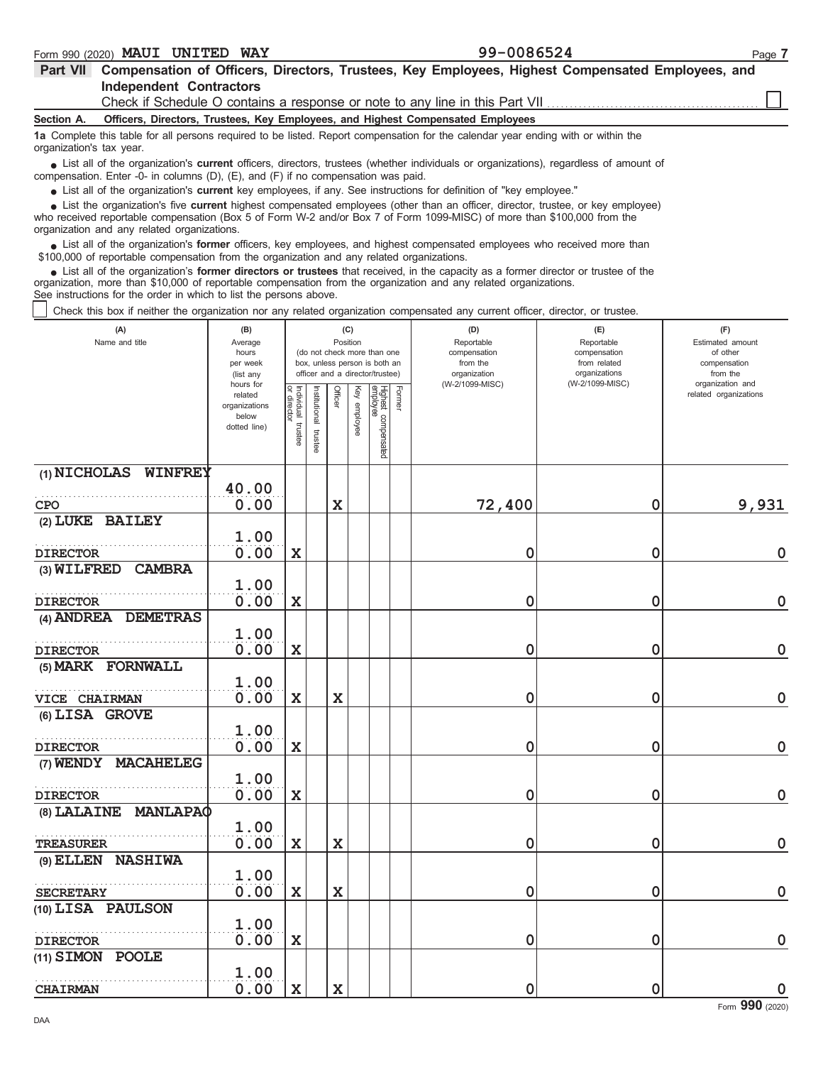| <b>WAY</b><br><b>UNITED</b><br><b>MAUI</b><br>990 (2020)<br>Form | $-0086521$<br>aa.<br>∙∪uopo∠. | Page |
|------------------------------------------------------------------|-------------------------------|------|
|------------------------------------------------------------------|-------------------------------|------|

| <b>Part VII</b>          | Compensation of Officers, Directors, Trustees, Key Employees, Highest Compensated Employees, and                                                                                                                                                          |
|--------------------------|-----------------------------------------------------------------------------------------------------------------------------------------------------------------------------------------------------------------------------------------------------------|
|                          | <b>Independent Contractors</b>                                                                                                                                                                                                                            |
|                          | Check if Schedule O contains a response or note to any line in this Part VII <i>configuent</i> on                                                                                                                                                         |
| Section A.               | Officers, Directors, Trustees, Key Employees, and Highest Compensated Employees                                                                                                                                                                           |
| organization's tax year. | 1a Complete this table for all persons required to be listed. Report compensation for the calendar year ending with or within the                                                                                                                         |
|                          | • List all of the organization's current officers, directors, trustees (whether individuals or organizations), regardless of amount of<br>compensation. Enter -0- in columns $(D)$ , $(E)$ , and $(F)$ if no compensation was paid.                       |
|                          | • List all of the organization's current key employees, if any. See instructions for definition of "key employee."                                                                                                                                        |
|                          | List the organization's five current highest compensated employees (other than an officer, director, trustee, or key employee)<br>who resolved reportable compensation (Boy E of Form W 2 and/or Boy 7 of Form 1000 MICC) of more than \$100,000 from the |

who received reportable compensation (Box 5 of Form W-2 and/or Box 7 of Form 1099-MISC) of more than \$100,000 from the organization and any related organizations.

• List all of the organization's **former** officers, key employees, and highest compensated employees who received more than<br>00,000 of reportable compensation from the ergonization and any related ergonizations \$100,000 of reportable compensation from the organization and any related organizations.

List all of the organization's **former directors or trustees** that received, in the capacity as a former director or trustee of the organization, more than \$10,000 of reportable compensation from the organization and any related organizations. See instructions for the order in which to list the persons above. **•**

Check this box if neither the organization nor any related organization compensated any current officer, director, or trustee.

| (A)<br>Name and title                               | (B)<br>Average<br>hours<br>per week<br>(list any<br>hours for |                                   |                          | Position    | (C)             | (do not check more than one<br>box, unless person is both an<br>officer and a director/trustee) |        | (D)<br>Reportable<br>compensation<br>from the<br>organization<br>(W-2/1099-MISC) | (E)<br>Reportable<br>compensation<br>from related<br>organizations<br>(W-2/1099-MISC) | (F)<br>Estimated amount<br>of other<br>compensation<br>from the<br>organization and |
|-----------------------------------------------------|---------------------------------------------------------------|-----------------------------------|--------------------------|-------------|-----------------|-------------------------------------------------------------------------------------------------|--------|----------------------------------------------------------------------------------|---------------------------------------------------------------------------------------|-------------------------------------------------------------------------------------|
|                                                     | related<br>organizations<br>below<br>dotted line)             | Individual trustee<br>or director | Institutional<br>trustee | Officer     | Key<br>enployee | Highest compensated<br>employee                                                                 | Former |                                                                                  |                                                                                       | related organizations                                                               |
| $(1)$ NICHOLAS WINFREY                              |                                                               |                                   |                          |             |                 |                                                                                                 |        |                                                                                  |                                                                                       |                                                                                     |
|                                                     | 40.00                                                         |                                   |                          |             |                 |                                                                                                 |        |                                                                                  |                                                                                       |                                                                                     |
| <b>CPO</b>                                          | 0.00                                                          |                                   |                          | $\mathbf x$ |                 |                                                                                                 |        | 72,400                                                                           | $\mathbf 0$                                                                           | 9,931                                                                               |
| (2) LUKE BAILEY                                     |                                                               |                                   |                          |             |                 |                                                                                                 |        |                                                                                  |                                                                                       |                                                                                     |
|                                                     | 1.00                                                          |                                   |                          |             |                 |                                                                                                 |        |                                                                                  |                                                                                       |                                                                                     |
| <b>DIRECTOR</b>                                     | 0.00                                                          | $\mathbf x$                       |                          |             |                 |                                                                                                 |        | 0                                                                                | 0                                                                                     | $\mathbf 0$                                                                         |
| $(3)$ WILFRED<br><b>CAMBRA</b>                      | 1.00                                                          |                                   |                          |             |                 |                                                                                                 |        |                                                                                  |                                                                                       |                                                                                     |
| <b>DIRECTOR</b>                                     | 0.00                                                          | $\mathbf x$                       |                          |             |                 |                                                                                                 |        | 0                                                                                | $\mathbf 0$                                                                           | $\mathbf 0$                                                                         |
| (4) ANDREA DEMETRAS                                 |                                                               |                                   |                          |             |                 |                                                                                                 |        |                                                                                  |                                                                                       |                                                                                     |
|                                                     | 1.00                                                          |                                   |                          |             |                 |                                                                                                 |        |                                                                                  |                                                                                       |                                                                                     |
| <b>DIRECTOR</b>                                     | 0.00                                                          | $\mathbf x$                       |                          |             |                 |                                                                                                 |        | 0                                                                                | 0                                                                                     | $\mathbf 0$                                                                         |
| (5) MARK FORNWALL                                   |                                                               |                                   |                          |             |                 |                                                                                                 |        |                                                                                  |                                                                                       |                                                                                     |
|                                                     | 1.00                                                          |                                   |                          |             |                 |                                                                                                 |        |                                                                                  |                                                                                       |                                                                                     |
| <b>VICE CHAIRMAN</b>                                | 0.00                                                          | $\mathbf x$                       |                          | $\mathbf x$ |                 |                                                                                                 |        | 0                                                                                | 0                                                                                     | $\mathbf 0$                                                                         |
| (6) LISA GROVE                                      |                                                               |                                   |                          |             |                 |                                                                                                 |        |                                                                                  |                                                                                       |                                                                                     |
|                                                     | 1.00                                                          |                                   |                          |             |                 |                                                                                                 |        |                                                                                  |                                                                                       |                                                                                     |
| <b>DIRECTOR</b>                                     | 0.00                                                          | $\mathbf x$                       |                          |             |                 |                                                                                                 |        | 0                                                                                | $\mathbf 0$                                                                           | $\pmb{0}$                                                                           |
| (7) WENDY MACAHELEG                                 |                                                               |                                   |                          |             |                 |                                                                                                 |        |                                                                                  |                                                                                       |                                                                                     |
|                                                     | 1.00                                                          |                                   |                          |             |                 |                                                                                                 |        |                                                                                  |                                                                                       | $\mathbf 0$                                                                         |
| <b>DIRECTOR</b><br>$(8)$ LALAINE<br><b>MANLAPAO</b> | 0.00                                                          | $\mathbf x$                       |                          |             |                 |                                                                                                 |        | 0                                                                                | 0                                                                                     |                                                                                     |
|                                                     | 1.00                                                          |                                   |                          |             |                 |                                                                                                 |        |                                                                                  |                                                                                       |                                                                                     |
| <b>TREASURER</b>                                    | 0.00                                                          | $\mathbf x$                       |                          | $\mathbf x$ |                 |                                                                                                 |        | 0                                                                                | 0                                                                                     | $\mathbf 0$                                                                         |
| (9) ELLEN NASHIWA                                   |                                                               |                                   |                          |             |                 |                                                                                                 |        |                                                                                  |                                                                                       |                                                                                     |
|                                                     | 1.00                                                          |                                   |                          |             |                 |                                                                                                 |        |                                                                                  |                                                                                       |                                                                                     |
| <b>SECRETARY</b>                                    | 0.00                                                          | $\overline{\mathbf{X}}$           |                          | $\mathbf x$ |                 |                                                                                                 |        | 0                                                                                | 0                                                                                     | $\mathbf 0$                                                                         |
| (10) LISA PAULSON                                   |                                                               |                                   |                          |             |                 |                                                                                                 |        |                                                                                  |                                                                                       |                                                                                     |
|                                                     | 1.00                                                          |                                   |                          |             |                 |                                                                                                 |        |                                                                                  |                                                                                       |                                                                                     |
| <b>DIRECTOR</b>                                     | 0.00                                                          | $\mathbf x$                       |                          |             |                 |                                                                                                 |        | 0                                                                                | $\mathbf 0$                                                                           | $\mathbf 0$                                                                         |
| (11) SIMON POOLE                                    |                                                               |                                   |                          |             |                 |                                                                                                 |        |                                                                                  |                                                                                       |                                                                                     |
|                                                     | 1.00                                                          |                                   |                          |             |                 |                                                                                                 |        |                                                                                  |                                                                                       |                                                                                     |
| <b>CHAIRMAN</b>                                     | 0.00                                                          | $\mathbf x$                       |                          | $\mathbf x$ |                 |                                                                                                 |        | 0                                                                                | $\mathbf 0$                                                                           | $\mathbf 0$                                                                         |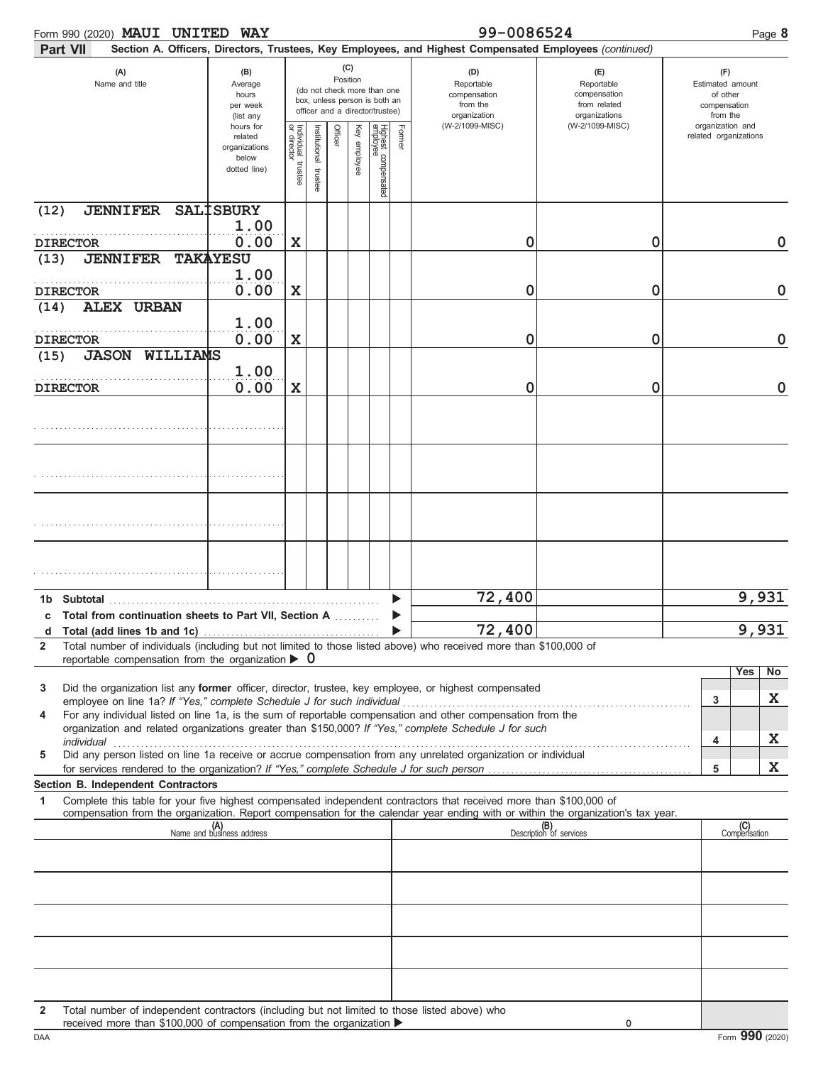| Form 990 (2020) MAUI UNITED                                                                                                                                                                | <b>WAY</b>                                                     |                                   |                       |                 |              |                                                                                                 |        | 99-0086524                                                                                             |                                                                    |                                                                 | Page 8    |
|--------------------------------------------------------------------------------------------------------------------------------------------------------------------------------------------|----------------------------------------------------------------|-----------------------------------|-----------------------|-----------------|--------------|-------------------------------------------------------------------------------------------------|--------|--------------------------------------------------------------------------------------------------------|--------------------------------------------------------------------|-----------------------------------------------------------------|-----------|
| <b>Part VII</b>                                                                                                                                                                            |                                                                |                                   |                       |                 |              |                                                                                                 |        | Section A. Officers, Directors, Trustees, Key Employees, and Highest Compensated Employees (continued) |                                                                    |                                                                 |           |
| (A)<br>Name and title                                                                                                                                                                      | (B)<br>Average<br>hours<br>per week<br>(list any               |                                   |                       | (C)<br>Position |              | (do not check more than one<br>box, unless person is both an<br>officer and a director/trustee) |        | (D)<br>Reportable<br>compensation<br>from the<br>organization                                          | (E)<br>Reportable<br>compensation<br>from related<br>organizations | (F)<br>Estimated amount<br>of other<br>compensation<br>from the |           |
|                                                                                                                                                                                            | hours for<br>related<br>organizations<br>below<br>dotted line) | Individual trustee<br>or director | Institutional trustee | Officer         | Key employee | Highest compensated<br>employee                                                                 | Former | (W-2/1099-MISC)                                                                                        | (W-2/1099-MISC)                                                    | organization and<br>related organizations                       |           |
| <b>JENNIFER</b><br>(12)                                                                                                                                                                    | <b>SALISBURY</b><br>1.00                                       |                                   |                       |                 |              |                                                                                                 |        |                                                                                                        |                                                                    |                                                                 |           |
| <b>DIRECTOR</b>                                                                                                                                                                            | 0.00                                                           | $\mathbf x$                       |                       |                 |              |                                                                                                 |        | 0                                                                                                      | 0                                                                  |                                                                 | 0         |
| <b>JENNIFER</b><br>(13)                                                                                                                                                                    | <b>TAKAYESU</b>                                                |                                   |                       |                 |              |                                                                                                 |        |                                                                                                        |                                                                    |                                                                 |           |
| <b>DIRECTOR</b>                                                                                                                                                                            | 1.00<br>0.00                                                   | $\mathbf x$                       |                       |                 |              |                                                                                                 |        | 0                                                                                                      | 0                                                                  |                                                                 | 0         |
| <b>ALEX URBAN</b><br>(14)                                                                                                                                                                  |                                                                |                                   |                       |                 |              |                                                                                                 |        |                                                                                                        |                                                                    |                                                                 |           |
| <b>DIRECTOR</b>                                                                                                                                                                            | 1.00<br>0.00                                                   | $\mathbf x$                       |                       |                 |              |                                                                                                 |        | 0                                                                                                      | 0                                                                  |                                                                 | 0         |
| WILLIAMS<br><b>JASON</b><br>(15)                                                                                                                                                           |                                                                |                                   |                       |                 |              |                                                                                                 |        |                                                                                                        |                                                                    |                                                                 |           |
| <b>DIRECTOR</b>                                                                                                                                                                            | 1.00<br>0.00                                                   | $\mathbf x$                       |                       |                 |              |                                                                                                 |        | 0                                                                                                      | 0                                                                  |                                                                 | 0         |
|                                                                                                                                                                                            |                                                                |                                   |                       |                 |              |                                                                                                 |        |                                                                                                        |                                                                    |                                                                 |           |
|                                                                                                                                                                                            |                                                                |                                   |                       |                 |              |                                                                                                 |        |                                                                                                        |                                                                    |                                                                 |           |
|                                                                                                                                                                                            |                                                                |                                   |                       |                 |              |                                                                                                 |        |                                                                                                        |                                                                    |                                                                 |           |
|                                                                                                                                                                                            |                                                                |                                   |                       |                 |              |                                                                                                 |        |                                                                                                        |                                                                    |                                                                 |           |
|                                                                                                                                                                                            |                                                                |                                   |                       |                 |              |                                                                                                 |        | 72,400                                                                                                 |                                                                    | 9,931                                                           |           |
| c Total from continuation sheets to Part VII, Section A                                                                                                                                    |                                                                |                                   |                       |                 |              |                                                                                                 |        |                                                                                                        |                                                                    |                                                                 |           |
| d<br>Total number of individuals (including but not limited to those listed above) who received more than \$100,000 of<br>$\overline{2}$                                                   |                                                                |                                   |                       |                 |              |                                                                                                 |        | 72,400                                                                                                 |                                                                    | 9,931                                                           |           |
| reportable compensation from the organization $\triangleright$ 0                                                                                                                           |                                                                |                                   |                       |                 |              |                                                                                                 |        |                                                                                                        |                                                                    | Yes                                                             | <b>No</b> |
| Did the organization list any former officer, director, trustee, key employee, or highest compensated<br>3                                                                                 |                                                                |                                   |                       |                 |              |                                                                                                 |        |                                                                                                        |                                                                    |                                                                 |           |
| employee on line 1a? If "Yes," complete Schedule J for such individual<br>For any individual listed on line 1a, is the sum of reportable compensation and other compensation from the<br>4 |                                                                |                                   |                       |                 |              |                                                                                                 |        |                                                                                                        |                                                                    | 3                                                               | X         |
| organization and related organizations greater than \$150,000? If "Yes," complete Schedule J for such                                                                                      |                                                                |                                   |                       |                 |              |                                                                                                 |        |                                                                                                        |                                                                    |                                                                 |           |
| individual<br>Did any person listed on line 1a receive or accrue compensation from any unrelated organization or individual<br>5                                                           |                                                                |                                   |                       |                 |              |                                                                                                 |        |                                                                                                        |                                                                    | 4                                                               | X         |
|                                                                                                                                                                                            |                                                                |                                   |                       |                 |              |                                                                                                 |        |                                                                                                        |                                                                    | 5                                                               | X         |
| Section B. Independent Contractors<br>Complete this table for your five highest compensated independent contractors that received more than \$100,000 of<br>1                              |                                                                |                                   |                       |                 |              |                                                                                                 |        |                                                                                                        |                                                                    |                                                                 |           |
| compensation from the organization. Report compensation for the calendar year ending with or within the organization's tax year.                                                           |                                                                |                                   |                       |                 |              |                                                                                                 |        |                                                                                                        |                                                                    |                                                                 |           |
|                                                                                                                                                                                            | (A)<br>Name and business address                               |                                   |                       |                 |              |                                                                                                 |        |                                                                                                        | (B)<br>Description of services                                     | (C)<br>Compensation                                             |           |
|                                                                                                                                                                                            |                                                                |                                   |                       |                 |              |                                                                                                 |        |                                                                                                        |                                                                    |                                                                 |           |
|                                                                                                                                                                                            |                                                                |                                   |                       |                 |              |                                                                                                 |        |                                                                                                        |                                                                    |                                                                 |           |
|                                                                                                                                                                                            |                                                                |                                   |                       |                 |              |                                                                                                 |        |                                                                                                        |                                                                    |                                                                 |           |
|                                                                                                                                                                                            |                                                                |                                   |                       |                 |              |                                                                                                 |        |                                                                                                        |                                                                    |                                                                 |           |
|                                                                                                                                                                                            |                                                                |                                   |                       |                 |              |                                                                                                 |        |                                                                                                        |                                                                    |                                                                 |           |
| Total number of independent contractors (including but not limited to those listed above) who<br>$\mathbf{2}$<br>received more than \$100,000 of compensation from the organization ▶      |                                                                |                                   |                       |                 |              |                                                                                                 |        |                                                                                                        | 0                                                                  |                                                                 |           |

|     | ICUCIVCH IIIUIC UICH<br>9 IUU.UUU UL<br><b>COLLIDGLISQUOLL TIOLL UTC</b><br>UIUQIII <i>L</i> QUUI P |  |
|-----|-----------------------------------------------------------------------------------------------------|--|
| DAA |                                                                                                     |  |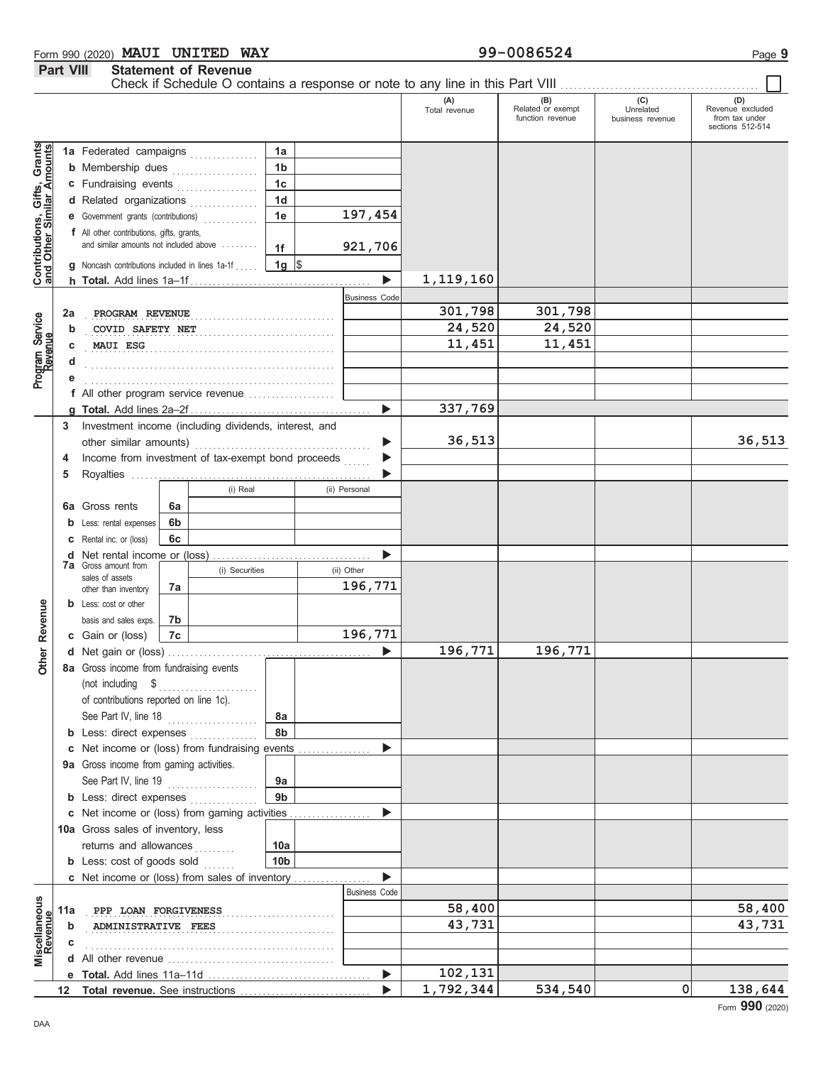| Form 990 (2020) MAUI UNITED |                             | <b>WAY</b> | 99-0086524 | $P$ ade $\sim$ |
|-----------------------------|-----------------------------|------------|------------|----------------|
| <b>Part VIII</b>            | <b>Statement of Revenue</b> |            |            |                |

|                                                                  |     |                                                        |                |          |                 |                       | Check if Schedule O contains a response or note to any line in this Part VIII |                                                |                                      |                                                        |
|------------------------------------------------------------------|-----|--------------------------------------------------------|----------------|----------|-----------------|-----------------------|-------------------------------------------------------------------------------|------------------------------------------------|--------------------------------------|--------------------------------------------------------|
|                                                                  |     |                                                        |                |          |                 |                       | (A)<br>Total revenue                                                          | $(B)$<br>Related or exempt<br>function revenue | (C)<br>Unrelated<br>business revenue | Revenue excluded<br>from tax under<br>sections 512-514 |
|                                                                  |     | 1a Federated campaigns                                 |                |          | 1a              |                       |                                                                               |                                                |                                      |                                                        |
| <b>Contributions, Gifts, Grants</b><br>and Other Similar Amounts |     | <b>b</b> Membership dues                               |                |          | 1 <sub>b</sub>  |                       |                                                                               |                                                |                                      |                                                        |
|                                                                  |     | c Fundraising events                                   |                | .        | 1 <sub>c</sub>  |                       |                                                                               |                                                |                                      |                                                        |
|                                                                  |     | d Related organizations                                |                |          | 1 <sub>d</sub>  |                       |                                                                               |                                                |                                      |                                                        |
|                                                                  |     | e Government grants (contributions)                    |                |          | 1e              | 197,454               |                                                                               |                                                |                                      |                                                        |
|                                                                  |     | f All other contributions, gifts, grants,              |                |          |                 |                       |                                                                               |                                                |                                      |                                                        |
|                                                                  |     | and similar amounts not included above                 |                |          | 1f              | 921,706               |                                                                               |                                                |                                      |                                                        |
|                                                                  |     | <b>g</b> Noncash contributions included in lines 1a-1f |                |          | $1g \,$ \$      |                       |                                                                               |                                                |                                      |                                                        |
|                                                                  |     |                                                        |                |          |                 | ь                     | 1, 119, 160                                                                   |                                                |                                      |                                                        |
|                                                                  |     |                                                        |                |          |                 | <b>Business Code</b>  |                                                                               |                                                |                                      |                                                        |
|                                                                  | 2a  | PROGRAM REVENUE                                        |                |          |                 |                       | 301,798                                                                       | 301,798                                        |                                      |                                                        |
| Program Service<br>Revenue                                       | b   | COVID SAFETY NET                                       |                |          |                 |                       | 24,520                                                                        | 24,520                                         |                                      |                                                        |
|                                                                  |     | MAUI ESG                                               |                |          |                 |                       | 11,451                                                                        | 11,451                                         |                                      |                                                        |
|                                                                  |     |                                                        |                |          |                 |                       |                                                                               |                                                |                                      |                                                        |
|                                                                  |     |                                                        |                |          |                 |                       |                                                                               |                                                |                                      |                                                        |
|                                                                  |     | f All other program service revenue                    |                |          |                 |                       |                                                                               |                                                |                                      |                                                        |
|                                                                  |     |                                                        |                |          |                 | $\blacktriangleright$ | 337,769                                                                       |                                                |                                      |                                                        |
|                                                                  | 3   | Investment income (including dividends, interest, and  |                |          |                 |                       |                                                                               |                                                |                                      |                                                        |
|                                                                  |     |                                                        |                |          |                 | ▶                     | 36,513                                                                        |                                                |                                      | 36,513                                                 |
|                                                                  | 4   | Income from investment of tax-exempt bond proceeds     |                |          |                 | ▶                     |                                                                               |                                                |                                      |                                                        |
|                                                                  | 5   |                                                        |                |          |                 |                       |                                                                               |                                                |                                      |                                                        |
|                                                                  |     |                                                        |                | (i) Real |                 | (ii) Personal         |                                                                               |                                                |                                      |                                                        |
|                                                                  |     | 6a Gross rents                                         | 6a             |          |                 |                       |                                                                               |                                                |                                      |                                                        |
|                                                                  |     | Less: rental expenses                                  | 6b             |          |                 |                       |                                                                               |                                                |                                      |                                                        |
|                                                                  |     | Rental inc. or (loss)                                  | 6c             |          |                 |                       |                                                                               |                                                |                                      |                                                        |
|                                                                  | d   | Net rental income or (loss)                            |                |          |                 |                       |                                                                               |                                                |                                      |                                                        |
|                                                                  |     | <b>7a</b> Gross amount from<br>sales of assets         | (i) Securities |          | (ii) Other      |                       |                                                                               |                                                |                                      |                                                        |
|                                                                  |     | other than inventory                                   | 7а             |          |                 | 196,771               |                                                                               |                                                |                                      |                                                        |
|                                                                  |     | <b>b</b> Less: cost or other                           |                |          |                 |                       |                                                                               |                                                |                                      |                                                        |
| Revenue                                                          |     | basis and sales exps.                                  | 7b             |          |                 |                       |                                                                               |                                                |                                      |                                                        |
|                                                                  |     | c Gain or (loss)                                       | 7c             |          |                 | 196,771               |                                                                               |                                                |                                      |                                                        |
| <b>Other</b>                                                     |     |                                                        |                |          |                 | ь                     | 196,771                                                                       | 196,771                                        |                                      |                                                        |
|                                                                  |     | 8a Gross income from fundraising events                |                |          |                 |                       |                                                                               |                                                |                                      |                                                        |
|                                                                  |     | (not including \$                                      |                |          |                 |                       |                                                                               |                                                |                                      |                                                        |
|                                                                  |     | of contributions reported on line 1c).                 |                |          |                 |                       |                                                                               |                                                |                                      |                                                        |
|                                                                  |     | See Part IV, line 18                                   |                | .        | 8а              |                       |                                                                               |                                                |                                      |                                                        |
|                                                                  |     | <b>b</b> Less: direct expenses                         |                |          | 8b              |                       |                                                                               |                                                |                                      |                                                        |
|                                                                  | c   | Net income or (loss) from fundraising events           |                |          |                 |                       |                                                                               |                                                |                                      |                                                        |
|                                                                  |     | 9a Gross income from gaming activities.                |                |          |                 |                       |                                                                               |                                                |                                      |                                                        |
|                                                                  |     | See Part IV, line 19                                   |                | .        | 9а              |                       |                                                                               |                                                |                                      |                                                        |
|                                                                  |     | <b>b</b> Less: direct expenses                         |                |          | 9 <sub>b</sub>  |                       |                                                                               |                                                |                                      |                                                        |
|                                                                  |     | c Net income or (loss) from gaming activities          |                |          |                 |                       |                                                                               |                                                |                                      |                                                        |
|                                                                  |     | 10a Gross sales of inventory, less                     |                |          |                 |                       |                                                                               |                                                |                                      |                                                        |
|                                                                  |     | returns and allowances                                 |                | .        | 10a             |                       |                                                                               |                                                |                                      |                                                        |
|                                                                  |     | <b>b</b> Less: cost of goods sold                      |                |          | 10 <sub>b</sub> |                       |                                                                               |                                                |                                      |                                                        |
|                                                                  |     | c Net income or (loss) from sales of inventory         |                |          |                 |                       |                                                                               |                                                |                                      |                                                        |
|                                                                  |     |                                                        |                |          |                 | <b>Business Code</b>  |                                                                               |                                                |                                      |                                                        |
|                                                                  | 11a | PPP LOAN FORGIVENESS                                   |                |          |                 |                       | 58,400                                                                        |                                                |                                      | 58,400                                                 |
| Miscellaneous<br>Revenue                                         | b   | ADMINISTRATIVE FEES                                    |                |          |                 |                       | 43,731                                                                        |                                                |                                      | 43,731                                                 |
|                                                                  |     |                                                        |                |          |                 |                       |                                                                               |                                                |                                      |                                                        |
|                                                                  |     |                                                        |                |          |                 |                       |                                                                               |                                                |                                      |                                                        |
|                                                                  |     |                                                        |                |          |                 | ▶                     | 102,131                                                                       |                                                |                                      |                                                        |
|                                                                  |     |                                                        |                |          |                 |                       | 1,792,344                                                                     | 534,540                                        | 0                                    | 138,644                                                |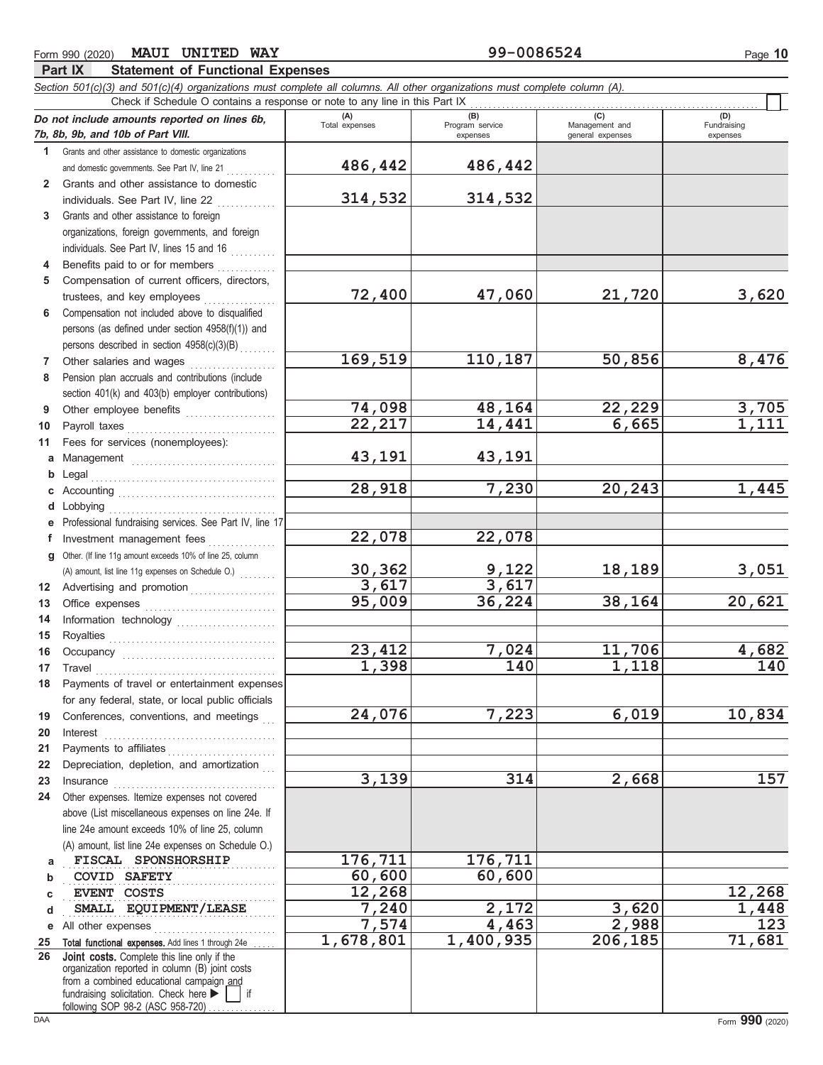#### Form 990 (2020) Page **10 MAUI UNITED WAY 99-0086524**

## **Part IX Statement of Functional Expenses**

*Section 501(c)(3) and 501(c)(4) organizations must complete all columns. All other organizations must complete column (A).*

|              | Check if Schedule O contains a response or note to any line in this Part IX                              |                        |                                    |                                           |                                |
|--------------|----------------------------------------------------------------------------------------------------------|------------------------|------------------------------------|-------------------------------------------|--------------------------------|
|              | Do not include amounts reported on lines 6b,<br>7b, 8b, 9b, and 10b of Part VIII.                        | (A)<br>Total expenses  | (B)<br>Program service<br>expenses | (C)<br>Management and<br>general expenses | (D)<br>Fundraising<br>expenses |
| 1.           | Grants and other assistance to domestic organizations                                                    |                        |                                    |                                           |                                |
|              | and domestic governments. See Part IV, line 21                                                           | 486,442                | 486,442                            |                                           |                                |
| $\mathbf{2}$ | Grants and other assistance to domestic                                                                  |                        |                                    |                                           |                                |
|              | individuals. See Part IV, line 22                                                                        | 314,532                | 314,532                            |                                           |                                |
| 3            | Grants and other assistance to foreign                                                                   |                        |                                    |                                           |                                |
|              | organizations, foreign governments, and foreign                                                          |                        |                                    |                                           |                                |
|              | individuals. See Part IV, lines 15 and 16                                                                |                        |                                    |                                           |                                |
| 4            | Benefits paid to or for members                                                                          |                        |                                    |                                           |                                |
| 5            | Compensation of current officers, directors,                                                             |                        |                                    |                                           |                                |
|              | trustees, and key employees                                                                              | 72,400                 | 47,060                             | 21,720                                    | 3,620                          |
| 6            | Compensation not included above to disqualified                                                          |                        |                                    |                                           |                                |
|              | persons (as defined under section 4958(f)(1)) and                                                        |                        |                                    |                                           |                                |
|              | persons described in section 4958(c)(3)(B)                                                               |                        |                                    |                                           |                                |
| 7            | Other salaries and wages                                                                                 | 169,519                | 110,187                            | 50,856                                    | 8,476                          |
| 8            | Pension plan accruals and contributions (include                                                         |                        |                                    |                                           |                                |
|              | section 401(k) and 403(b) employer contributions)                                                        | 74,098                 | 48,164                             | 22,229                                    | 3,705                          |
| 9            | Other employee benefits                                                                                  | 22,217                 | 14,441                             | 6,665                                     | 1,111                          |
| 10<br>11     | Payroll taxes<br>Fees for services (nonemployees):                                                       |                        |                                    |                                           |                                |
|              |                                                                                                          | 43,191                 | 43,191                             |                                           |                                |
| a<br>b       | Legal                                                                                                    |                        |                                    |                                           |                                |
| С            |                                                                                                          | 28,918                 | 7,230                              | 20,243                                    | 1,445                          |
| d            | obbying                                                                                                  |                        |                                    |                                           |                                |
| е            | Professional fundraising services. See Part IV, line 17                                                  |                        |                                    |                                           |                                |
| f            | Investment management fees                                                                               | 22,078                 | 22,078                             |                                           |                                |
| g            | Other. (If line 11g amount exceeds 10% of line 25, column                                                |                        |                                    |                                           |                                |
|              | (A) amount, list line 11g expenses on Schedule O.)                                                       |                        | 9,122                              | 18,189                                    | 3,051                          |
| 12           | Advertising and promotion                                                                                | $\frac{30,362}{3,617}$ | 3,617                              |                                           |                                |
| 13           |                                                                                                          | 95,009                 | 36,224                             | 38,164                                    | 20,621                         |
| 14           | Information technology                                                                                   |                        |                                    |                                           |                                |
| 15           |                                                                                                          |                        |                                    |                                           |                                |
| 16           |                                                                                                          | 23,412                 | 7,024                              | 11,706                                    | 4,682                          |
| 17           | Travel                                                                                                   | 1,398                  | 140                                | 1,118                                     | 140                            |
| 18           | Payments of travel or entertainment expenses                                                             |                        |                                    |                                           |                                |
|              | for any federal, state, or local public officials                                                        |                        |                                    |                                           |                                |
| 19           | Conferences, conventions, and meetings                                                                   | 24,076                 | 7,223                              | 6,019                                     | 10,834                         |
| 20           | Interest                                                                                                 |                        |                                    |                                           |                                |
| 21           | Payments to affiliates<br><u> 1986 - Johann Stoff, martin Amerikaansk konge</u>                          |                        |                                    |                                           |                                |
| 22           | Depreciation, depletion, and amortization                                                                |                        |                                    |                                           |                                |
| 23           | Insurance                                                                                                | 3,139                  | 314                                | 2,668                                     | 157                            |
| 24           | Other expenses. Itemize expenses not covered                                                             |                        |                                    |                                           |                                |
|              | above (List miscellaneous expenses on line 24e. If                                                       |                        |                                    |                                           |                                |
|              | line 24e amount exceeds 10% of line 25, column                                                           |                        |                                    |                                           |                                |
|              | (A) amount, list line 24e expenses on Schedule O.)                                                       |                        |                                    |                                           |                                |
| a            | FISCAL SPONSHORSHIP                                                                                      | 176,711                | 176,711                            |                                           |                                |
| b            | <b>COVID SAFETY</b>                                                                                      | 60,600                 | 60,600                             |                                           |                                |
| C            | EVENT COSTS<br>SMALL EQUIPMENT/LEASE                                                                     | 12,268<br>7,240        | 2,172                              | 3,620                                     | 12,268                         |
| d            |                                                                                                          | 7,574                  | 4,463                              | 2,988                                     | 1,448<br>$\overline{123}$      |
| е            | All other expenses                                                                                       | $\overline{1,678,801}$ | 1,400,935                          | 206,185                                   | 71,681                         |
| 25<br>26     | Total functional expenses. Add lines 1 through 24e<br><b>Joint costs.</b> Complete this line only if the |                        |                                    |                                           |                                |
|              | organization reported in column (B) joint costs                                                          |                        |                                    |                                           |                                |
|              | from a combined educational campaign and                                                                 |                        |                                    |                                           |                                |
|              | fundraising solicitation. Check here<br>if<br>following SOP 98-2 (ASC 958-720).                          |                        |                                    |                                           |                                |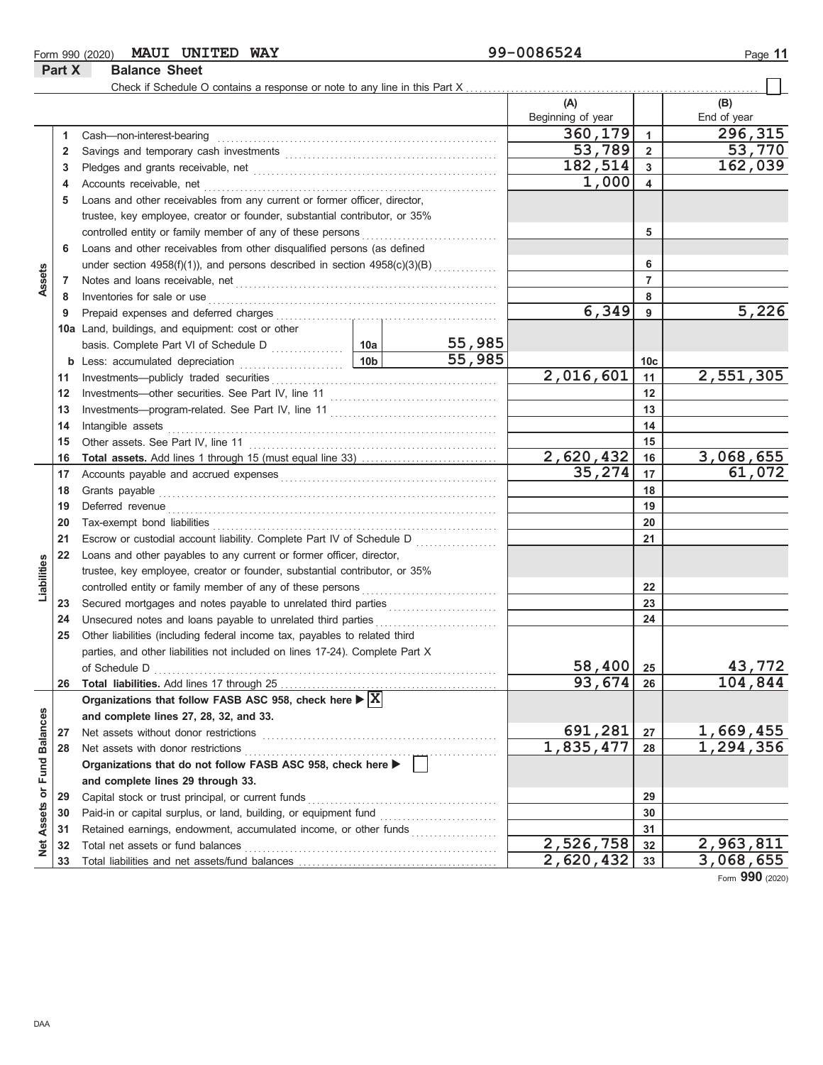#### Form 990 (2020) Page **11 MAUI UNITED WAY 99-0086524**

**Part X Balance Sheet**

|                             |              |                                                                                                                                                                                                                                      |           |        | (A)               |                | (B)         |
|-----------------------------|--------------|--------------------------------------------------------------------------------------------------------------------------------------------------------------------------------------------------------------------------------------|-----------|--------|-------------------|----------------|-------------|
|                             |              |                                                                                                                                                                                                                                      |           |        | Beginning of year |                | End of year |
|                             | $\mathbf{1}$ | Cash-non-interest-bearing                                                                                                                                                                                                            |           |        | 360, 179          | $\mathbf{1}$   | 296,315     |
|                             | 2            |                                                                                                                                                                                                                                      |           |        | 53,789            | $\overline{2}$ | 53,770      |
|                             | 3            |                                                                                                                                                                                                                                      |           |        | 182,514           | 3              | 162,039     |
|                             | 4            | Accounts receivable, net                                                                                                                                                                                                             |           | 1,000  | 4                 |                |             |
|                             | 5            | Loans and other receivables from any current or former officer, director,                                                                                                                                                            |           |        |                   |                |             |
|                             |              | trustee, key employee, creator or founder, substantial contributor, or 35%                                                                                                                                                           |           |        |                   |                |             |
|                             |              |                                                                                                                                                                                                                                      |           | 5      |                   |                |             |
|                             | 6            | Loans and other receivables from other disqualified persons (as defined                                                                                                                                                              |           |        |                   |                |             |
|                             |              | under section 4958(f)(1)), and persons described in section 4958(c)(3)(B)                                                                                                                                                            |           |        |                   | 6              |             |
| Assets                      | 7            |                                                                                                                                                                                                                                      |           |        |                   | 7              |             |
|                             | 8            | Inventories for sale or use <b>contained a set of the set of the set of the set of the set of the set of the set of the set of the set of the set of the set of the set of the set of the set of the set of the set of the set o</b> |           |        |                   | 8              |             |
|                             | 9            |                                                                                                                                                                                                                                      |           |        | 6,349             | 9              | 5,226       |
|                             |              | 10a Land, buildings, and equipment: cost or other                                                                                                                                                                                    |           |        |                   |                |             |
|                             |              |                                                                                                                                                                                                                                      |           | 55,985 |                   |                |             |
|                             |              | <b>b</b> Less: accumulated depreciation <b>10b</b>                                                                                                                                                                                   |           | 55,985 |                   | 10c            |             |
|                             | 11           |                                                                                                                                                                                                                                      |           |        | 2,016,601         | 11             | 2,551,305   |
|                             | 12           |                                                                                                                                                                                                                                      |           |        |                   | 12             |             |
|                             | 13           |                                                                                                                                                                                                                                      |           |        |                   | 13             |             |
|                             | 14           | Intangible assets                                                                                                                                                                                                                    |           |        |                   | 14             |             |
|                             | 15           |                                                                                                                                                                                                                                      |           |        |                   | 15             |             |
|                             | 16           |                                                                                                                                                                                                                                      |           |        | 2,620,432         | 16             | 3,068,655   |
|                             | 17           |                                                                                                                                                                                                                                      |           |        | 35,274            | 17             | 61,072      |
|                             | 18           |                                                                                                                                                                                                                                      |           |        |                   | 18             |             |
|                             | 19           | Deferred revenue communications and contain a series of the container and contain a series of the container and contain a series of the container and contain a series of the container and container and container and contai       |           |        |                   | 19             |             |
|                             | 20           |                                                                                                                                                                                                                                      |           | 20     |                   |                |             |
|                             | 21           | Escrow or custodial account liability. Complete Part IV of Schedule D                                                                                                                                                                |           |        |                   | 21             |             |
|                             | 22           | Loans and other payables to any current or former officer, director,                                                                                                                                                                 |           |        |                   |                |             |
| Liabilities                 |              | trustee, key employee, creator or founder, substantial contributor, or 35%                                                                                                                                                           |           |        |                   |                |             |
|                             |              |                                                                                                                                                                                                                                      |           |        |                   | 22             |             |
|                             | 23           |                                                                                                                                                                                                                                      |           |        |                   | 23             |             |
|                             | 24           | Unsecured notes and loans payable to unrelated third parties                                                                                                                                                                         |           |        | 24                |                |             |
|                             | 25           | Other liabilities (including federal income tax, payables to related third                                                                                                                                                           |           |        |                   |                |             |
|                             |              | parties, and other liabilities not included on lines 17-24). Complete Part X                                                                                                                                                         |           |        |                   |                |             |
|                             |              |                                                                                                                                                                                                                                      |           |        | 58,400            | 25             | 43,772      |
|                             | 26           |                                                                                                                                                                                                                                      |           |        | <u>93,674</u>     | 26             | 104,844     |
|                             |              | Organizations that follow FASB ASC 958, check here $\blacktriangleright \boxed{X}$                                                                                                                                                   |           |        |                   |                |             |
|                             |              | and complete lines 27, 28, 32, and 33.                                                                                                                                                                                               |           |        |                   |                |             |
|                             | 27           | Net assets without donor restrictions                                                                                                                                                                                                |           |        | 691,281           | 27             | 1,669,455   |
|                             | 28           | Net assets with donor restrictions                                                                                                                                                                                                   |           |        | 1,835,477         | 28             | 1,294,356   |
|                             |              | Organizations that do not follow FASB ASC 958, check here >                                                                                                                                                                          |           |        |                   |                |             |
|                             |              | and complete lines 29 through 33.                                                                                                                                                                                                    |           |        |                   |                |             |
| Net Assets or Fund Balances | 29           | Capital stock or trust principal, or current funds                                                                                                                                                                                   |           |        |                   | 29             |             |
|                             | 30           |                                                                                                                                                                                                                                      |           |        |                   | 30             |             |
|                             | 31           | Retained earnings, endowment, accumulated income, or other funds                                                                                                                                                                     |           |        |                   | 31             |             |
|                             | 32           | Total net assets or fund balances                                                                                                                                                                                                    |           |        | 2,526,758         | 32             | 2,963,811   |
|                             | 33           |                                                                                                                                                                                                                                      | 2,620,432 | 33     | 3,068,655         |                |             |

Form **990** (2020)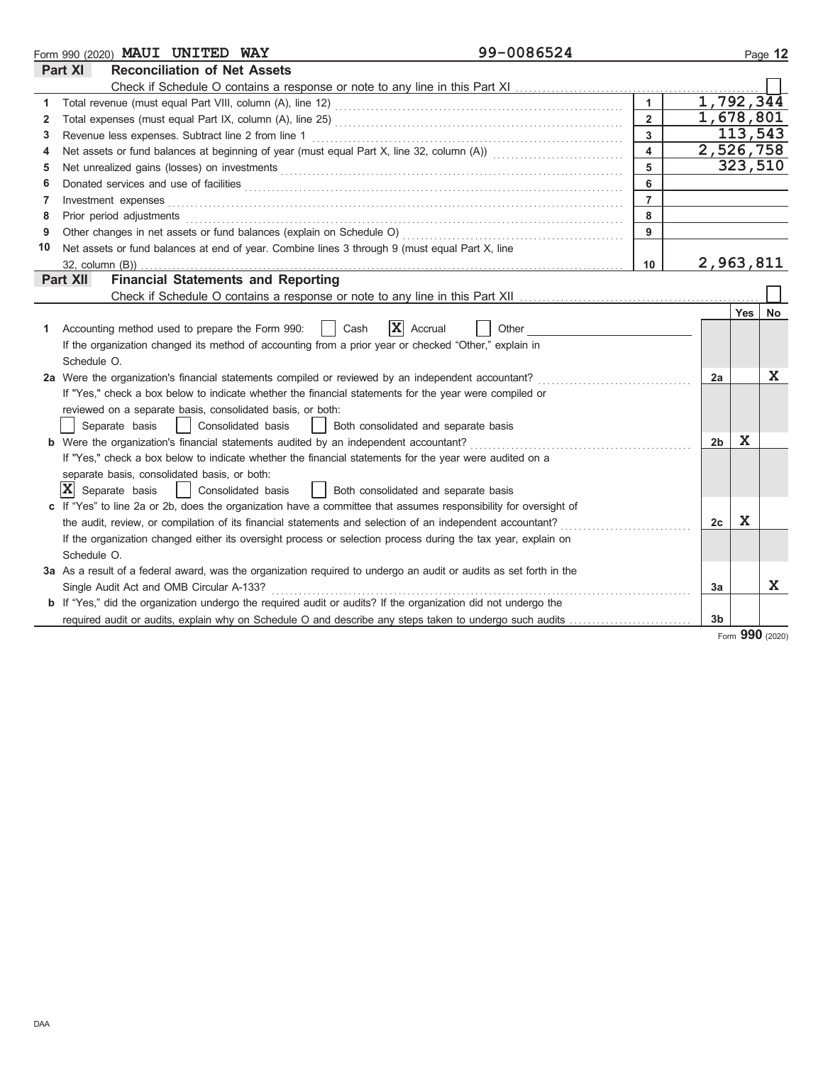|    | 99-0086524<br>Form 990 (2020) MAUI UNITED WAY                                                                                        |                         |                |         | Page 12      |  |
|----|--------------------------------------------------------------------------------------------------------------------------------------|-------------------------|----------------|---------|--------------|--|
|    | Part XI<br><b>Reconciliation of Net Assets</b>                                                                                       |                         |                |         |              |  |
|    | Check if Schedule O contains a response or note to any line in this Part XI                                                          |                         |                |         |              |  |
| 1  |                                                                                                                                      | $\blacktriangleleft$    | 1,792,344      |         |              |  |
| 2  | 1,678,801<br>$\overline{2}$                                                                                                          |                         |                |         |              |  |
| 3  | Revenue less expenses. Subtract line 2 from line 1                                                                                   | $\overline{3}$          |                | 113,543 |              |  |
| 4  | Net assets or fund balances at beginning of year (must equal Part X, line 32, column (A)) [[[[[[[[[[[[[[[[[[[                        | $\overline{\mathbf{4}}$ | 2,526,758      |         |              |  |
| 5  |                                                                                                                                      | 5                       |                | 323,510 |              |  |
| 6  | Donated services and use of facilities <b>constructs</b> and a service of the service of the service of facilities <b>constructs</b> | 6                       |                |         |              |  |
| 7  | Investment expenses                                                                                                                  | $\overline{7}$          |                |         |              |  |
| 8  | Prior period adjustments                                                                                                             | 8                       |                |         |              |  |
| 9  | Other changes in net assets or fund balances (explain on Schedule O)                                                                 | 9                       |                |         |              |  |
| 10 | Net assets or fund balances at end of year. Combine lines 3 through 9 (must equal Part X, line                                       |                         |                |         |              |  |
|    | $32$ , column $(B)$ )                                                                                                                | 10                      | 2,963,811      |         |              |  |
|    | <b>Financial Statements and Reporting</b><br>Part XII                                                                                |                         |                |         |              |  |
|    |                                                                                                                                      |                         |                |         |              |  |
|    |                                                                                                                                      |                         |                | Yes     | No           |  |
| 1  | X<br>Cash<br>Accrual<br>Other<br>Accounting method used to prepare the Form 990:                                                     |                         |                |         |              |  |
|    | If the organization changed its method of accounting from a prior year or checked "Other," explain in                                |                         |                |         |              |  |
|    | Schedule O.                                                                                                                          |                         |                |         |              |  |
|    | 2a Were the organization's financial statements compiled or reviewed by an independent accountant?                                   |                         | 2a             |         | X            |  |
|    | If "Yes," check a box below to indicate whether the financial statements for the year were compiled or                               |                         |                |         |              |  |
|    | reviewed on a separate basis, consolidated basis, or both:                                                                           |                         |                |         |              |  |
|    | Separate basis<br>Consolidated basis<br>Both consolidated and separate basis<br>$\perp$                                              |                         |                |         |              |  |
|    | b Were the organization's financial statements audited by an independent accountant?                                                 |                         | 2 <sub>b</sub> | X       |              |  |
|    | If "Yes," check a box below to indicate whether the financial statements for the year were audited on a                              |                         |                |         |              |  |
|    | separate basis, consolidated basis, or both:                                                                                         |                         |                |         |              |  |
|    | $ X $ Separate basis<br>Consolidated basis<br>  Both consolidated and separate basis                                                 |                         |                |         |              |  |
|    | If "Yes" to line 2a or 2b, does the organization have a committee that assumes responsibility for oversight of                       |                         |                |         |              |  |
|    | the audit, review, or compilation of its financial statements and selection of an independent accountant?                            |                         | 2c             | X       |              |  |
|    | If the organization changed either its oversight process or selection process during the tax year, explain on                        |                         |                |         |              |  |
|    | Schedule O.                                                                                                                          |                         |                |         |              |  |
|    | 3a As a result of a federal award, was the organization required to undergo an audit or audits as set forth in the                   |                         |                |         |              |  |
|    | Single Audit Act and OMB Circular A-133?                                                                                             |                         | 3a             |         | $\mathbf{x}$ |  |
|    | <b>b</b> If "Yes," did the organization undergo the required audit or audits? If the organization did not undergo the                |                         |                |         |              |  |
|    | required audit or audits, explain why on Schedule O and describe any steps taken to undergo such audits                              |                         | 3 <sub>b</sub> |         |              |  |

Form **990** (2020)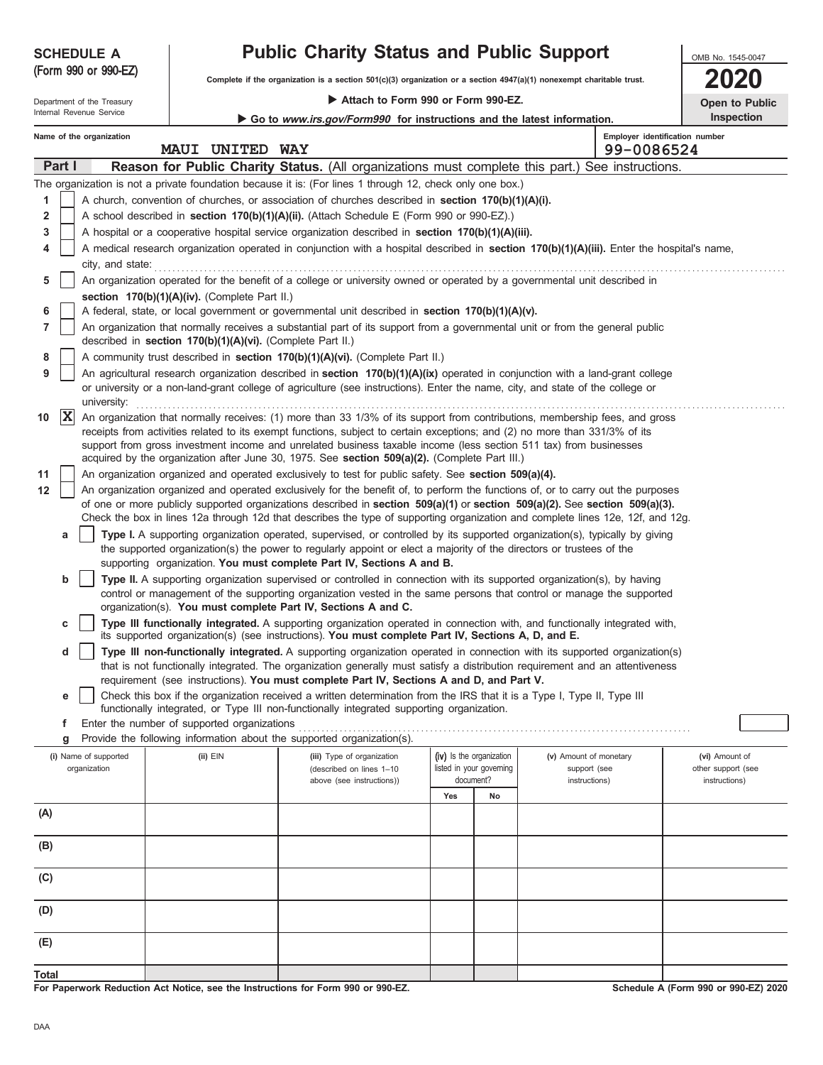| ۰, | PU 1 |  |
|----|------|--|

**5**

**6 7**

**11 12**

**d**

**e**

**For Paperwork Reduction Act Notice, see the Instructions for Form 990 or 990-EZ.**

**Schedule A (Form 990 or 990-EZ) 2020**

#### **Employer identification number Name of the organization** Internal Revenue Service Department of the Treasury OMB No. 1545-0047 Attach to Form 990 or Form 990-EZ. **Complete if the organization is a section 501(c)(3) organization or a section 4947(a)(1) nonexempt charitable trust.** (Form 990 or 990-EZ) **Part I Reason for Public Charity Status.** (All organizations must complete this part.) See instructions. **SCHEDULE A Public Charity Status and Public Support 2020 Inspection** The organization is not a private foundation because it is: (For lines 1 through 12, check only one box.) A church, convention of churches, or association of churches described in **section 170(b)(1)(A)(i).** A school described in **section 170(b)(1)(A)(ii).** (Attach Schedule E (Form 990 or 990-EZ).) ▶ Go to www.irs.gov/Form990 for instructions and the latest information. **MAUI UNITED WAY 99-0086524**

A medical research organization operated in conjunction with a hospital described in **section 170(b)(1)(A)(iii).** Enter the hospital's name, city, and state: **contract the state** of the state of the state of the state of the state of the state of the state of the state of the state of the state of the state of the state of the state of the state of the state of An organization operated for the benefit of a college or university owned or operated by a governmental unit described in

|                   |             | $\sim$ icacial, state, or local government or governmental unit acsembed in section Try(D)(T)(A)(V).                                                                                                                                                                                                                                                                                                                                                                             |
|-------------------|-------------|----------------------------------------------------------------------------------------------------------------------------------------------------------------------------------------------------------------------------------------------------------------------------------------------------------------------------------------------------------------------------------------------------------------------------------------------------------------------------------|
|                   |             | An organization that normally receives a substantial part of its support from a governmental unit or from the general public<br>described in section 170(b)(1)(A)(vi). (Complete Part II.)                                                                                                                                                                                                                                                                                       |
| 8                 |             | A community trust described in <b>section 170(b)(1)(A)(vi).</b> (Complete Part II.)                                                                                                                                                                                                                                                                                                                                                                                              |
| 9                 |             | An agricultural research organization described in section 170(b)(1)(A)(ix) operated in conjunction with a land-grant college                                                                                                                                                                                                                                                                                                                                                    |
|                   |             | or university or a non-land-grant college of agriculture (see instructions). Enter the name, city, and state of the college or<br>university:                                                                                                                                                                                                                                                                                                                                    |
| 10                | $ {\bf X} $ | An organization that normally receives: (1) more than 33 1/3% of its support from contributions, membership fees, and gross<br>receipts from activities related to its exempt functions, subject to certain exceptions; and (2) no more than 331/3% of its<br>support from gross investment income and unrelated business taxable income (less section 511 tax) from businesses<br>acquired by the organization after June 30, 1975. See section 509(a)(2). (Complete Part III.) |
| 11                |             | An organization organized and operated exclusively to test for public safety. See section 509(a)(4).                                                                                                                                                                                                                                                                                                                                                                             |
| $12 \overline{ }$ |             | An organization organized and operated exclusively for the benefit of, to perform the functions of, or to carry out the purposes<br>of one or more publicly supported organizations described in section 509(a)(1) or section 509(a)(2). See section 509(a)(3).<br>Check the box in lines 12a through 12d that describes the type of supporting organization and complete lines 12e, 12f, and 12g.                                                                               |
|                   | a           | Type I. A supporting organization operated, supervised, or controlled by its supported organization(s), typically by giving<br>the supported organization(s) the power to regularly appoint or elect a majority of the directors or trustees of the<br>supporting organization. You must complete Part IV, Sections A and B.                                                                                                                                                     |
|                   | b           | Type II. A supporting organization supervised or controlled in connection with its supported organization(s), by having<br>control or management of the supporting organization vested in the same persons that control or manage the supported<br>organization(s). You must complete Part IV, Sections A and C.                                                                                                                                                                 |
|                   | c           | Type III functionally integrated. A supporting organization operated in connection with, and functionally integrated with,<br>its supported organization(s) (see instructions). You must complete Part IV, Sections A, D, and E.                                                                                                                                                                                                                                                 |

| Type III non-functionally integrated. A supporting organization operated in connection with its supported organization(s)    |
|------------------------------------------------------------------------------------------------------------------------------|
| that is not functionally integrated. The organization generally must satisfy a distribution requirement and an attentiveness |
| requirement (see instructions). You must complete Part IV, Sections A and D, and Part V.                                     |

| Check this box if the organization received a written determination from the IRS that it is a Type I, Type II, Type III |
|-------------------------------------------------------------------------------------------------------------------------|
| " functionally integrated, or Type III non-functionally integrated supporting organization.                             |

**f** Enter the number of supported organizations . . . . . . . . . . . . . . . . . . . . . . . . . . . . . . . . . . . . . . . . . . . . . . . . . . . . . . . . . . . . . . . . . . . . . . . . . . . . . . . . . . . . . . .

**section 170(b)(1)(A)(iv).** (Complete Part II.)

| Provide the following information about the supported organization(s).<br>g |              |                                                                                     |                                                                   |    |  |  |                                                         |                                                       |
|-----------------------------------------------------------------------------|--------------|-------------------------------------------------------------------------------------|-------------------------------------------------------------------|----|--|--|---------------------------------------------------------|-------------------------------------------------------|
| (i) Name of supported<br>organization                                       | $(ii)$ $EIN$ | (iii) Type of organization<br>(described on lines 1-10<br>above (see instructions)) | (iv) Is the organization<br>listed in your governing<br>document? |    |  |  | (v) Amount of monetary<br>support (see<br>instructions) | (vi) Amount of<br>other support (see<br>instructions) |
|                                                                             |              |                                                                                     | Yes                                                               | No |  |  |                                                         |                                                       |
| (A)                                                                         |              |                                                                                     |                                                                   |    |  |  |                                                         |                                                       |
| (B)                                                                         |              |                                                                                     |                                                                   |    |  |  |                                                         |                                                       |
| (C)                                                                         |              |                                                                                     |                                                                   |    |  |  |                                                         |                                                       |
| (D)                                                                         |              |                                                                                     |                                                                   |    |  |  |                                                         |                                                       |
| (E)                                                                         |              |                                                                                     |                                                                   |    |  |  |                                                         |                                                       |
| Total                                                                       |              |                                                                                     |                                                                   |    |  |  |                                                         |                                                       |

A hospital or a cooperative hospital service organization described in **section 170(b)(1)(A)(iii).**

A federal, state, or local government or governmental unit described in **section 170(b)(1)(A)(v).**

|            |  | <b>Open to Public</b> |  |  |  |  |
|------------|--|-----------------------|--|--|--|--|
| Inspection |  |                       |  |  |  |  |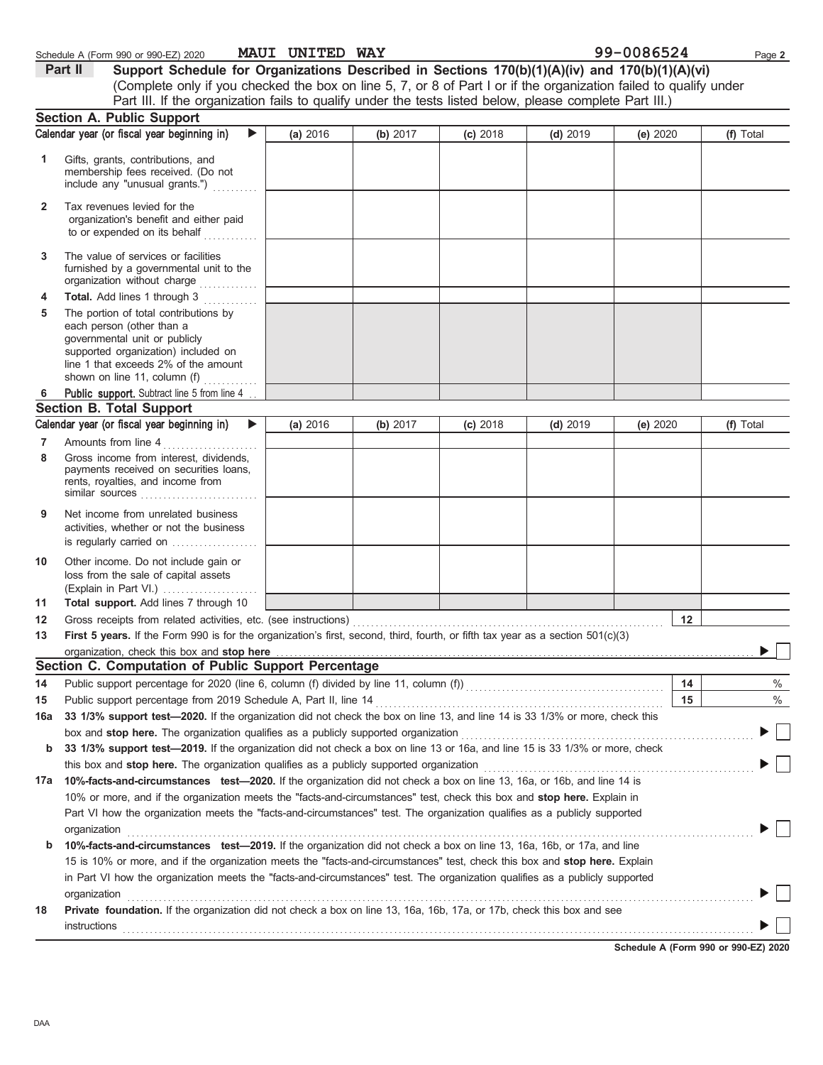|              | Part II<br>Support Schedule for Organizations Described in Sections 170(b)(1)(A)(iv) and 170(b)(1)(A)(vi)                                                                                                          |          |          |          |            |          |           |
|--------------|--------------------------------------------------------------------------------------------------------------------------------------------------------------------------------------------------------------------|----------|----------|----------|------------|----------|-----------|
|              | (Complete only if you checked the box on line 5, 7, or 8 of Part I or if the organization failed to qualify under                                                                                                  |          |          |          |            |          |           |
|              | Part III. If the organization fails to qualify under the tests listed below, please complete Part III.)                                                                                                            |          |          |          |            |          |           |
|              | <b>Section A. Public Support</b>                                                                                                                                                                                   |          |          |          |            |          |           |
|              | Calendar year (or fiscal year beginning in)<br>▶                                                                                                                                                                   | (a) 2016 | (b) 2017 | (c) 2018 | $(d)$ 2019 | (e) 2020 | (f) Total |
| 1            | Gifts, grants, contributions, and<br>membership fees received. (Do not<br>include any "unusual grants.")                                                                                                           |          |          |          |            |          |           |
| $\mathbf{2}$ | Tax revenues levied for the<br>organization's benefit and either paid<br>to or expended on its behalf                                                                                                              |          |          |          |            |          |           |
| 3            | The value of services or facilities<br>furnished by a governmental unit to the<br>organization without charge                                                                                                      |          |          |          |            |          |           |
| 4            | Total. Add lines 1 through 3                                                                                                                                                                                       |          |          |          |            |          |           |
| 5            | The portion of total contributions by<br>each person (other than a<br>governmental unit or publicly<br>supported organization) included on<br>line 1 that exceeds 2% of the amount<br>shown on line 11, column (f) |          |          |          |            |          |           |
| 6            | Public support. Subtract line 5 from line 4                                                                                                                                                                        |          |          |          |            |          |           |
|              | <b>Section B. Total Support</b>                                                                                                                                                                                    |          |          |          |            |          |           |
|              | Calendar year (or fiscal year beginning in)<br>▶                                                                                                                                                                   | (a) 2016 | (b) 2017 | (c) 2018 | $(d)$ 2019 | (e) 2020 | (f) Total |
| 7            | Amounts from line 4                                                                                                                                                                                                |          |          |          |            |          |           |
| 8            | Gross income from interest, dividends,<br>payments received on securities loans,<br>rents, royalties, and income from<br>similar sources                                                                           |          |          |          |            |          |           |
| 9            | Net income from unrelated business<br>activities, whether or not the business<br>is regularly carried on                                                                                                           |          |          |          |            |          |           |
| 10           | Other income. Do not include gain or<br>loss from the sale of capital assets                                                                                                                                       |          |          |          |            |          |           |
| 11           | Total support. Add lines 7 through 10                                                                                                                                                                              |          |          |          |            |          |           |
| 12           | Gross receipts from related activities, etc. (see instructions)                                                                                                                                                    |          |          |          |            | 12       |           |
| 13           | First 5 years. If the Form 990 is for the organization's first, second, third, fourth, or fifth tax year as a section 501(c)(3)                                                                                    |          |          |          |            |          |           |
|              | organization, check this box and stop here                                                                                                                                                                         |          |          |          |            |          |           |
|              | Section C. Computation of Public Support Percentage                                                                                                                                                                |          |          |          |            |          |           |
| 14           | Public support percentage for 2020 (line 6, column (f) divided by line 11, column (f)) [[[[[[[[[[[[[[[[[[[[[[                                                                                                      |          |          |          |            | 14       | $\%$      |
| 15           | Public support percentage from 2019 Schedule A, Part II, line 14                                                                                                                                                   |          |          |          |            | 15       | %         |
| 16a          | 33 1/3% support test-2020. If the organization did not check the box on line 13, and line 14 is 33 1/3% or more, check this                                                                                        |          |          |          |            |          |           |
|              | box and stop here. The organization qualifies as a publicly supported organization                                                                                                                                 |          |          |          |            |          |           |
| b            | 33 1/3% support test-2019. If the organization did not check a box on line 13 or 16a, and line 15 is 33 1/3% or more, check                                                                                        |          |          |          |            |          |           |
|              |                                                                                                                                                                                                                    |          |          |          |            |          |           |
| 17a          | 10%-facts-and-circumstances test-2020. If the organization did not check a box on line 13, 16a, or 16b, and line 14 is                                                                                             |          |          |          |            |          |           |
|              | 10% or more, and if the organization meets the "facts-and-circumstances" test, check this box and stop here. Explain in                                                                                            |          |          |          |            |          |           |
|              | Part VI how the organization meets the "facts-and-circumstances" test. The organization qualifies as a publicly supported                                                                                          |          |          |          |            |          |           |
|              | organization                                                                                                                                                                                                       |          |          |          |            |          |           |
| b            | 10%-facts-and-circumstances test-2019. If the organization did not check a box on line 13, 16a, 16b, or 17a, and line                                                                                              |          |          |          |            |          |           |
|              | 15 is 10% or more, and if the organization meets the "facts-and-circumstances" test, check this box and stop here. Explain                                                                                         |          |          |          |            |          |           |
|              | in Part VI how the organization meets the "facts-and-circumstances" test. The organization qualifies as a publicly supported<br>organization                                                                       |          |          |          |            |          |           |
| 18           | Private foundation. If the organization did not check a box on line 13, 16a, 16b, 17a, or 17b, check this box and see                                                                                              |          |          |          |            |          |           |
|              | instructions                                                                                                                                                                                                       |          |          |          |            |          |           |

Schedule A (Form 990 or 990-EZ) 2020 **MAUI UNITED WAY** 99-0086524 Page 2

**MAUI UNITED WAY** 

**Schedule A (Form 990 or 990-EZ) 2020**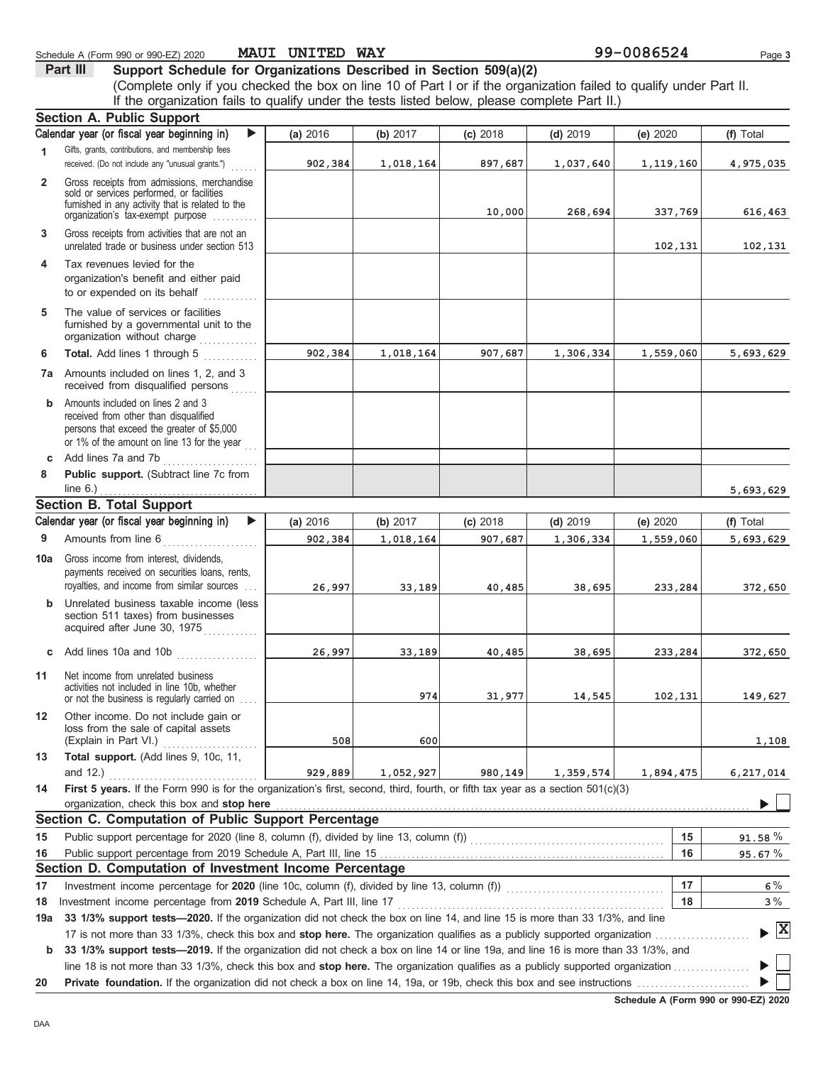| Calendar year (or fiscal year beginning in)<br>▶<br>(a) 2016<br>(b) $2017$<br>(c) 2018<br>$(d)$ 2019<br>(e) 2020<br>(f) Total<br>Gifts, grants, contributions, and membership fees<br>1<br>received. (Do not include any "unusual grants.")<br>897,687<br>902,384<br>1,018,164<br>1,037,640<br>1,119,160<br>4,975,035<br>Gross receipts from admissions, merchandise<br>$\overline{2}$<br>sold or services performed, or facilities<br>furnished in any activity that is related to the<br>10,000<br>337,769<br>268,694<br>616,463<br>organization's tax-exempt purpose<br>Gross receipts from activities that are not an<br>3<br>unrelated trade or business under section 513<br>102,131<br>102,131<br>Tax revenues levied for the<br>4<br>organization's benefit and either paid<br>to or expended on its behalf<br>The value of services or facilities<br>5<br>furnished by a governmental unit to the<br>organization without charge<br>Total. Add lines 1 through 5<br>902,384<br>6<br>1,018,164<br>1,306,334<br>1,559,060<br>5,693,629<br>907,687<br>.<br>7a Amounts included on lines 1, 2, and 3<br>received from disqualified persons<br>Amounts included on lines 2 and 3<br>b<br>received from other than disqualified<br>persons that exceed the greater of \$5,000<br>or 1% of the amount on line 13 for the year<br>Add lines 7a and 7b<br>c<br>Public support. (Subtract line 7c from<br>8<br>line $6.$ )<br>5,693,629<br><b>Section B. Total Support</b><br>Calendar year (or fiscal year beginning in)<br>▶<br>(a) 2016<br>(b) 2017<br>$(c)$ 2018<br>$(d)$ 2019<br>(e) 2020<br>(f) Total<br>Amounts from line 6<br>9<br>902,384<br>907,687<br>1,559,060<br>5,693,629<br>1,018,164<br>1,306,334<br><u> 1990 - Johann Stoff, ameri</u> kan<br>Gross income from interest, dividends,<br>payments received on securities loans, rents,<br>royalties, and income from similar sources<br>26,997<br>33,189<br>40,485<br>38,695<br>233,284<br>372,650<br><b>b</b> Unrelated business taxable income (less<br>section 511 taxes) from businesses<br>acquired after June 30, 1975<br>Add lines 10a and 10b<br>26,997<br>33,189<br>40,485<br>38,695<br>233,284<br>372,650<br>c<br>Net income from unrelated business<br>activities not included in line 10b, whether<br>974<br>31,977<br>14,545<br>102,131<br>149,627<br>or not the business is regularly carried on<br>Other income. Do not include gain or<br>loss from the sale of capital assets<br>(Explain in Part VI.)<br>508<br>600<br>1,108<br>Total support. (Add lines 9, 10c, 11,<br>and 12.)<br>1,052,927<br>929,889<br>980,149<br>1,359,574<br>1,894,475<br>6,217,014<br>First 5 years. If the Form 990 is for the organization's first, second, third, fourth, or fifth tax year as a section $501(c)(3)$<br>organization, check this box and stop here<br>Section C. Computation of Public Support Percentage<br>15<br>$91.58 \%$<br>16<br>95.67%<br>Section D. Computation of Investment Income Percentage<br>17<br>Investment income percentage for 2020 (line 10c, column (f), divided by line 13, column (f)) [[[[[[[[[[[[[[[[<br>$6\%$<br>Investment income percentage from 2019 Schedule A, Part III, line 17<br>18<br>3%<br>33 1/3% support tests-2020. If the organization did not check the box on line 14, and line 15 is more than 33 1/3%, and line<br>$\blacktriangleright$ $\mathbf{X}$<br>33 1/3% support tests-2019. If the organization did not check a box on line 14 or line 19a, and line 16 is more than 33 1/3%, and<br>b<br>20 |     | Section A. Public Support |  |  |  |
|--------------------------------------------------------------------------------------------------------------------------------------------------------------------------------------------------------------------------------------------------------------------------------------------------------------------------------------------------------------------------------------------------------------------------------------------------------------------------------------------------------------------------------------------------------------------------------------------------------------------------------------------------------------------------------------------------------------------------------------------------------------------------------------------------------------------------------------------------------------------------------------------------------------------------------------------------------------------------------------------------------------------------------------------------------------------------------------------------------------------------------------------------------------------------------------------------------------------------------------------------------------------------------------------------------------------------------------------------------------------------------------------------------------------------------------------------------------------------------------------------------------------------------------------------------------------------------------------------------------------------------------------------------------------------------------------------------------------------------------------------------------------------------------------------------------------------------------------------------------------------------------------------------------------------------------------------------------------------------------------------------------------------------------------------------------------------------------------------------------------------------------------------------------------------------------------------------------------------------------------------------------------------------------------------------------------------------------------------------------------------------------------------------------------------------------------------------------------------------------------------------------------------------------------------------------------------------------------------------------------------------------------------------------------------------------------------------------------------------------------------------------------------------------------------------------------------------------------------------------------------------------------------------------------------------------------------------------------------------------------------------------------------------------------------------------------------------------------------------------------------------------------------------------------------------------------------------------------------------------------------------------------------------------------------------------------------------------------------------------------------------------------------------------------------------------------------------------------------------------------------------------------------------|-----|---------------------------|--|--|--|
|                                                                                                                                                                                                                                                                                                                                                                                                                                                                                                                                                                                                                                                                                                                                                                                                                                                                                                                                                                                                                                                                                                                                                                                                                                                                                                                                                                                                                                                                                                                                                                                                                                                                                                                                                                                                                                                                                                                                                                                                                                                                                                                                                                                                                                                                                                                                                                                                                                                                                                                                                                                                                                                                                                                                                                                                                                                                                                                                                                                                                                                                                                                                                                                                                                                                                                                                                                                                                                                                                                                                |     |                           |  |  |  |
|                                                                                                                                                                                                                                                                                                                                                                                                                                                                                                                                                                                                                                                                                                                                                                                                                                                                                                                                                                                                                                                                                                                                                                                                                                                                                                                                                                                                                                                                                                                                                                                                                                                                                                                                                                                                                                                                                                                                                                                                                                                                                                                                                                                                                                                                                                                                                                                                                                                                                                                                                                                                                                                                                                                                                                                                                                                                                                                                                                                                                                                                                                                                                                                                                                                                                                                                                                                                                                                                                                                                |     |                           |  |  |  |
|                                                                                                                                                                                                                                                                                                                                                                                                                                                                                                                                                                                                                                                                                                                                                                                                                                                                                                                                                                                                                                                                                                                                                                                                                                                                                                                                                                                                                                                                                                                                                                                                                                                                                                                                                                                                                                                                                                                                                                                                                                                                                                                                                                                                                                                                                                                                                                                                                                                                                                                                                                                                                                                                                                                                                                                                                                                                                                                                                                                                                                                                                                                                                                                                                                                                                                                                                                                                                                                                                                                                |     |                           |  |  |  |
|                                                                                                                                                                                                                                                                                                                                                                                                                                                                                                                                                                                                                                                                                                                                                                                                                                                                                                                                                                                                                                                                                                                                                                                                                                                                                                                                                                                                                                                                                                                                                                                                                                                                                                                                                                                                                                                                                                                                                                                                                                                                                                                                                                                                                                                                                                                                                                                                                                                                                                                                                                                                                                                                                                                                                                                                                                                                                                                                                                                                                                                                                                                                                                                                                                                                                                                                                                                                                                                                                                                                |     |                           |  |  |  |
|                                                                                                                                                                                                                                                                                                                                                                                                                                                                                                                                                                                                                                                                                                                                                                                                                                                                                                                                                                                                                                                                                                                                                                                                                                                                                                                                                                                                                                                                                                                                                                                                                                                                                                                                                                                                                                                                                                                                                                                                                                                                                                                                                                                                                                                                                                                                                                                                                                                                                                                                                                                                                                                                                                                                                                                                                                                                                                                                                                                                                                                                                                                                                                                                                                                                                                                                                                                                                                                                                                                                |     |                           |  |  |  |
|                                                                                                                                                                                                                                                                                                                                                                                                                                                                                                                                                                                                                                                                                                                                                                                                                                                                                                                                                                                                                                                                                                                                                                                                                                                                                                                                                                                                                                                                                                                                                                                                                                                                                                                                                                                                                                                                                                                                                                                                                                                                                                                                                                                                                                                                                                                                                                                                                                                                                                                                                                                                                                                                                                                                                                                                                                                                                                                                                                                                                                                                                                                                                                                                                                                                                                                                                                                                                                                                                                                                |     |                           |  |  |  |
|                                                                                                                                                                                                                                                                                                                                                                                                                                                                                                                                                                                                                                                                                                                                                                                                                                                                                                                                                                                                                                                                                                                                                                                                                                                                                                                                                                                                                                                                                                                                                                                                                                                                                                                                                                                                                                                                                                                                                                                                                                                                                                                                                                                                                                                                                                                                                                                                                                                                                                                                                                                                                                                                                                                                                                                                                                                                                                                                                                                                                                                                                                                                                                                                                                                                                                                                                                                                                                                                                                                                |     |                           |  |  |  |
|                                                                                                                                                                                                                                                                                                                                                                                                                                                                                                                                                                                                                                                                                                                                                                                                                                                                                                                                                                                                                                                                                                                                                                                                                                                                                                                                                                                                                                                                                                                                                                                                                                                                                                                                                                                                                                                                                                                                                                                                                                                                                                                                                                                                                                                                                                                                                                                                                                                                                                                                                                                                                                                                                                                                                                                                                                                                                                                                                                                                                                                                                                                                                                                                                                                                                                                                                                                                                                                                                                                                |     |                           |  |  |  |
|                                                                                                                                                                                                                                                                                                                                                                                                                                                                                                                                                                                                                                                                                                                                                                                                                                                                                                                                                                                                                                                                                                                                                                                                                                                                                                                                                                                                                                                                                                                                                                                                                                                                                                                                                                                                                                                                                                                                                                                                                                                                                                                                                                                                                                                                                                                                                                                                                                                                                                                                                                                                                                                                                                                                                                                                                                                                                                                                                                                                                                                                                                                                                                                                                                                                                                                                                                                                                                                                                                                                |     |                           |  |  |  |
|                                                                                                                                                                                                                                                                                                                                                                                                                                                                                                                                                                                                                                                                                                                                                                                                                                                                                                                                                                                                                                                                                                                                                                                                                                                                                                                                                                                                                                                                                                                                                                                                                                                                                                                                                                                                                                                                                                                                                                                                                                                                                                                                                                                                                                                                                                                                                                                                                                                                                                                                                                                                                                                                                                                                                                                                                                                                                                                                                                                                                                                                                                                                                                                                                                                                                                                                                                                                                                                                                                                                |     |                           |  |  |  |
|                                                                                                                                                                                                                                                                                                                                                                                                                                                                                                                                                                                                                                                                                                                                                                                                                                                                                                                                                                                                                                                                                                                                                                                                                                                                                                                                                                                                                                                                                                                                                                                                                                                                                                                                                                                                                                                                                                                                                                                                                                                                                                                                                                                                                                                                                                                                                                                                                                                                                                                                                                                                                                                                                                                                                                                                                                                                                                                                                                                                                                                                                                                                                                                                                                                                                                                                                                                                                                                                                                                                |     |                           |  |  |  |
|                                                                                                                                                                                                                                                                                                                                                                                                                                                                                                                                                                                                                                                                                                                                                                                                                                                                                                                                                                                                                                                                                                                                                                                                                                                                                                                                                                                                                                                                                                                                                                                                                                                                                                                                                                                                                                                                                                                                                                                                                                                                                                                                                                                                                                                                                                                                                                                                                                                                                                                                                                                                                                                                                                                                                                                                                                                                                                                                                                                                                                                                                                                                                                                                                                                                                                                                                                                                                                                                                                                                |     |                           |  |  |  |
|                                                                                                                                                                                                                                                                                                                                                                                                                                                                                                                                                                                                                                                                                                                                                                                                                                                                                                                                                                                                                                                                                                                                                                                                                                                                                                                                                                                                                                                                                                                                                                                                                                                                                                                                                                                                                                                                                                                                                                                                                                                                                                                                                                                                                                                                                                                                                                                                                                                                                                                                                                                                                                                                                                                                                                                                                                                                                                                                                                                                                                                                                                                                                                                                                                                                                                                                                                                                                                                                                                                                |     |                           |  |  |  |
|                                                                                                                                                                                                                                                                                                                                                                                                                                                                                                                                                                                                                                                                                                                                                                                                                                                                                                                                                                                                                                                                                                                                                                                                                                                                                                                                                                                                                                                                                                                                                                                                                                                                                                                                                                                                                                                                                                                                                                                                                                                                                                                                                                                                                                                                                                                                                                                                                                                                                                                                                                                                                                                                                                                                                                                                                                                                                                                                                                                                                                                                                                                                                                                                                                                                                                                                                                                                                                                                                                                                |     |                           |  |  |  |
|                                                                                                                                                                                                                                                                                                                                                                                                                                                                                                                                                                                                                                                                                                                                                                                                                                                                                                                                                                                                                                                                                                                                                                                                                                                                                                                                                                                                                                                                                                                                                                                                                                                                                                                                                                                                                                                                                                                                                                                                                                                                                                                                                                                                                                                                                                                                                                                                                                                                                                                                                                                                                                                                                                                                                                                                                                                                                                                                                                                                                                                                                                                                                                                                                                                                                                                                                                                                                                                                                                                                |     |                           |  |  |  |
|                                                                                                                                                                                                                                                                                                                                                                                                                                                                                                                                                                                                                                                                                                                                                                                                                                                                                                                                                                                                                                                                                                                                                                                                                                                                                                                                                                                                                                                                                                                                                                                                                                                                                                                                                                                                                                                                                                                                                                                                                                                                                                                                                                                                                                                                                                                                                                                                                                                                                                                                                                                                                                                                                                                                                                                                                                                                                                                                                                                                                                                                                                                                                                                                                                                                                                                                                                                                                                                                                                                                |     |                           |  |  |  |
|                                                                                                                                                                                                                                                                                                                                                                                                                                                                                                                                                                                                                                                                                                                                                                                                                                                                                                                                                                                                                                                                                                                                                                                                                                                                                                                                                                                                                                                                                                                                                                                                                                                                                                                                                                                                                                                                                                                                                                                                                                                                                                                                                                                                                                                                                                                                                                                                                                                                                                                                                                                                                                                                                                                                                                                                                                                                                                                                                                                                                                                                                                                                                                                                                                                                                                                                                                                                                                                                                                                                | 10a |                           |  |  |  |
|                                                                                                                                                                                                                                                                                                                                                                                                                                                                                                                                                                                                                                                                                                                                                                                                                                                                                                                                                                                                                                                                                                                                                                                                                                                                                                                                                                                                                                                                                                                                                                                                                                                                                                                                                                                                                                                                                                                                                                                                                                                                                                                                                                                                                                                                                                                                                                                                                                                                                                                                                                                                                                                                                                                                                                                                                                                                                                                                                                                                                                                                                                                                                                                                                                                                                                                                                                                                                                                                                                                                |     |                           |  |  |  |
|                                                                                                                                                                                                                                                                                                                                                                                                                                                                                                                                                                                                                                                                                                                                                                                                                                                                                                                                                                                                                                                                                                                                                                                                                                                                                                                                                                                                                                                                                                                                                                                                                                                                                                                                                                                                                                                                                                                                                                                                                                                                                                                                                                                                                                                                                                                                                                                                                                                                                                                                                                                                                                                                                                                                                                                                                                                                                                                                                                                                                                                                                                                                                                                                                                                                                                                                                                                                                                                                                                                                |     |                           |  |  |  |
|                                                                                                                                                                                                                                                                                                                                                                                                                                                                                                                                                                                                                                                                                                                                                                                                                                                                                                                                                                                                                                                                                                                                                                                                                                                                                                                                                                                                                                                                                                                                                                                                                                                                                                                                                                                                                                                                                                                                                                                                                                                                                                                                                                                                                                                                                                                                                                                                                                                                                                                                                                                                                                                                                                                                                                                                                                                                                                                                                                                                                                                                                                                                                                                                                                                                                                                                                                                                                                                                                                                                |     |                           |  |  |  |
|                                                                                                                                                                                                                                                                                                                                                                                                                                                                                                                                                                                                                                                                                                                                                                                                                                                                                                                                                                                                                                                                                                                                                                                                                                                                                                                                                                                                                                                                                                                                                                                                                                                                                                                                                                                                                                                                                                                                                                                                                                                                                                                                                                                                                                                                                                                                                                                                                                                                                                                                                                                                                                                                                                                                                                                                                                                                                                                                                                                                                                                                                                                                                                                                                                                                                                                                                                                                                                                                                                                                | 11  |                           |  |  |  |
|                                                                                                                                                                                                                                                                                                                                                                                                                                                                                                                                                                                                                                                                                                                                                                                                                                                                                                                                                                                                                                                                                                                                                                                                                                                                                                                                                                                                                                                                                                                                                                                                                                                                                                                                                                                                                                                                                                                                                                                                                                                                                                                                                                                                                                                                                                                                                                                                                                                                                                                                                                                                                                                                                                                                                                                                                                                                                                                                                                                                                                                                                                                                                                                                                                                                                                                                                                                                                                                                                                                                | 12  |                           |  |  |  |
|                                                                                                                                                                                                                                                                                                                                                                                                                                                                                                                                                                                                                                                                                                                                                                                                                                                                                                                                                                                                                                                                                                                                                                                                                                                                                                                                                                                                                                                                                                                                                                                                                                                                                                                                                                                                                                                                                                                                                                                                                                                                                                                                                                                                                                                                                                                                                                                                                                                                                                                                                                                                                                                                                                                                                                                                                                                                                                                                                                                                                                                                                                                                                                                                                                                                                                                                                                                                                                                                                                                                | 13  |                           |  |  |  |
|                                                                                                                                                                                                                                                                                                                                                                                                                                                                                                                                                                                                                                                                                                                                                                                                                                                                                                                                                                                                                                                                                                                                                                                                                                                                                                                                                                                                                                                                                                                                                                                                                                                                                                                                                                                                                                                                                                                                                                                                                                                                                                                                                                                                                                                                                                                                                                                                                                                                                                                                                                                                                                                                                                                                                                                                                                                                                                                                                                                                                                                                                                                                                                                                                                                                                                                                                                                                                                                                                                                                | 14  |                           |  |  |  |
|                                                                                                                                                                                                                                                                                                                                                                                                                                                                                                                                                                                                                                                                                                                                                                                                                                                                                                                                                                                                                                                                                                                                                                                                                                                                                                                                                                                                                                                                                                                                                                                                                                                                                                                                                                                                                                                                                                                                                                                                                                                                                                                                                                                                                                                                                                                                                                                                                                                                                                                                                                                                                                                                                                                                                                                                                                                                                                                                                                                                                                                                                                                                                                                                                                                                                                                                                                                                                                                                                                                                |     |                           |  |  |  |
|                                                                                                                                                                                                                                                                                                                                                                                                                                                                                                                                                                                                                                                                                                                                                                                                                                                                                                                                                                                                                                                                                                                                                                                                                                                                                                                                                                                                                                                                                                                                                                                                                                                                                                                                                                                                                                                                                                                                                                                                                                                                                                                                                                                                                                                                                                                                                                                                                                                                                                                                                                                                                                                                                                                                                                                                                                                                                                                                                                                                                                                                                                                                                                                                                                                                                                                                                                                                                                                                                                                                |     |                           |  |  |  |
|                                                                                                                                                                                                                                                                                                                                                                                                                                                                                                                                                                                                                                                                                                                                                                                                                                                                                                                                                                                                                                                                                                                                                                                                                                                                                                                                                                                                                                                                                                                                                                                                                                                                                                                                                                                                                                                                                                                                                                                                                                                                                                                                                                                                                                                                                                                                                                                                                                                                                                                                                                                                                                                                                                                                                                                                                                                                                                                                                                                                                                                                                                                                                                                                                                                                                                                                                                                                                                                                                                                                | 15  |                           |  |  |  |
|                                                                                                                                                                                                                                                                                                                                                                                                                                                                                                                                                                                                                                                                                                                                                                                                                                                                                                                                                                                                                                                                                                                                                                                                                                                                                                                                                                                                                                                                                                                                                                                                                                                                                                                                                                                                                                                                                                                                                                                                                                                                                                                                                                                                                                                                                                                                                                                                                                                                                                                                                                                                                                                                                                                                                                                                                                                                                                                                                                                                                                                                                                                                                                                                                                                                                                                                                                                                                                                                                                                                | 16  |                           |  |  |  |
|                                                                                                                                                                                                                                                                                                                                                                                                                                                                                                                                                                                                                                                                                                                                                                                                                                                                                                                                                                                                                                                                                                                                                                                                                                                                                                                                                                                                                                                                                                                                                                                                                                                                                                                                                                                                                                                                                                                                                                                                                                                                                                                                                                                                                                                                                                                                                                                                                                                                                                                                                                                                                                                                                                                                                                                                                                                                                                                                                                                                                                                                                                                                                                                                                                                                                                                                                                                                                                                                                                                                |     |                           |  |  |  |
|                                                                                                                                                                                                                                                                                                                                                                                                                                                                                                                                                                                                                                                                                                                                                                                                                                                                                                                                                                                                                                                                                                                                                                                                                                                                                                                                                                                                                                                                                                                                                                                                                                                                                                                                                                                                                                                                                                                                                                                                                                                                                                                                                                                                                                                                                                                                                                                                                                                                                                                                                                                                                                                                                                                                                                                                                                                                                                                                                                                                                                                                                                                                                                                                                                                                                                                                                                                                                                                                                                                                | 17  |                           |  |  |  |
|                                                                                                                                                                                                                                                                                                                                                                                                                                                                                                                                                                                                                                                                                                                                                                                                                                                                                                                                                                                                                                                                                                                                                                                                                                                                                                                                                                                                                                                                                                                                                                                                                                                                                                                                                                                                                                                                                                                                                                                                                                                                                                                                                                                                                                                                                                                                                                                                                                                                                                                                                                                                                                                                                                                                                                                                                                                                                                                                                                                                                                                                                                                                                                                                                                                                                                                                                                                                                                                                                                                                | 18  |                           |  |  |  |
|                                                                                                                                                                                                                                                                                                                                                                                                                                                                                                                                                                                                                                                                                                                                                                                                                                                                                                                                                                                                                                                                                                                                                                                                                                                                                                                                                                                                                                                                                                                                                                                                                                                                                                                                                                                                                                                                                                                                                                                                                                                                                                                                                                                                                                                                                                                                                                                                                                                                                                                                                                                                                                                                                                                                                                                                                                                                                                                                                                                                                                                                                                                                                                                                                                                                                                                                                                                                                                                                                                                                | 19a |                           |  |  |  |
|                                                                                                                                                                                                                                                                                                                                                                                                                                                                                                                                                                                                                                                                                                                                                                                                                                                                                                                                                                                                                                                                                                                                                                                                                                                                                                                                                                                                                                                                                                                                                                                                                                                                                                                                                                                                                                                                                                                                                                                                                                                                                                                                                                                                                                                                                                                                                                                                                                                                                                                                                                                                                                                                                                                                                                                                                                                                                                                                                                                                                                                                                                                                                                                                                                                                                                                                                                                                                                                                                                                                |     |                           |  |  |  |
|                                                                                                                                                                                                                                                                                                                                                                                                                                                                                                                                                                                                                                                                                                                                                                                                                                                                                                                                                                                                                                                                                                                                                                                                                                                                                                                                                                                                                                                                                                                                                                                                                                                                                                                                                                                                                                                                                                                                                                                                                                                                                                                                                                                                                                                                                                                                                                                                                                                                                                                                                                                                                                                                                                                                                                                                                                                                                                                                                                                                                                                                                                                                                                                                                                                                                                                                                                                                                                                                                                                                |     |                           |  |  |  |
|                                                                                                                                                                                                                                                                                                                                                                                                                                                                                                                                                                                                                                                                                                                                                                                                                                                                                                                                                                                                                                                                                                                                                                                                                                                                                                                                                                                                                                                                                                                                                                                                                                                                                                                                                                                                                                                                                                                                                                                                                                                                                                                                                                                                                                                                                                                                                                                                                                                                                                                                                                                                                                                                                                                                                                                                                                                                                                                                                                                                                                                                                                                                                                                                                                                                                                                                                                                                                                                                                                                                |     |                           |  |  |  |
| Schedule A (Form 990 or 990-EZ) 2020                                                                                                                                                                                                                                                                                                                                                                                                                                                                                                                                                                                                                                                                                                                                                                                                                                                                                                                                                                                                                                                                                                                                                                                                                                                                                                                                                                                                                                                                                                                                                                                                                                                                                                                                                                                                                                                                                                                                                                                                                                                                                                                                                                                                                                                                                                                                                                                                                                                                                                                                                                                                                                                                                                                                                                                                                                                                                                                                                                                                                                                                                                                                                                                                                                                                                                                                                                                                                                                                                           |     |                           |  |  |  |

(Complete only if you checked the box on line 10 of Part I or if the organization failed to qualify under Part II.

If the organization fails to qualify under the tests listed below, please complete Part II.)

DAA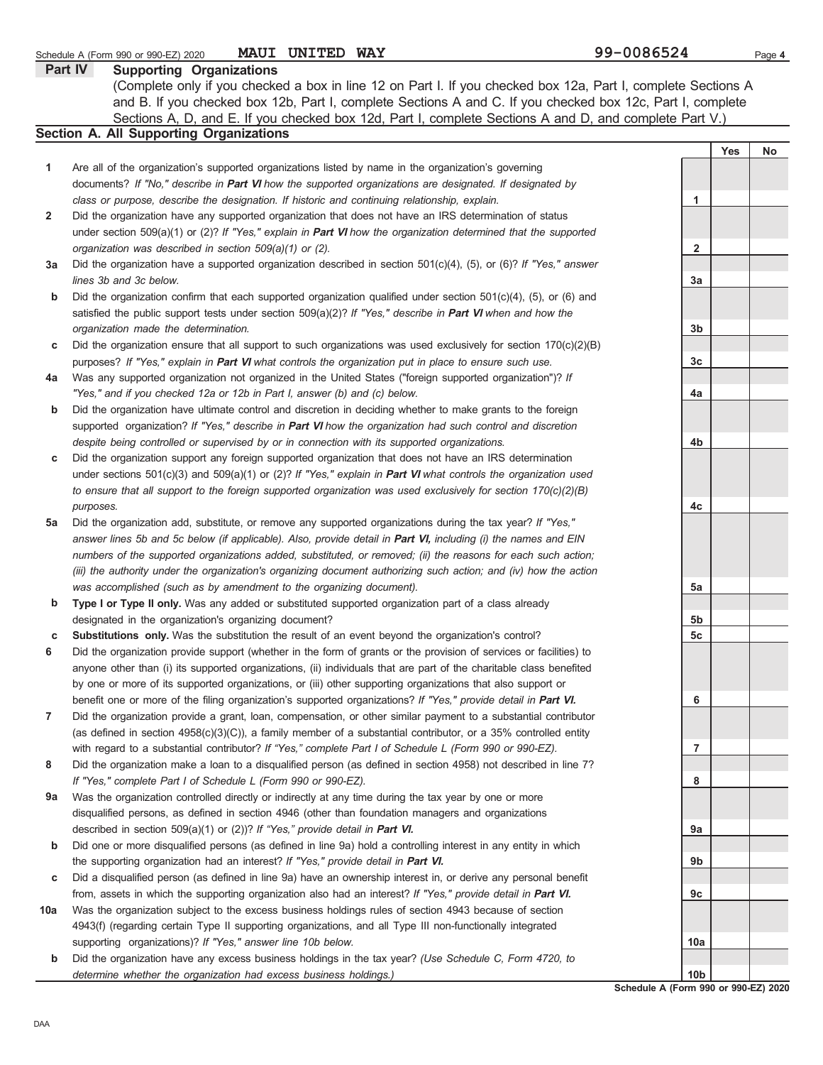|     | (Complete only if you checked a box in line 12 on Part I. If you checked box 12a, Part I, complete Sections A<br>and B. If you checked box 12b, Part I, complete Sections A and C. If you checked box 12c, Part I, complete<br>Sections A, D, and E. If you checked box 12d, Part I, complete Sections A and D, and complete Part V.) |                 |     |    |
|-----|---------------------------------------------------------------------------------------------------------------------------------------------------------------------------------------------------------------------------------------------------------------------------------------------------------------------------------------|-----------------|-----|----|
|     | <b>Section A. All Supporting Organizations</b>                                                                                                                                                                                                                                                                                        |                 |     |    |
|     |                                                                                                                                                                                                                                                                                                                                       |                 | Yes | No |
| 1   | Are all of the organization's supported organizations listed by name in the organization's governing                                                                                                                                                                                                                                  |                 |     |    |
|     | documents? If "No," describe in Part VI how the supported organizations are designated. If designated by                                                                                                                                                                                                                              |                 |     |    |
|     | class or purpose, describe the designation. If historic and continuing relationship, explain.                                                                                                                                                                                                                                         | 1               |     |    |
| 2   | Did the organization have any supported organization that does not have an IRS determination of status                                                                                                                                                                                                                                |                 |     |    |
|     | under section 509(a)(1) or (2)? If "Yes," explain in <b>Part VI</b> how the organization determined that the supported                                                                                                                                                                                                                |                 |     |    |
|     | organization was described in section 509(a)(1) or (2).                                                                                                                                                                                                                                                                               | 2               |     |    |
| За  | Did the organization have a supported organization described in section $501(c)(4)$ , (5), or (6)? If "Yes," answer                                                                                                                                                                                                                   |                 |     |    |
|     | lines 3b and 3c below.                                                                                                                                                                                                                                                                                                                | 3a              |     |    |
| b   | Did the organization confirm that each supported organization qualified under section $501(c)(4)$ , (5), or (6) and                                                                                                                                                                                                                   |                 |     |    |
|     | satisfied the public support tests under section $509(a)(2)?$ If "Yes," describe in <b>Part VI</b> when and how the                                                                                                                                                                                                                   |                 |     |    |
|     | organization made the determination.                                                                                                                                                                                                                                                                                                  | 3b              |     |    |
| с   | Did the organization ensure that all support to such organizations was used exclusively for section $170(c)(2)(B)$                                                                                                                                                                                                                    |                 |     |    |
|     | purposes? If "Yes," explain in Part VI what controls the organization put in place to ensure such use.                                                                                                                                                                                                                                | 3c              |     |    |
| 4a  | Was any supported organization not organized in the United States ("foreign supported organization")? If                                                                                                                                                                                                                              |                 |     |    |
|     | "Yes," and if you checked 12a or 12b in Part I, answer (b) and (c) below.                                                                                                                                                                                                                                                             | 4a              |     |    |
| b   | Did the organization have ultimate control and discretion in deciding whether to make grants to the foreign                                                                                                                                                                                                                           |                 |     |    |
|     | supported organization? If "Yes," describe in Part VI how the organization had such control and discretion                                                                                                                                                                                                                            |                 |     |    |
|     | despite being controlled or supervised by or in connection with its supported organizations.                                                                                                                                                                                                                                          | 4b              |     |    |
| С   | Did the organization support any foreign supported organization that does not have an IRS determination                                                                                                                                                                                                                               |                 |     |    |
|     | under sections $501(c)(3)$ and $509(a)(1)$ or (2)? If "Yes," explain in <b>Part VI</b> what controls the organization used                                                                                                                                                                                                            |                 |     |    |
|     | to ensure that all support to the foreign supported organization was used exclusively for section $170(c)(2)(B)$                                                                                                                                                                                                                      |                 |     |    |
|     | purposes.                                                                                                                                                                                                                                                                                                                             | 4c              |     |    |
| 5a  | Did the organization add, substitute, or remove any supported organizations during the tax year? If "Yes,"                                                                                                                                                                                                                            |                 |     |    |
|     | answer lines 5b and 5c below (if applicable). Also, provide detail in Part VI, including (i) the names and EIN                                                                                                                                                                                                                        |                 |     |    |
|     | numbers of the supported organizations added, substituted, or removed; (ii) the reasons for each such action;                                                                                                                                                                                                                         |                 |     |    |
|     | (iii) the authority under the organization's organizing document authorizing such action; and (iv) how the action                                                                                                                                                                                                                     |                 |     |    |
|     | was accomplished (such as by amendment to the organizing document).                                                                                                                                                                                                                                                                   | 5a              |     |    |
| b   | Type I or Type II only. Was any added or substituted supported organization part of a class already                                                                                                                                                                                                                                   |                 |     |    |
|     | designated in the organization's organizing document?                                                                                                                                                                                                                                                                                 | 5b              |     |    |
| c   | <b>Substitutions only.</b> Was the substitution the result of an event beyond the organization's control?                                                                                                                                                                                                                             | 5c              |     |    |
| 6   | Did the organization provide support (whether in the form of grants or the provision of services or facilities) to                                                                                                                                                                                                                    |                 |     |    |
|     | anyone other than (i) its supported organizations, (ii) individuals that are part of the charitable class benefited                                                                                                                                                                                                                   |                 |     |    |
|     | by one or more of its supported organizations, or (iii) other supporting organizations that also support or                                                                                                                                                                                                                           |                 |     |    |
|     | benefit one or more of the filing organization's supported organizations? If "Yes," provide detail in Part VI.                                                                                                                                                                                                                        | 6               |     |    |
| 7   | Did the organization provide a grant, loan, compensation, or other similar payment to a substantial contributor                                                                                                                                                                                                                       |                 |     |    |
|     | (as defined in section 4958(c)(3)(C)), a family member of a substantial contributor, or a 35% controlled entity                                                                                                                                                                                                                       |                 |     |    |
|     | with regard to a substantial contributor? If "Yes," complete Part I of Schedule L (Form 990 or 990-EZ).                                                                                                                                                                                                                               | 7               |     |    |
| 8   | Did the organization make a loan to a disqualified person (as defined in section 4958) not described in line 7?                                                                                                                                                                                                                       |                 |     |    |
|     | If "Yes," complete Part I of Schedule L (Form 990 or 990-EZ).                                                                                                                                                                                                                                                                         | 8               |     |    |
| 9a  | Was the organization controlled directly or indirectly at any time during the tax year by one or more                                                                                                                                                                                                                                 |                 |     |    |
|     | disqualified persons, as defined in section 4946 (other than foundation managers and organizations                                                                                                                                                                                                                                    |                 |     |    |
|     | described in section 509(a)(1) or (2))? If "Yes," provide detail in Part VI.                                                                                                                                                                                                                                                          | 9а              |     |    |
| b   | Did one or more disqualified persons (as defined in line 9a) hold a controlling interest in any entity in which                                                                                                                                                                                                                       |                 |     |    |
|     | the supporting organization had an interest? If "Yes," provide detail in Part VI.                                                                                                                                                                                                                                                     | 9b              |     |    |
| С   | Did a disqualified person (as defined in line 9a) have an ownership interest in, or derive any personal benefit                                                                                                                                                                                                                       |                 |     |    |
|     | from, assets in which the supporting organization also had an interest? If "Yes," provide detail in Part VI.                                                                                                                                                                                                                          | 9с              |     |    |
| 10a | Was the organization subject to the excess business holdings rules of section 4943 because of section                                                                                                                                                                                                                                 |                 |     |    |
|     | 4943(f) (regarding certain Type II supporting organizations, and all Type III non-functionally integrated                                                                                                                                                                                                                             |                 |     |    |
|     | supporting organizations)? If "Yes," answer line 10b below.                                                                                                                                                                                                                                                                           | 10a             |     |    |
| b   | Did the organization have any excess business holdings in the tax year? (Use Schedule C, Form 4720, to                                                                                                                                                                                                                                |                 |     |    |
|     | determine whether the organization had excess business holdings.)                                                                                                                                                                                                                                                                     | 10 <sub>b</sub> |     |    |

**Schedule A (Form 990 or 990-EZ) 2020**

**Part IV Supporting Organizations**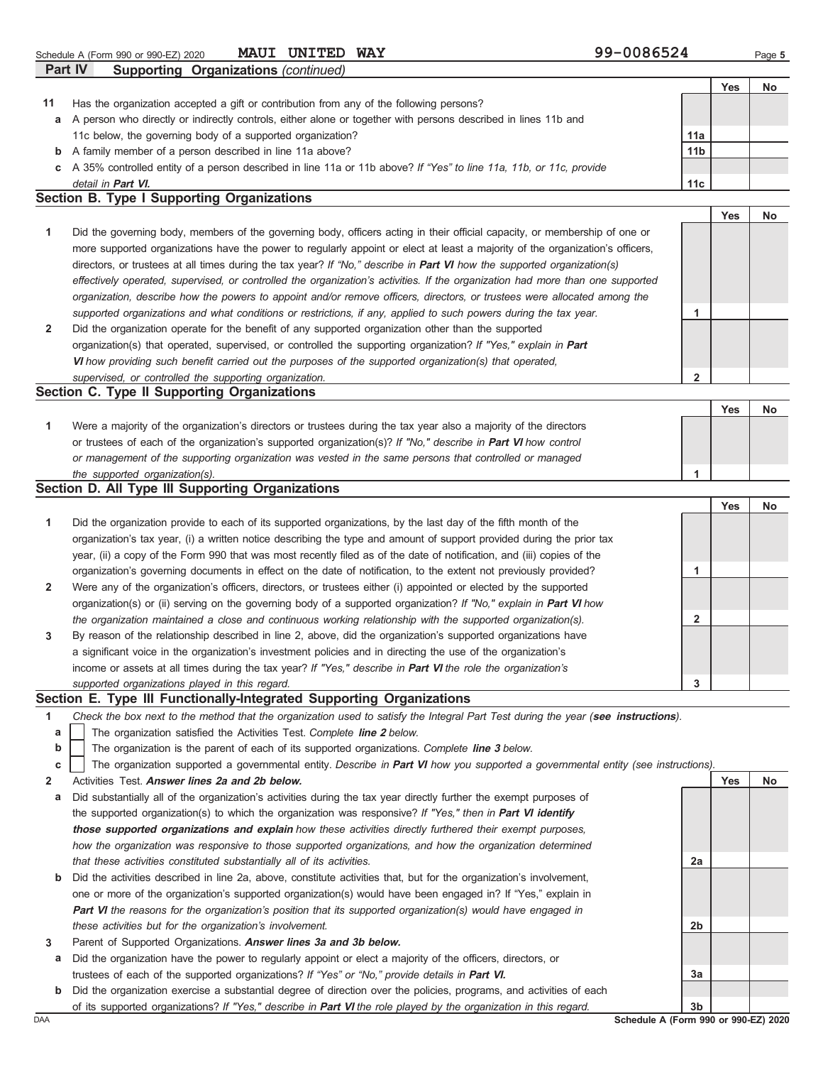Schedule A (Form 990 or 990-EZ) 2020 **MAUI UNITED WAY** 99-0086524 Page 5 **MAUI UNITED WAY** 

|    | <b>Part IV</b><br>Supporting Organizations (continued)                                                             |                 |            |    |
|----|--------------------------------------------------------------------------------------------------------------------|-----------------|------------|----|
|    |                                                                                                                    |                 | <b>Yes</b> | No |
| 11 | Has the organization accepted a gift or contribution from any of the following persons?                            |                 |            |    |
| a  | A person who directly or indirectly controls, either alone or together with persons described in lines 11b and     |                 |            |    |
|    | 11c below, the governing body of a supported organization?                                                         | 11a             |            |    |
| b  | A family member of a person described in line 11a above?                                                           | 11 <sub>b</sub> |            |    |
| C. | A 35% controlled entity of a person described in line 11a or 11b above? If "Yes" to line 11a, 11b, or 11c, provide |                 |            |    |
|    | detail in <b>Part VI</b> .                                                                                         | 11c             |            |    |
|    | <b>Section B. Type I Supporting Organizations</b>                                                                  |                 |            |    |
|    |                                                                                                                    |                 | Yes        |    |

| $\overline{1}$ | Did the governing body, members of the governing body, officers acting in their official capacity, or membership of one or     |  |  |
|----------------|--------------------------------------------------------------------------------------------------------------------------------|--|--|
|                | more supported organizations have the power to regularly appoint or elect at least a majority of the organization's officers,  |  |  |
|                | directors, or trustees at all times during the tax year? If "No," describe in <b>Part VI</b> how the supported organization(s) |  |  |
|                | effectively operated, supervised, or controlled the organization's activities. If the organization had more than one supported |  |  |
|                | organization, describe how the powers to appoint and/or remove officers, directors, or trustees were allocated among the       |  |  |
|                | supported organizations and what conditions or restrictions, if any, applied to such powers during the tax year.               |  |  |
| $\overline{2}$ | Did the organization operate for the benefit of any supported organization other than the supported                            |  |  |
|                | organization(s) that operated, supervised, or controlled the supporting organization? If "Yes," explain in Part                |  |  |
|                | VI how providing such benefit carried out the purposes of the supported organization(s) that operated,                         |  |  |

*supervised, or controlled the supporting organization.* **Section C. Type II Supporting Organizations** Were a majority of the organization's directors or trustees during the tax year also a majority of the directors or trustees of each of the organization's supported organization(s)? *If "No," describe in* **Part VI** *how control* **1** *or management of the supporting organization was vested in the same persons that controlled or managed the supported organization(s).* Yes | No **1 2**

### **Section D. All Type III Supporting Organizations**

|                      |                                                                                                                           |   | Yes | No |
|----------------------|---------------------------------------------------------------------------------------------------------------------------|---|-----|----|
| $\blacktriangleleft$ | Did the organization provide to each of its supported organizations, by the last day of the fifth month of the            |   |     |    |
|                      | organization's tax year, (i) a written notice describing the type and amount of support provided during the prior tax     |   |     |    |
|                      | year, (ii) a copy of the Form 990 that was most recently filed as of the date of notification, and (iii) copies of the    |   |     |    |
|                      | organization's governing documents in effect on the date of notification, to the extent not previously provided?          |   |     |    |
| $\overline{2}$       | Were any of the organization's officers, directors, or trustees either (i) appointed or elected by the supported          |   |     |    |
|                      | organization(s) or (ii) serving on the governing body of a supported organization? If "No," explain in <b>Part VI</b> how |   |     |    |
|                      | the organization maintained a close and continuous working relationship with the supported organization(s).               | 2 |     |    |
| $\mathbf{3}$         | By reason of the relationship described in line 2, above, did the organization's supported organizations have             |   |     |    |
|                      | a significant voice in the organization's investment policies and in directing the use of the organization's              |   |     |    |
|                      | income or assets at all times during the tax year? If "Yes," describe in <b>Part VI</b> the role the organization's       |   |     |    |
|                      | supported organizations played in this regard.                                                                            | 3 |     |    |

### **Section E. Type III Functionally-Integrated Supporting Organizations**

|  | Check the box next to the method that the organization used to satisfy the Integral Part Test during the year (see instructions). |  |  |  |  |  |  |
|--|-----------------------------------------------------------------------------------------------------------------------------------|--|--|--|--|--|--|
|--|-----------------------------------------------------------------------------------------------------------------------------------|--|--|--|--|--|--|

- The organization satisfied the Activities Test. *Complete* **line 2** *below.* **a**
- The organization is the parent of each of its supported organizations. *Complete* **line 3** *below.* **b**

|  |  | c The organization supported a governmental entity. Describe in Part VI how you supported a governmental entity (see instructions) |  |  |  |  |  |  |  |  |  |  |  |  |  |  |
|--|--|------------------------------------------------------------------------------------------------------------------------------------|--|--|--|--|--|--|--|--|--|--|--|--|--|--|
|--|--|------------------------------------------------------------------------------------------------------------------------------------|--|--|--|--|--|--|--|--|--|--|--|--|--|--|

- **2** Activities Test. **Answer lines 2a and 2b below.**
- **a** Did substantially all of the organization's activities during the tax year directly further the exempt purposes of the supported organization(s) to which the organization was responsive? *If "Yes," then in* **Part VI identify those supported organizations and explain** *how these activities directly furthered their exempt purposes, how the organization was responsive to those supported organizations, and how the organization determined that these activities constituted substantially all of its activities.*
- **b** Did the activities described in line 2a, above, constitute activities that, but for the organization's involvement, one or more of the organization's supported organization(s) would have been engaged in? If "Yes," explain in **Part VI** *the reasons for the organization's position that its supported organization(s) would have engaged in these activities but for the organization's involvement.*
- **3** Parent of Supported Organizations. **Answer lines 3a and 3b below.**
- **a** Did the organization have the power to regularly appoint or elect a majority of the officers, directors, or trustees of each of the supported organizations? *If "Yes" or "No," provide details in* **Part VI.**
- DAA **Schedule A (Form 990 or 990-EZ) 2020 b** Did the organization exercise a substantial degree of direction over the policies, programs, and activities of each of its supported organizations? *If "Yes," describe in* **Part VI** *the role played by the organization in this regard.*

**Yes No**

**2a**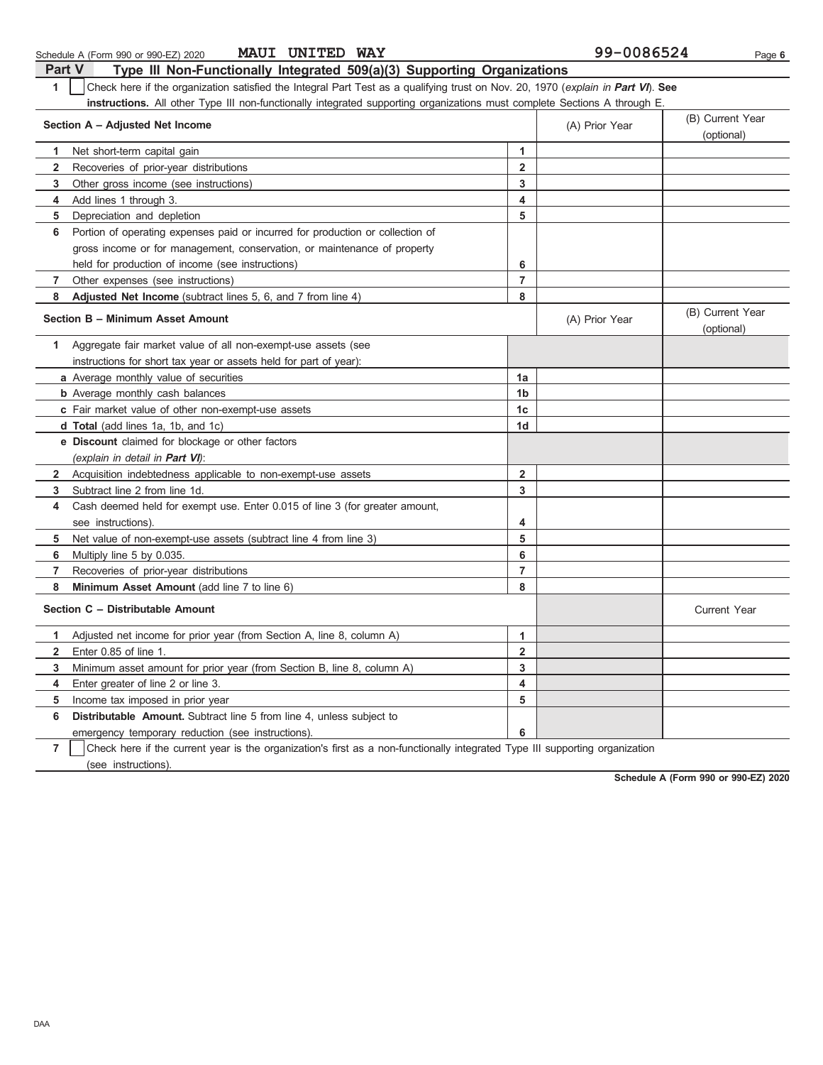| Part V         | Type III Non-Functionally Integrated 509(a)(3) Supporting Organizations                                                          |                         |                |                                |  |  |  |  |  |  |
|----------------|----------------------------------------------------------------------------------------------------------------------------------|-------------------------|----------------|--------------------------------|--|--|--|--|--|--|
| 1              | Check here if the organization satisfied the Integral Part Test as a qualifying trust on Nov. 20, 1970 (explain in Part VI). See |                         |                |                                |  |  |  |  |  |  |
|                | instructions. All other Type III non-functionally integrated supporting organizations must complete Sections A through E.        |                         |                |                                |  |  |  |  |  |  |
|                | Section A - Adjusted Net Income                                                                                                  |                         | (A) Prior Year | (B) Current Year               |  |  |  |  |  |  |
|                |                                                                                                                                  |                         |                | (optional)                     |  |  |  |  |  |  |
| 1.             | Net short-term capital gain                                                                                                      | 1                       |                |                                |  |  |  |  |  |  |
| $\overline{2}$ | Recoveries of prior-year distributions                                                                                           | $\overline{2}$          |                |                                |  |  |  |  |  |  |
| 3              | Other gross income (see instructions)                                                                                            | 3                       |                |                                |  |  |  |  |  |  |
| 4              | Add lines 1 through 3.                                                                                                           | 4                       |                |                                |  |  |  |  |  |  |
| 5              | Depreciation and depletion                                                                                                       | 5                       |                |                                |  |  |  |  |  |  |
| 6              | Portion of operating expenses paid or incurred for production or collection of                                                   |                         |                |                                |  |  |  |  |  |  |
|                | gross income or for management, conservation, or maintenance of property                                                         |                         |                |                                |  |  |  |  |  |  |
|                | held for production of income (see instructions)                                                                                 | 6                       |                |                                |  |  |  |  |  |  |
| $\overline{7}$ | Other expenses (see instructions)                                                                                                | $\overline{7}$          |                |                                |  |  |  |  |  |  |
| 8              | Adjusted Net Income (subtract lines 5, 6, and 7 from line 4)                                                                     | 8                       |                |                                |  |  |  |  |  |  |
|                | Section B - Minimum Asset Amount                                                                                                 |                         | (A) Prior Year | (B) Current Year<br>(optional) |  |  |  |  |  |  |
| 1              | Aggregate fair market value of all non-exempt-use assets (see                                                                    |                         |                |                                |  |  |  |  |  |  |
|                | instructions for short tax year or assets held for part of year):                                                                |                         |                |                                |  |  |  |  |  |  |
|                | a Average monthly value of securities                                                                                            | 1a                      |                |                                |  |  |  |  |  |  |
|                | <b>b</b> Average monthly cash balances                                                                                           | 1 <sub>b</sub>          |                |                                |  |  |  |  |  |  |
|                | c Fair market value of other non-exempt-use assets                                                                               | 1c                      |                |                                |  |  |  |  |  |  |
|                | d Total (add lines 1a, 1b, and 1c)                                                                                               | 1 <sub>d</sub>          |                |                                |  |  |  |  |  |  |
|                | e Discount claimed for blockage or other factors                                                                                 |                         |                |                                |  |  |  |  |  |  |
|                | (explain in detail in <b>Part VI</b> ):                                                                                          |                         |                |                                |  |  |  |  |  |  |
| $\mathbf{2}$   | Acquisition indebtedness applicable to non-exempt-use assets                                                                     | $\overline{\mathbf{2}}$ |                |                                |  |  |  |  |  |  |
| 3              | Subtract line 2 from line 1d.                                                                                                    | 3                       |                |                                |  |  |  |  |  |  |
| 4              | Cash deemed held for exempt use. Enter 0.015 of line 3 (for greater amount,                                                      |                         |                |                                |  |  |  |  |  |  |
|                | see instructions)                                                                                                                | 4                       |                |                                |  |  |  |  |  |  |
| 5              | Net value of non-exempt-use assets (subtract line 4 from line 3)                                                                 | 5                       |                |                                |  |  |  |  |  |  |
| 6              | Multiply line 5 by 0.035.                                                                                                        | 6                       |                |                                |  |  |  |  |  |  |
| 7              | Recoveries of prior-year distributions                                                                                           | $\overline{7}$          |                |                                |  |  |  |  |  |  |
| 8              | Minimum Asset Amount (add line 7 to line 6)                                                                                      | 8                       |                |                                |  |  |  |  |  |  |
|                | Section C - Distributable Amount                                                                                                 |                         |                | <b>Current Year</b>            |  |  |  |  |  |  |
| 1              | Adjusted net income for prior year (from Section A, line 8, column A)                                                            | $\mathbf{1}$            |                |                                |  |  |  |  |  |  |
| $\mathbf{2}$   | Enter 0.85 of line 1.                                                                                                            | $\overline{2}$          |                |                                |  |  |  |  |  |  |
| 3              | Minimum asset amount for prior year (from Section B, line 8, column A)                                                           | 3                       |                |                                |  |  |  |  |  |  |
| 4              | Enter greater of line 2 or line 3.                                                                                               | 4                       |                |                                |  |  |  |  |  |  |
| 5              | Income tax imposed in prior year                                                                                                 | 5                       |                |                                |  |  |  |  |  |  |
| 6              | <b>Distributable Amount.</b> Subtract line 5 from line 4, unless subject to                                                      |                         |                |                                |  |  |  |  |  |  |
|                | emergency temporary reduction (see instructions).                                                                                | 6                       |                |                                |  |  |  |  |  |  |
| $\overline{7}$ | Check here if the current year is the organization's first as a non-functionally integrated Type III supporting organization     |                         |                |                                |  |  |  |  |  |  |

Schedule A (Form 990 or 990-EZ) 2020 **MAUI UNITED WAY** 99-0086524 Page 6

**MAUI UNITED WAY** 

(see instructions).

**Schedule A (Form 990 or 990-EZ) 2020**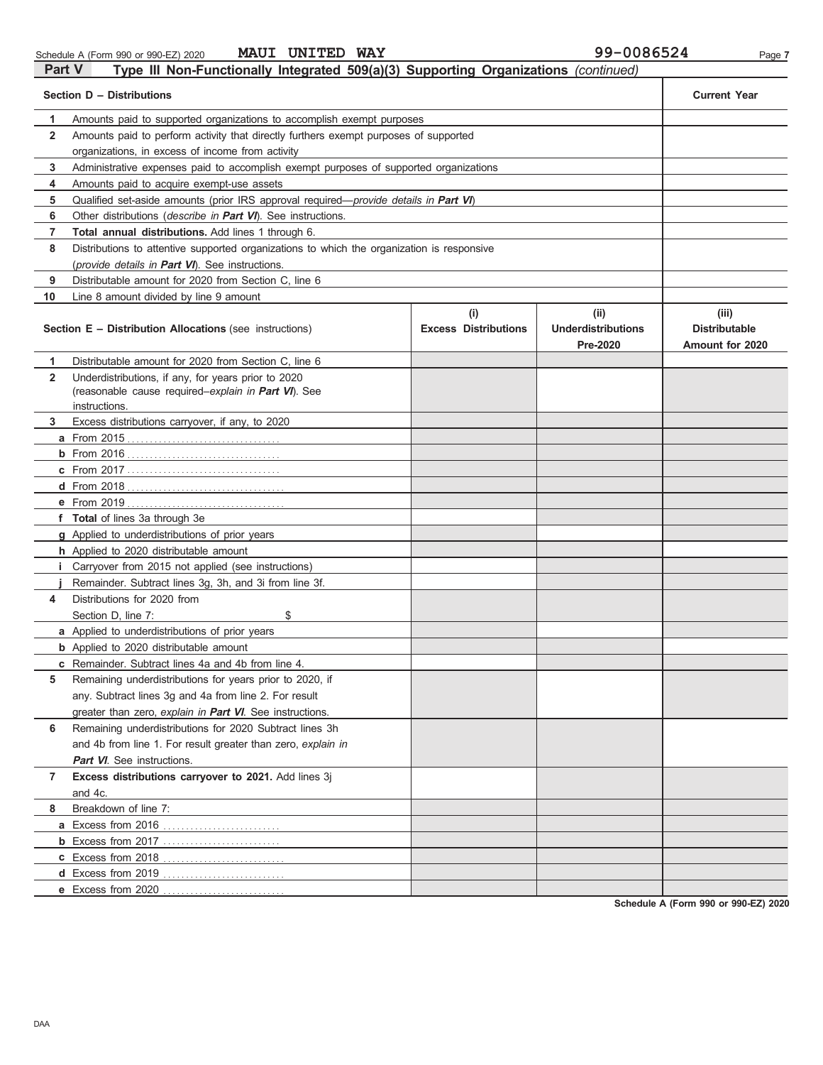| chedule A (Form 990 or 990-EZ) 2020 | MAU |
|-------------------------------------|-----|
|                                     |     |

|        | Schedule A (Form 990 or 990-EZ) 2020 | <b>MAUI UNITED WAY</b> |                                                                                     | 99-0086524 | Page 7 |
|--------|--------------------------------------|------------------------|-------------------------------------------------------------------------------------|------------|--------|
| Part V |                                      |                        | Type III Non-Functionally Integrated 509(a)(3) Supporting Organizations (continued) |            |        |
|        |                                      |                        |                                                                                     |            |        |

|              | Section D - Distributions                                                                                                   |                                    |                                               |                                                         |  |  |  |  |  |  |
|--------------|-----------------------------------------------------------------------------------------------------------------------------|------------------------------------|-----------------------------------------------|---------------------------------------------------------|--|--|--|--|--|--|
| 1.           | Amounts paid to supported organizations to accomplish exempt purposes                                                       |                                    |                                               |                                                         |  |  |  |  |  |  |
| $\mathbf{2}$ | Amounts paid to perform activity that directly furthers exempt purposes of supported                                        |                                    |                                               |                                                         |  |  |  |  |  |  |
|              | organizations, in excess of income from activity                                                                            |                                    |                                               |                                                         |  |  |  |  |  |  |
| 3            | Administrative expenses paid to accomplish exempt purposes of supported organizations                                       |                                    |                                               |                                                         |  |  |  |  |  |  |
| 4            | Amounts paid to acquire exempt-use assets                                                                                   |                                    |                                               |                                                         |  |  |  |  |  |  |
| 5            | Qualified set-aside amounts (prior IRS approval required—provide details in Part VI)                                        |                                    |                                               |                                                         |  |  |  |  |  |  |
| 6            | Other distributions (describe in Part VI). See instructions.                                                                |                                    |                                               |                                                         |  |  |  |  |  |  |
| 7            | <b>Total annual distributions.</b> Add lines 1 through 6.                                                                   |                                    |                                               |                                                         |  |  |  |  |  |  |
| 8            | Distributions to attentive supported organizations to which the organization is responsive                                  |                                    |                                               |                                                         |  |  |  |  |  |  |
|              | (provide details in Part VI). See instructions.                                                                             |                                    |                                               |                                                         |  |  |  |  |  |  |
| 9            | Distributable amount for 2020 from Section C, line 6                                                                        |                                    |                                               |                                                         |  |  |  |  |  |  |
| 10           | Line 8 amount divided by line 9 amount                                                                                      |                                    |                                               |                                                         |  |  |  |  |  |  |
|              | <b>Section E - Distribution Allocations (see instructions)</b>                                                              | (i)<br><b>Excess Distributions</b> | (ii)<br><b>Underdistributions</b><br>Pre-2020 | (iii)<br><b>Distributable</b><br><b>Amount for 2020</b> |  |  |  |  |  |  |
| 1            | Distributable amount for 2020 from Section C. line 6                                                                        |                                    |                                               |                                                         |  |  |  |  |  |  |
| $\mathbf{2}$ | Underdistributions, if any, for years prior to 2020<br>(reasonable cause required-explain in Part VI). See<br>instructions. |                                    |                                               |                                                         |  |  |  |  |  |  |
| 3            | Excess distributions carryover, if any, to 2020                                                                             |                                    |                                               |                                                         |  |  |  |  |  |  |
|              | <b>a</b> From 2015                                                                                                          |                                    |                                               |                                                         |  |  |  |  |  |  |
|              |                                                                                                                             |                                    |                                               |                                                         |  |  |  |  |  |  |
|              |                                                                                                                             |                                    |                                               |                                                         |  |  |  |  |  |  |
|              |                                                                                                                             |                                    |                                               |                                                         |  |  |  |  |  |  |
|              | e From 2019                                                                                                                 |                                    |                                               |                                                         |  |  |  |  |  |  |
|              | f Total of lines 3a through 3e                                                                                              |                                    |                                               |                                                         |  |  |  |  |  |  |
|              | g Applied to underdistributions of prior years                                                                              |                                    |                                               |                                                         |  |  |  |  |  |  |
|              | h Applied to 2020 distributable amount                                                                                      |                                    |                                               |                                                         |  |  |  |  |  |  |
|              | <i>i</i> Carryover from 2015 not applied (see instructions)                                                                 |                                    |                                               |                                                         |  |  |  |  |  |  |
|              | Remainder. Subtract lines 3g, 3h, and 3i from line 3f.                                                                      |                                    |                                               |                                                         |  |  |  |  |  |  |
| 4            | Distributions for 2020 from                                                                                                 |                                    |                                               |                                                         |  |  |  |  |  |  |
|              | Section D, line 7:<br>\$                                                                                                    |                                    |                                               |                                                         |  |  |  |  |  |  |
|              | a Applied to underdistributions of prior years                                                                              |                                    |                                               |                                                         |  |  |  |  |  |  |
|              | <b>b</b> Applied to 2020 distributable amount                                                                               |                                    |                                               |                                                         |  |  |  |  |  |  |
|              | <b>c</b> Remainder. Subtract lines 4a and 4b from line 4.                                                                   |                                    |                                               |                                                         |  |  |  |  |  |  |
| 5            | Remaining underdistributions for years prior to 2020, if                                                                    |                                    |                                               |                                                         |  |  |  |  |  |  |
|              | any. Subtract lines 3g and 4a from line 2. For result                                                                       |                                    |                                               |                                                         |  |  |  |  |  |  |
|              | greater than zero, explain in Part VI. See instructions.                                                                    |                                    |                                               |                                                         |  |  |  |  |  |  |
| 6            | Remaining underdistributions for 2020 Subtract lines 3h                                                                     |                                    |                                               |                                                         |  |  |  |  |  |  |
|              | and 4b from line 1. For result greater than zero, explain in                                                                |                                    |                                               |                                                         |  |  |  |  |  |  |
|              | <b>Part VI</b> . See instructions.                                                                                          |                                    |                                               |                                                         |  |  |  |  |  |  |
| 7            | Excess distributions carryover to 2021. Add lines 3j                                                                        |                                    |                                               |                                                         |  |  |  |  |  |  |
|              | and 4c.                                                                                                                     |                                    |                                               |                                                         |  |  |  |  |  |  |
| 8            | Breakdown of line 7:                                                                                                        |                                    |                                               |                                                         |  |  |  |  |  |  |
|              | a Excess from 2016                                                                                                          |                                    |                                               |                                                         |  |  |  |  |  |  |
|              | <b>b</b> Excess from 2017                                                                                                   |                                    |                                               |                                                         |  |  |  |  |  |  |
|              | c Excess from 2018                                                                                                          |                                    |                                               |                                                         |  |  |  |  |  |  |
|              | d Excess from 2019                                                                                                          |                                    |                                               |                                                         |  |  |  |  |  |  |
|              | e Excess from 2020                                                                                                          |                                    |                                               |                                                         |  |  |  |  |  |  |

**Schedule A (Form 990 or 990-EZ) 2020**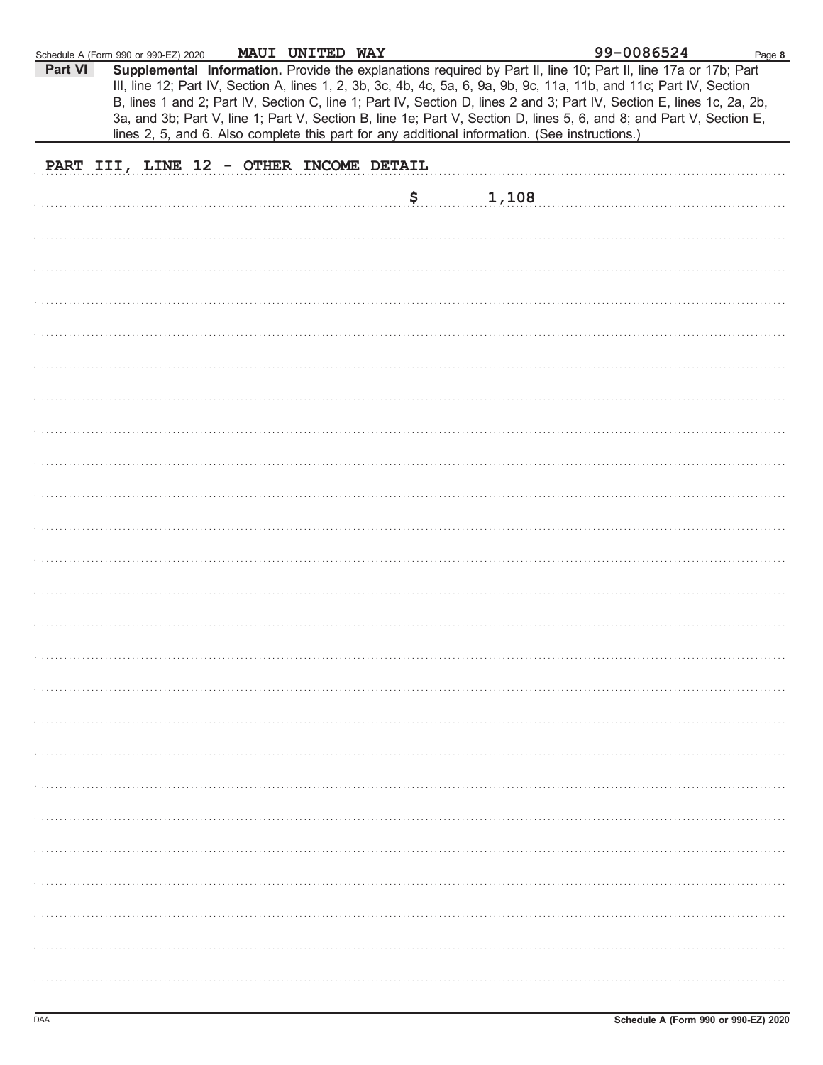|         | Schedule A (Form 990 or 990-EZ) 2020                                                           | MAUI UNITED WAY |    |       | 99-0086524                                                                                                                                                                                                                                                                                                                                                                                                                                                                                | Page 8 |
|---------|------------------------------------------------------------------------------------------------|-----------------|----|-------|-------------------------------------------------------------------------------------------------------------------------------------------------------------------------------------------------------------------------------------------------------------------------------------------------------------------------------------------------------------------------------------------------------------------------------------------------------------------------------------------|--------|
| Part VI | lines 2, 5, and 6. Also complete this part for any additional information. (See instructions.) |                 |    |       | Supplemental Information. Provide the explanations required by Part II, line 10; Part II, line 17a or 17b; Part<br>III, line 12; Part IV, Section A, lines 1, 2, 3b, 3c, 4b, 4c, 5a, 6, 9a, 9b, 9c, 11a, 11b, and 11c; Part IV, Section<br>B, lines 1 and 2; Part IV, Section C, line 1; Part IV, Section D, lines 2 and 3; Part IV, Section E, lines 1c, 2a, 2b,<br>3a, and 3b; Part V, line 1; Part V, Section B, line 1e; Part V, Section D, lines 5, 6, and 8; and Part V, Section E, |        |
|         | PART III, LINE 12 - OTHER INCOME DETAIL                                                        |                 |    |       |                                                                                                                                                                                                                                                                                                                                                                                                                                                                                           |        |
|         |                                                                                                |                 |    |       |                                                                                                                                                                                                                                                                                                                                                                                                                                                                                           |        |
|         |                                                                                                |                 | \$ | 1,108 |                                                                                                                                                                                                                                                                                                                                                                                                                                                                                           |        |
|         |                                                                                                |                 |    |       |                                                                                                                                                                                                                                                                                                                                                                                                                                                                                           |        |
|         |                                                                                                |                 |    |       |                                                                                                                                                                                                                                                                                                                                                                                                                                                                                           |        |
|         |                                                                                                |                 |    |       |                                                                                                                                                                                                                                                                                                                                                                                                                                                                                           |        |
|         |                                                                                                |                 |    |       |                                                                                                                                                                                                                                                                                                                                                                                                                                                                                           |        |
|         |                                                                                                |                 |    |       |                                                                                                                                                                                                                                                                                                                                                                                                                                                                                           |        |
|         |                                                                                                |                 |    |       |                                                                                                                                                                                                                                                                                                                                                                                                                                                                                           |        |
|         |                                                                                                |                 |    |       |                                                                                                                                                                                                                                                                                                                                                                                                                                                                                           |        |
|         |                                                                                                |                 |    |       |                                                                                                                                                                                                                                                                                                                                                                                                                                                                                           |        |
|         |                                                                                                |                 |    |       |                                                                                                                                                                                                                                                                                                                                                                                                                                                                                           |        |
|         |                                                                                                |                 |    |       |                                                                                                                                                                                                                                                                                                                                                                                                                                                                                           |        |
|         |                                                                                                |                 |    |       |                                                                                                                                                                                                                                                                                                                                                                                                                                                                                           |        |
|         |                                                                                                |                 |    |       |                                                                                                                                                                                                                                                                                                                                                                                                                                                                                           |        |
|         |                                                                                                |                 |    |       |                                                                                                                                                                                                                                                                                                                                                                                                                                                                                           |        |
|         |                                                                                                |                 |    |       |                                                                                                                                                                                                                                                                                                                                                                                                                                                                                           |        |
|         |                                                                                                |                 |    |       |                                                                                                                                                                                                                                                                                                                                                                                                                                                                                           |        |
|         |                                                                                                |                 |    |       |                                                                                                                                                                                                                                                                                                                                                                                                                                                                                           |        |
|         |                                                                                                |                 |    |       |                                                                                                                                                                                                                                                                                                                                                                                                                                                                                           |        |
|         |                                                                                                |                 |    |       |                                                                                                                                                                                                                                                                                                                                                                                                                                                                                           |        |
|         |                                                                                                |                 |    |       |                                                                                                                                                                                                                                                                                                                                                                                                                                                                                           |        |
|         |                                                                                                |                 |    |       |                                                                                                                                                                                                                                                                                                                                                                                                                                                                                           |        |
|         |                                                                                                |                 |    |       |                                                                                                                                                                                                                                                                                                                                                                                                                                                                                           |        |
|         |                                                                                                |                 |    |       |                                                                                                                                                                                                                                                                                                                                                                                                                                                                                           |        |
|         |                                                                                                |                 |    |       |                                                                                                                                                                                                                                                                                                                                                                                                                                                                                           |        |
|         |                                                                                                |                 |    |       |                                                                                                                                                                                                                                                                                                                                                                                                                                                                                           |        |
|         |                                                                                                |                 |    |       |                                                                                                                                                                                                                                                                                                                                                                                                                                                                                           |        |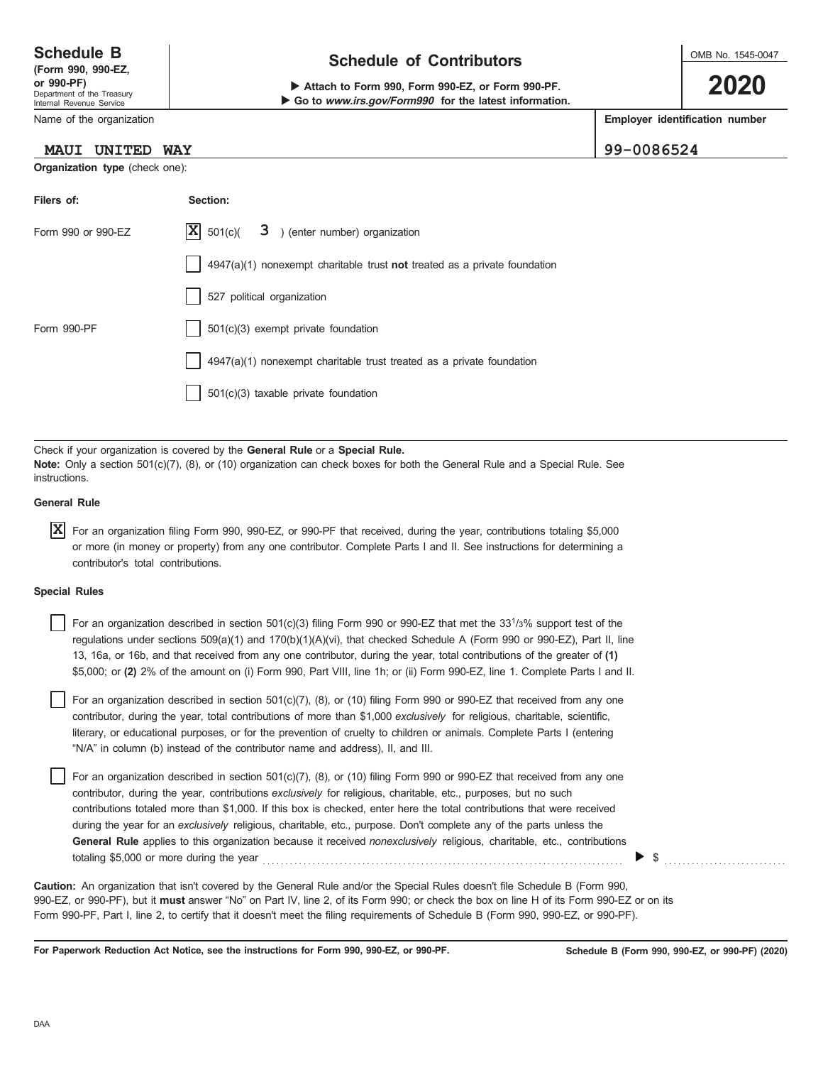Department of the Treasury Internal Revenue Service

Name of the organization

#### **MAUI UNITED WAY 99-0086524**

**Organization type** (check one):

| <b>Schedule B</b>           | <b>Schedule of Contributors</b> |
|-----------------------------|---------------------------------|
| $T_{\rm CMB}$ 000 000 $E$ 7 |                                 |

**or 990-PF) b** Attach to Form 990, Form 990-EZ, or Form 990-PF. ▶ Go to www.irs.gov/Form990 for the latest information. OMB No. 1545-0047

**2020**

**Employer identification number**

| Filers of:         | Section:                                                                  |
|--------------------|---------------------------------------------------------------------------|
| Form 990 or 990-EZ | $ \mathbf{X} $ 501(c)( $3$ ) (enter number) organization                  |
|                    | 4947(a)(1) nonexempt charitable trust not treated as a private foundation |
|                    | 527 political organization                                                |
| Form 990-PF        | $501(c)(3)$ exempt private foundation                                     |
|                    | $4947(a)(1)$ nonexempt charitable trust treated as a private foundation   |
|                    | $501(c)(3)$ taxable private foundation                                    |

Check if your organization is covered by the **General Rule** or a **Special Rule. Note:** Only a section 501(c)(7), (8), or (10) organization can check boxes for both the General Rule and a Special Rule. See instructions.

#### **General Rule**

 $\overline{\textbf{X}}$  For an organization filing Form 990, 990-EZ, or 990-PF that received, during the year, contributions totaling \$5,000 or more (in money or property) from any one contributor. Complete Parts I and II. See instructions for determining a contributor's total contributions.

#### **Special Rules**

For an organization described in section 501(c)(3) filing Form 990 or 990-EZ that met the  $33<sup>1</sup>/3%$  support test of the regulations under sections 509(a)(1) and 170(b)(1)(A)(vi), that checked Schedule A (Form 990 or 990-EZ), Part II, line 13, 16a, or 16b, and that received from any one contributor, during the year, total contributions of the greater of **(1)** \$5,000; or **(2)** 2% of the amount on (i) Form 990, Part VIII, line 1h; or (ii) Form 990-EZ, line 1. Complete Parts I and II.

literary, or educational purposes, or for the prevention of cruelty to children or animals. Complete Parts I (entering For an organization described in section 501(c)(7), (8), or (10) filing Form 990 or 990-EZ that received from any one contributor, during the year, total contributions of more than \$1,000 *exclusively* for religious, charitable, scientific, "N/A" in column (b) instead of the contributor name and address), II, and III.

For an organization described in section 501(c)(7), (8), or (10) filing Form 990 or 990-EZ that received from any one contributor, during the year, contributions *exclusively* for religious, charitable, etc., purposes, but no such contributions totaled more than \$1,000. If this box is checked, enter here the total contributions that were received during the year for an *exclusively* religious, charitable, etc., purpose. Don't complete any of the parts unless the **General Rule** applies to this organization because it received *nonexclusively* religious, charitable, etc., contributions totaling \$5,000 or more during the year . . . . . . . . . . . . . . . . . . . . . . . . . . . . . . . . . . . . . . . . . . . . . . . . . . . . . . . . . . . . . . . . . . . . . . . . . . . . . . . . \$ . . . . . . . . . . . . . . . . . . . . . . . . . . .

990-EZ, or 990-PF), but it **must** answer "No" on Part IV, line 2, of its Form 990; or check the box on line H of its Form 990-EZ or on its Form 990-PF, Part I, line 2, to certify that it doesn't meet the filing requirements of Schedule B (Form 990, 990-EZ, or 990-PF). **Caution:** An organization that isn't covered by the General Rule and/or the Special Rules doesn't file Schedule B (Form 990,

**For Paperwork Reduction Act Notice, see the instructions for Form 990, 990-EZ, or 990-PF.**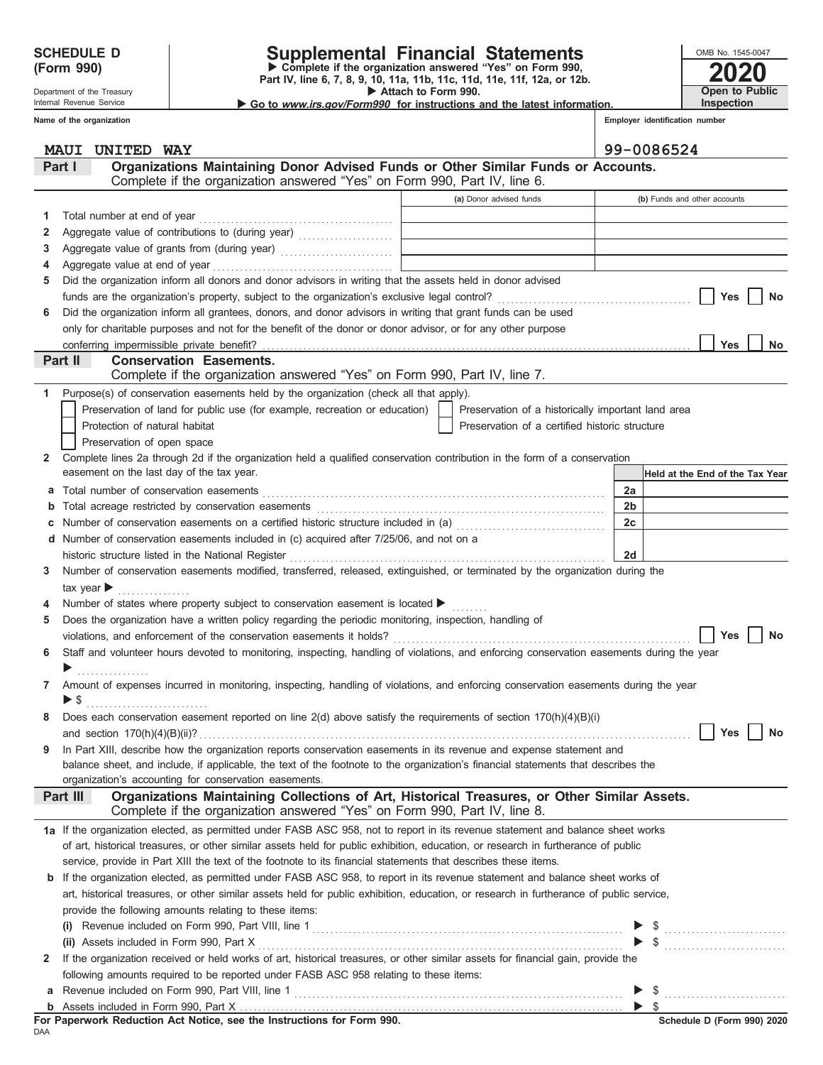Department of the Treasury Internal Revenue Service **Name of the organization**

### **SCHEDULE D Supplemental Financial Statements**

Attach to Form 990. **(Form 990) Part IV, line 6, 7, 8, 9, 10, 11a, 11b, 11c, 11d, 11e, 11f, 12a, or 12b.**<br>Part IV, line 6, 7, 8, 9, 10, 11a, 11b, 11c, 11d, 11e, 11f, 12a, or 12b.

▶ Go to www.irs.gov/Form990 for instructions and the latest information.

**2020** OMB No. 1545-0047 **Open to Public Inspection**

**Employer identification number**

|    | UNITED WAY<br><b>MAUI</b>                                                                                                                                                                  |                                                                                                      | 99-0086524                      |
|----|--------------------------------------------------------------------------------------------------------------------------------------------------------------------------------------------|------------------------------------------------------------------------------------------------------|---------------------------------|
|    | Organizations Maintaining Donor Advised Funds or Other Similar Funds or Accounts.<br>Part I                                                                                                |                                                                                                      |                                 |
|    | Complete if the organization answered "Yes" on Form 990, Part IV, line 6.                                                                                                                  |                                                                                                      |                                 |
|    |                                                                                                                                                                                            | (a) Donor advised funds                                                                              | (b) Funds and other accounts    |
| 1  | Total number at end of year                                                                                                                                                                | the control of the control of the control                                                            |                                 |
| 2  | Aggregate value of contributions to (during year) [[1] Aggregate value of contributions to (during year)                                                                                   |                                                                                                      |                                 |
| 3  |                                                                                                                                                                                            | the control of the control of the control of the control of the control of                           |                                 |
| 4  |                                                                                                                                                                                            | the control of the control of the control of the control of the control of the control of            |                                 |
| 5  | Did the organization inform all donors and donor advisors in writing that the assets held in donor advised                                                                                 |                                                                                                      |                                 |
|    |                                                                                                                                                                                            |                                                                                                      | <b>Yes</b><br>No                |
| 6  | Did the organization inform all grantees, donors, and donor advisors in writing that grant funds can be used                                                                               |                                                                                                      |                                 |
|    | only for charitable purposes and not for the benefit of the donor or donor advisor, or for any other purpose                                                                               |                                                                                                      |                                 |
|    |                                                                                                                                                                                            |                                                                                                      | Yes<br>No                       |
|    | Part II<br><b>Conservation Easements.</b>                                                                                                                                                  |                                                                                                      |                                 |
|    | Complete if the organization answered "Yes" on Form 990, Part IV, line 7.                                                                                                                  |                                                                                                      |                                 |
| 1  | Purpose(s) of conservation easements held by the organization (check all that apply).                                                                                                      |                                                                                                      |                                 |
|    | Preservation of land for public use (for example, recreation or education)                                                                                                                 |                                                                                                      |                                 |
|    | Protection of natural habitat                                                                                                                                                              | Preservation of a historically important land area<br>Preservation of a certified historic structure |                                 |
|    |                                                                                                                                                                                            |                                                                                                      |                                 |
|    | Preservation of open space<br>Complete lines 2a through 2d if the organization held a qualified conservation contribution in the form of a conservation                                    |                                                                                                      |                                 |
| 2  | easement on the last day of the tax year.                                                                                                                                                  |                                                                                                      |                                 |
|    |                                                                                                                                                                                            |                                                                                                      | Held at the End of the Tax Year |
| а  | Total number of conservation easements                                                                                                                                                     |                                                                                                      | 2a                              |
| b  |                                                                                                                                                                                            |                                                                                                      | 2 <sub>b</sub>                  |
| С  | Number of conservation easements on a certified historic structure included in (a) [[[[[[ [ ]]]]                                                                                           |                                                                                                      | 2c                              |
| d  | Number of conservation easements included in (c) acquired after 7/25/06, and not on a                                                                                                      |                                                                                                      |                                 |
|    | historic structure listed in the National Register                                                                                                                                         |                                                                                                      | 2d                              |
| 3. | Number of conservation easements modified, transferred, released, extinguished, or terminated by the organization during the                                                               |                                                                                                      |                                 |
|    | tax year $\blacktriangleright$                                                                                                                                                             |                                                                                                      |                                 |
| 4  | Number of states where property subject to conservation easement is located ▶                                                                                                              |                                                                                                      |                                 |
| 5. | Does the organization have a written policy regarding the periodic monitoring, inspection, handling of                                                                                     |                                                                                                      |                                 |
|    | violations, and enforcement of the conservation easements it holds?                                                                                                                        |                                                                                                      | <b>Yes</b><br>No                |
| 6  | Staff and volunteer hours devoted to monitoring, inspecting, handling of violations, and enforcing conservation easements during the year                                                  |                                                                                                      |                                 |
|    |                                                                                                                                                                                            |                                                                                                      |                                 |
| 7  | Amount of expenses incurred in monitoring, inspecting, handling of violations, and enforcing conservation easements during the year                                                        |                                                                                                      |                                 |
|    | $\blacktriangleright$ \$                                                                                                                                                                   |                                                                                                      |                                 |
|    | Does each conservation easement reported on line 2(d) above satisfy the requirements of section 170(h)(4)(B)(i)                                                                            |                                                                                                      |                                 |
|    |                                                                                                                                                                                            |                                                                                                      |                                 |
| 9  | In Part XIII, describe how the organization reports conservation easements in its revenue and expense statement and                                                                        |                                                                                                      |                                 |
|    | balance sheet, and include, if applicable, the text of the footnote to the organization's financial statements that describes the<br>organization's accounting for conservation easements. |                                                                                                      |                                 |
|    | Organizations Maintaining Collections of Art, Historical Treasures, or Other Similar Assets.<br>Part III                                                                                   |                                                                                                      |                                 |
|    | Complete if the organization answered "Yes" on Form 990, Part IV, line 8.                                                                                                                  |                                                                                                      |                                 |
|    | 1a If the organization elected, as permitted under FASB ASC 958, not to report in its revenue statement and balance sheet works                                                            |                                                                                                      |                                 |
|    | of art, historical treasures, or other similar assets held for public exhibition, education, or research in furtherance of public                                                          |                                                                                                      |                                 |
|    | service, provide in Part XIII the text of the footnote to its financial statements that describes these items.                                                                             |                                                                                                      |                                 |
|    | <b>b</b> If the organization elected, as permitted under FASB ASC 958, to report in its revenue statement and balance sheet works of                                                       |                                                                                                      |                                 |
|    | art, historical treasures, or other similar assets held for public exhibition, education, or research in furtherance of public service,                                                    |                                                                                                      |                                 |
|    | provide the following amounts relating to these items:                                                                                                                                     |                                                                                                      |                                 |
|    | (i)                                                                                                                                                                                        |                                                                                                      |                                 |
|    | (ii) Assets included in Form 990, Part X                                                                                                                                                   |                                                                                                      |                                 |
| 2  | If the organization received or held works of art, historical treasures, or other similar assets for financial gain, provide the                                                           |                                                                                                      |                                 |
|    | following amounts required to be reported under FASB ASC 958 relating to these items:                                                                                                      |                                                                                                      |                                 |
| а  |                                                                                                                                                                                            |                                                                                                      |                                 |
|    |                                                                                                                                                                                            |                                                                                                      | $\triangleright$ \$             |
|    |                                                                                                                                                                                            |                                                                                                      |                                 |

DAA **For Paperwork Reduction Act Notice, see the Instructions for Form 990.**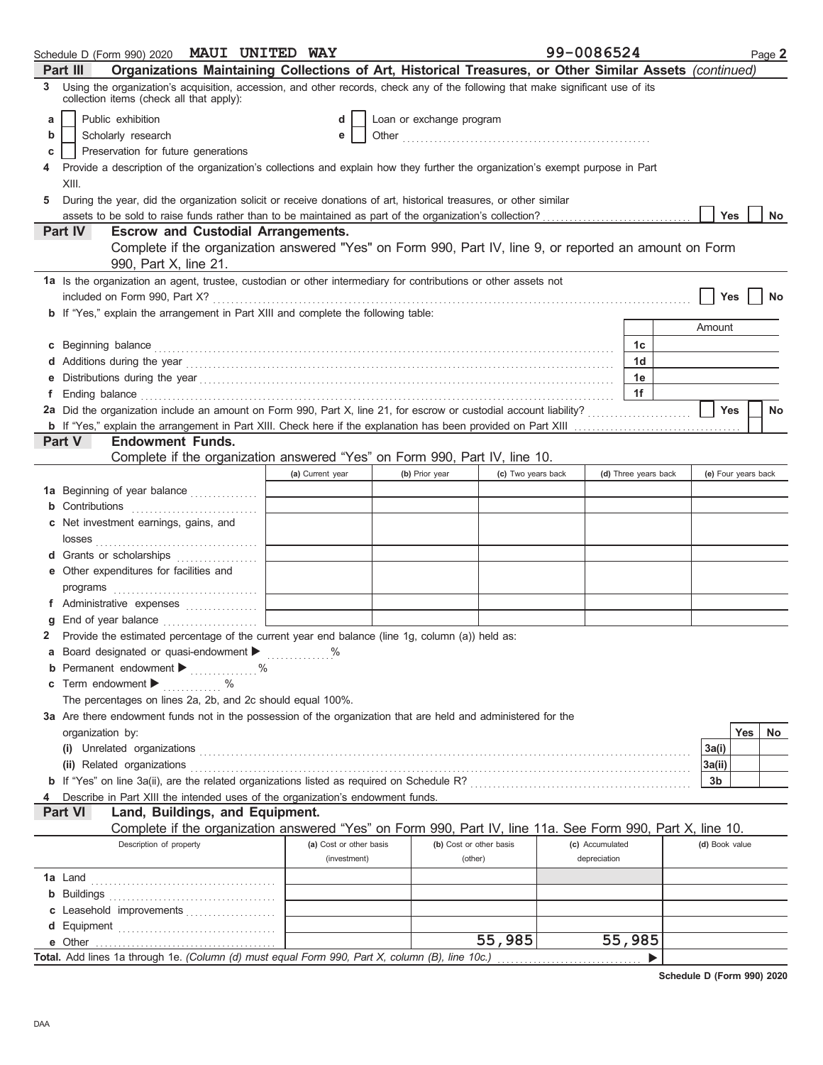| Organizations Maintaining Collections of Art, Historical Treasures, or Other Similar Assets (continued)<br><b>Part III</b>                                                                                                                                                                                                                                              |    |
|-------------------------------------------------------------------------------------------------------------------------------------------------------------------------------------------------------------------------------------------------------------------------------------------------------------------------------------------------------------------------|----|
| Using the organization's acquisition, accession, and other records, check any of the following that make significant use of its<br>3.<br>collection items (check all that apply):                                                                                                                                                                                       |    |
| Public exhibition<br>Loan or exchange program<br>d<br>a                                                                                                                                                                                                                                                                                                                 |    |
| Scholarly research<br>b<br>е                                                                                                                                                                                                                                                                                                                                            |    |
| Preservation for future generations<br>С                                                                                                                                                                                                                                                                                                                                |    |
| Provide a description of the organization's collections and explain how they further the organization's exempt purpose in Part<br>4                                                                                                                                                                                                                                     |    |
| XIII.                                                                                                                                                                                                                                                                                                                                                                   |    |
| During the year, did the organization solicit or receive donations of art, historical treasures, or other similar<br>5                                                                                                                                                                                                                                                  |    |
| Yes                                                                                                                                                                                                                                                                                                                                                                     | No |
| <b>Part IV</b><br><b>Escrow and Custodial Arrangements.</b>                                                                                                                                                                                                                                                                                                             |    |
| Complete if the organization answered "Yes" on Form 990, Part IV, line 9, or reported an amount on Form<br>990, Part X, line 21.                                                                                                                                                                                                                                        |    |
| 1a Is the organization an agent, trustee, custodian or other intermediary for contributions or other assets not                                                                                                                                                                                                                                                         |    |
| included on Form 990, Part X?<br>Yes                                                                                                                                                                                                                                                                                                                                    |    |
| b If "Yes," explain the arrangement in Part XIII and complete the following table:                                                                                                                                                                                                                                                                                      |    |
| Amount                                                                                                                                                                                                                                                                                                                                                                  |    |
| c Beginning balance <b>contract to the contract of the contract of the contract of the contract of the contract of the contract of the contract of the contract of the contract of the contract of the contract of the contract </b><br>1c                                                                                                                              |    |
| 1 <sub>d</sub>                                                                                                                                                                                                                                                                                                                                                          |    |
| 1e                                                                                                                                                                                                                                                                                                                                                                      |    |
| 1f<br>Ending balance <b>construction and the construction of the construction</b> of the construction of the construction of the construction of the construction of the construction of the construction of the construction of the cons                                                                                                                               |    |
| Yes                                                                                                                                                                                                                                                                                                                                                                     | No |
|                                                                                                                                                                                                                                                                                                                                                                         |    |
| Part V<br><b>Endowment Funds.</b>                                                                                                                                                                                                                                                                                                                                       |    |
| Complete if the organization answered "Yes" on Form 990, Part IV, line 10.                                                                                                                                                                                                                                                                                              |    |
| (a) Current year<br>(c) Two years back<br>(d) Three years back<br>(e) Four years back<br>(b) Prior year                                                                                                                                                                                                                                                                 |    |
| 1a Beginning of year balance                                                                                                                                                                                                                                                                                                                                            |    |
| <b>b</b> Contributions                                                                                                                                                                                                                                                                                                                                                  |    |
| c Net investment earnings, gains, and                                                                                                                                                                                                                                                                                                                                   |    |
| $\begin{tabular}{l cccccc} \textbf{losses} & \textbf{0.017} & \textbf{0.017} & \textbf{0.017} & \textbf{0.017} & \textbf{0.017} & \textbf{0.017} & \textbf{0.017} & \textbf{0.017} & \textbf{0.017} & \textbf{0.017} & \textbf{0.017} & \textbf{0.017} & \textbf{0.017} & \textbf{0.017} & \textbf{0.017} & \textbf{0.017} & \textbf{0.017} & \textbf{0.017} & \textbf$ |    |
| d Grants or scholarships                                                                                                                                                                                                                                                                                                                                                |    |
| e Other expenditures for facilities and                                                                                                                                                                                                                                                                                                                                 |    |
|                                                                                                                                                                                                                                                                                                                                                                         |    |
| f Administrative expenses                                                                                                                                                                                                                                                                                                                                               |    |
|                                                                                                                                                                                                                                                                                                                                                                         |    |
| Provide the estimated percentage of the current year end balance (line 1g, column (a)) held as:<br>2                                                                                                                                                                                                                                                                    |    |
| <b>a</b> Board designated or quasi-endowment $\blacktriangleright$                                                                                                                                                                                                                                                                                                      |    |
| <b>b</b> Permanent endowment $\blacktriangleright$<br>$\%$<br>.                                                                                                                                                                                                                                                                                                         |    |
| Term endowment $\blacktriangleright$<br>$\%$<br>c                                                                                                                                                                                                                                                                                                                       |    |
| The percentages on lines 2a, 2b, and 2c should equal 100%.                                                                                                                                                                                                                                                                                                              |    |
| 3a Are there endowment funds not in the possession of the organization that are held and administered for the                                                                                                                                                                                                                                                           |    |
| Yes<br>organization by:                                                                                                                                                                                                                                                                                                                                                 | No |
| 3a(i)                                                                                                                                                                                                                                                                                                                                                                   |    |
| (ii) Related organizations <b>construction</b> construction of the construction of the construction of the construction of the construction of the construction of the construction of the construction of the construction of the<br>3a(ii)                                                                                                                            |    |
| 3b                                                                                                                                                                                                                                                                                                                                                                      |    |
| Describe in Part XIII the intended uses of the organization's endowment funds.                                                                                                                                                                                                                                                                                          |    |
| Land, Buildings, and Equipment.<br><b>Part VI</b>                                                                                                                                                                                                                                                                                                                       |    |
| Complete if the organization answered "Yes" on Form 990, Part IV, line 11a. See Form 990, Part X, line 10.                                                                                                                                                                                                                                                              |    |
| Description of property<br>(a) Cost or other basis<br>(b) Cost or other basis<br>(c) Accumulated<br>(d) Book value                                                                                                                                                                                                                                                      |    |
| (investment)<br>(other)<br>depreciation                                                                                                                                                                                                                                                                                                                                 |    |
|                                                                                                                                                                                                                                                                                                                                                                         |    |
|                                                                                                                                                                                                                                                                                                                                                                         |    |
| c Leasehold improvements                                                                                                                                                                                                                                                                                                                                                |    |
|                                                                                                                                                                                                                                                                                                                                                                         |    |
| 55,985<br>55,985<br>e Other                                                                                                                                                                                                                                                                                                                                             |    |
| Total. Add lines 1a through 1e. (Column (d) must equal Form 990, Part X, column (B), line 10c.)                                                                                                                                                                                                                                                                         |    |

**Schedule D (Form 990) 2020**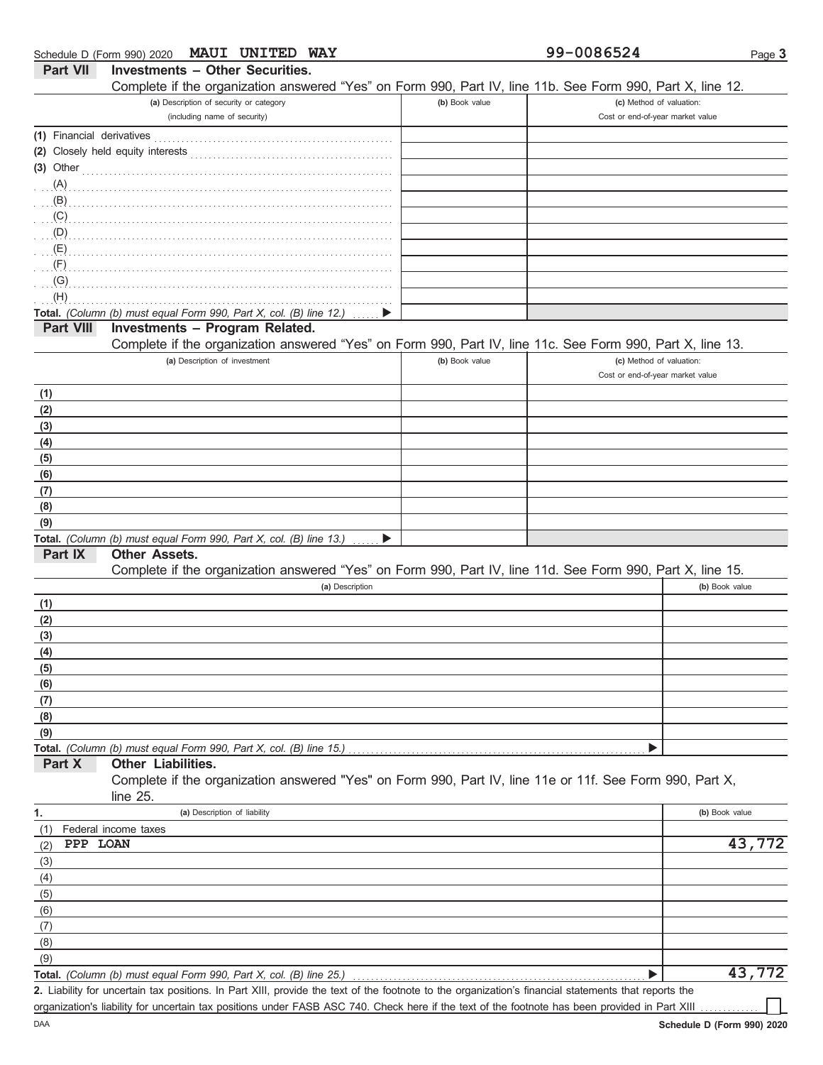|                           | MAUI UNITED WAY<br>Schedule D (Form 990) 2020                                                                                                        |                | 99-0086524                       | Page 3         |
|---------------------------|------------------------------------------------------------------------------------------------------------------------------------------------------|----------------|----------------------------------|----------------|
| <b>Part VII</b>           | <b>Investments - Other Securities.</b>                                                                                                               |                |                                  |                |
|                           | Complete if the organization answered "Yes" on Form 990, Part IV, line 11b. See Form 990, Part X, line 12.                                           |                |                                  |                |
|                           | (a) Description of security or category                                                                                                              | (b) Book value | (c) Method of valuation:         |                |
|                           | (including name of security)                                                                                                                         |                | Cost or end-of-year market value |                |
| (1) Financial derivatives |                                                                                                                                                      |                |                                  |                |
|                           |                                                                                                                                                      |                |                                  |                |
|                           |                                                                                                                                                      |                |                                  |                |
|                           | $(A)$ . $(A)$                                                                                                                                        |                |                                  |                |
| (B)                       |                                                                                                                                                      |                |                                  |                |
| (D)                       |                                                                                                                                                      |                |                                  |                |
|                           |                                                                                                                                                      |                |                                  |                |
| (F)                       |                                                                                                                                                      |                |                                  |                |
| (G)                       |                                                                                                                                                      |                |                                  |                |
| (H)                       |                                                                                                                                                      |                |                                  |                |
|                           | Total. (Column (b) must equal Form 990, Part X, col. (B) line 12.)                                                                                   |                |                                  |                |
| Part VIII                 | <b>Investments - Program Related.</b>                                                                                                                |                |                                  |                |
|                           | Complete if the organization answered "Yes" on Form 990, Part IV, line 11c. See Form 990, Part X, line 13.                                           |                |                                  |                |
|                           | (a) Description of investment                                                                                                                        | (b) Book value | (c) Method of valuation:         |                |
|                           |                                                                                                                                                      |                | Cost or end-of-year market value |                |
| (1)                       |                                                                                                                                                      |                |                                  |                |
| (2)                       |                                                                                                                                                      |                |                                  |                |
| (3)                       |                                                                                                                                                      |                |                                  |                |
| (4)                       |                                                                                                                                                      |                |                                  |                |
| (5)                       |                                                                                                                                                      |                |                                  |                |
| (6)                       |                                                                                                                                                      |                |                                  |                |
| (7)                       |                                                                                                                                                      |                |                                  |                |
| (8)                       |                                                                                                                                                      |                |                                  |                |
| (9)                       |                                                                                                                                                      |                |                                  |                |
|                           | Total. (Column (b) must equal Form 990, Part X, col. (B) line 13.)                                                                                   |                |                                  |                |
| Part IX                   | <b>Other Assets.</b><br>Complete if the organization answered "Yes" on Form 990, Part IV, line 11d. See Form 990, Part X, line 15.                   |                |                                  |                |
|                           | (a) Description                                                                                                                                      |                |                                  | (b) Book value |
| (1)                       |                                                                                                                                                      |                |                                  |                |
| (2)                       |                                                                                                                                                      |                |                                  |                |
| (3)                       |                                                                                                                                                      |                |                                  |                |
| $\frac{(4)}{2}$           |                                                                                                                                                      |                |                                  |                |
| (5)                       |                                                                                                                                                      |                |                                  |                |
| (6)                       |                                                                                                                                                      |                |                                  |                |
| (7)                       |                                                                                                                                                      |                |                                  |                |
| (8)                       |                                                                                                                                                      |                |                                  |                |
| (9)                       |                                                                                                                                                      |                |                                  |                |
|                           | Total. (Column (b) must equal Form 990, Part X, col. (B) line 15.)                                                                                   |                |                                  |                |
| Part X                    | Other Liabilities.                                                                                                                                   |                |                                  |                |
|                           | Complete if the organization answered "Yes" on Form 990, Part IV, line 11e or 11f. See Form 990, Part X,                                             |                |                                  |                |
|                           | line $25$ .                                                                                                                                          |                |                                  |                |
| 1.                        | (a) Description of liability                                                                                                                         |                |                                  | (b) Book value |
| (1)                       | Federal income taxes                                                                                                                                 |                |                                  |                |
| PPP LOAN<br>(2)           |                                                                                                                                                      |                |                                  | 43,772         |
| (3)                       |                                                                                                                                                      |                |                                  |                |
| (4)                       |                                                                                                                                                      |                |                                  |                |
| (5)                       |                                                                                                                                                      |                |                                  |                |
| (6)                       |                                                                                                                                                      |                |                                  |                |
| (7)                       |                                                                                                                                                      |                |                                  |                |
| (8)<br>(9)                |                                                                                                                                                      |                |                                  |                |
|                           | Total. (Column (b) must equal Form 990, Part X, col. (B) line 25.)                                                                                   |                | ▶                                | 43,772         |
|                           | 2. Liability for uncertain tax positions. In Part XIII, provide the text of the footnote to the organization's financial statements that reports the |                |                                  |                |
|                           | organization's liability for uncertain tax positions under FASB ASC 740. Check here if the text of the footnote has been provided in Part XIII       |                |                                  |                |
|                           |                                                                                                                                                      |                |                                  |                |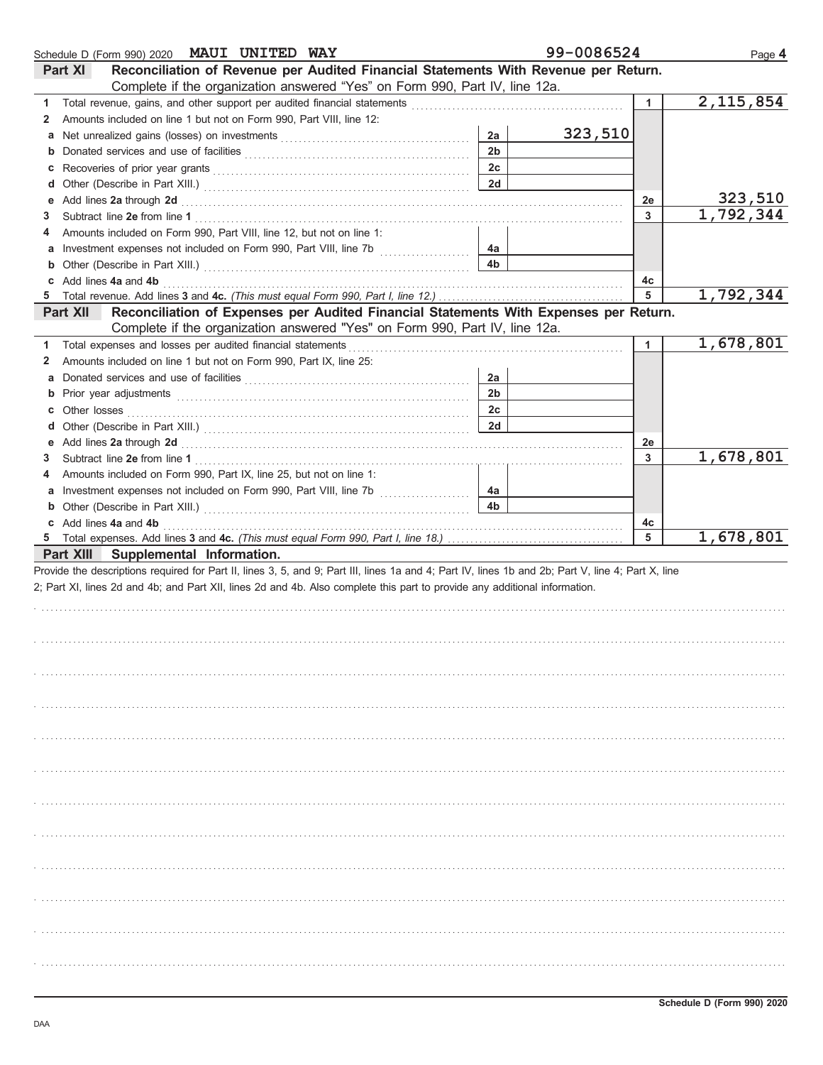|                 | Schedule D (Form 990) 2020 MAUI UNITED WAY                                                                                                                                                                                     |                | 99-0086524 |              | Page 4      |
|-----------------|--------------------------------------------------------------------------------------------------------------------------------------------------------------------------------------------------------------------------------|----------------|------------|--------------|-------------|
| <b>Part XI</b>  | Reconciliation of Revenue per Audited Financial Statements With Revenue per Return.                                                                                                                                            |                |            |              |             |
|                 | Complete if the organization answered "Yes" on Form 990, Part IV, line 12a.                                                                                                                                                    |                |            |              |             |
| 1.              |                                                                                                                                                                                                                                |                |            | $\mathbf{1}$ | 2, 115, 854 |
| 2               | Amounts included on line 1 but not on Form 990, Part VIII, line 12:                                                                                                                                                            |                |            |              |             |
| a               |                                                                                                                                                                                                                                | 2a             | 323,510    |              |             |
| b               |                                                                                                                                                                                                                                | 2 <sub>b</sub> |            |              |             |
| c               |                                                                                                                                                                                                                                | 2c             |            |              |             |
| d               |                                                                                                                                                                                                                                | 2d             |            |              |             |
| е               | Add lines 2a through 2d [11] Additional Property and Property and Property and Property and Property and Property and Property and Property and Property and Property and Property and Property and Property and Property and  |                |            | 2e           | 323,510     |
| 3               |                                                                                                                                                                                                                                |                |            | 3            | 1,792,344   |
| 4               | Amounts included on Form 990, Part VIII, line 12, but not on line 1:                                                                                                                                                           |                |            |              |             |
| а               | Investment expenses not included on Form 990, Part VIII, line 7b [                                                                                                                                                             | 4a             |            |              |             |
| b               |                                                                                                                                                                                                                                | 4b             |            |              |             |
| c               | Add lines 4a and 4b                                                                                                                                                                                                            |                |            | 4c           |             |
| 5               |                                                                                                                                                                                                                                |                |            | 5            | 1,792,344   |
| <b>Part XII</b> | Reconciliation of Expenses per Audited Financial Statements With Expenses per Return.                                                                                                                                          |                |            |              |             |
|                 | Complete if the organization answered "Yes" on Form 990, Part IV, line 12a.                                                                                                                                                    |                |            |              |             |
| 1.              | Total expenses and losses per audited financial statements                                                                                                                                                                     |                |            | $\mathbf{1}$ | 1,678,801   |
| 2               | Amounts included on line 1 but not on Form 990, Part IX, line 25:                                                                                                                                                              |                |            |              |             |
|                 |                                                                                                                                                                                                                                |                |            |              |             |
| a               |                                                                                                                                                                                                                                | 2a             |            |              |             |
| b               | Prior year adjustments with the control of the control of the control of the control of the control of the control of the control of the control of the control of the control of the control of the control of the control of | 2 <sub>b</sub> |            |              |             |
| c               |                                                                                                                                                                                                                                | 2c             |            |              |             |
| d               |                                                                                                                                                                                                                                | 2d             |            |              |             |
| е               |                                                                                                                                                                                                                                |                |            | 2e           |             |
| 3               |                                                                                                                                                                                                                                |                |            | 3            | 1,678,801   |
| 4               | Amounts included on Form 990, Part IX, line 25, but not on line 1:                                                                                                                                                             |                |            |              |             |
| a               |                                                                                                                                                                                                                                | 4a             |            |              |             |
| b               |                                                                                                                                                                                                                                | 4 <sub>b</sub> |            |              |             |
| C               | Add lines 4a and 4b                                                                                                                                                                                                            |                |            | 4c           |             |
| 5               |                                                                                                                                                                                                                                |                |            | 5            | 1,678,801   |
|                 | Part XIII Supplemental Information.                                                                                                                                                                                            |                |            |              |             |
|                 | Provide the descriptions required for Part II, lines 3, 5, and 9; Part III, lines 1a and 4; Part IV, lines 1b and 2b; Part V, line 4; Part X, line                                                                             |                |            |              |             |
|                 | 2; Part XI, lines 2d and 4b; and Part XII, lines 2d and 4b. Also complete this part to provide any additional information.                                                                                                     |                |            |              |             |
|                 |                                                                                                                                                                                                                                |                |            |              |             |
|                 |                                                                                                                                                                                                                                |                |            |              |             |
|                 |                                                                                                                                                                                                                                |                |            |              |             |
|                 |                                                                                                                                                                                                                                |                |            |              |             |
|                 |                                                                                                                                                                                                                                |                |            |              |             |
|                 |                                                                                                                                                                                                                                |                |            |              |             |
|                 |                                                                                                                                                                                                                                |                |            |              |             |
|                 |                                                                                                                                                                                                                                |                |            |              |             |
|                 |                                                                                                                                                                                                                                |                |            |              |             |
|                 |                                                                                                                                                                                                                                |                |            |              |             |
|                 |                                                                                                                                                                                                                                |                |            |              |             |
|                 |                                                                                                                                                                                                                                |                |            |              |             |
|                 |                                                                                                                                                                                                                                |                |            |              |             |
|                 |                                                                                                                                                                                                                                |                |            |              |             |
|                 |                                                                                                                                                                                                                                |                |            |              |             |
|                 |                                                                                                                                                                                                                                |                |            |              |             |
|                 |                                                                                                                                                                                                                                |                |            |              |             |
|                 |                                                                                                                                                                                                                                |                |            |              |             |
|                 |                                                                                                                                                                                                                                |                |            |              |             |
|                 |                                                                                                                                                                                                                                |                |            |              |             |
|                 |                                                                                                                                                                                                                                |                |            |              |             |
|                 |                                                                                                                                                                                                                                |                |            |              |             |
|                 |                                                                                                                                                                                                                                |                |            |              |             |
|                 |                                                                                                                                                                                                                                |                |            |              |             |
|                 |                                                                                                                                                                                                                                |                |            |              |             |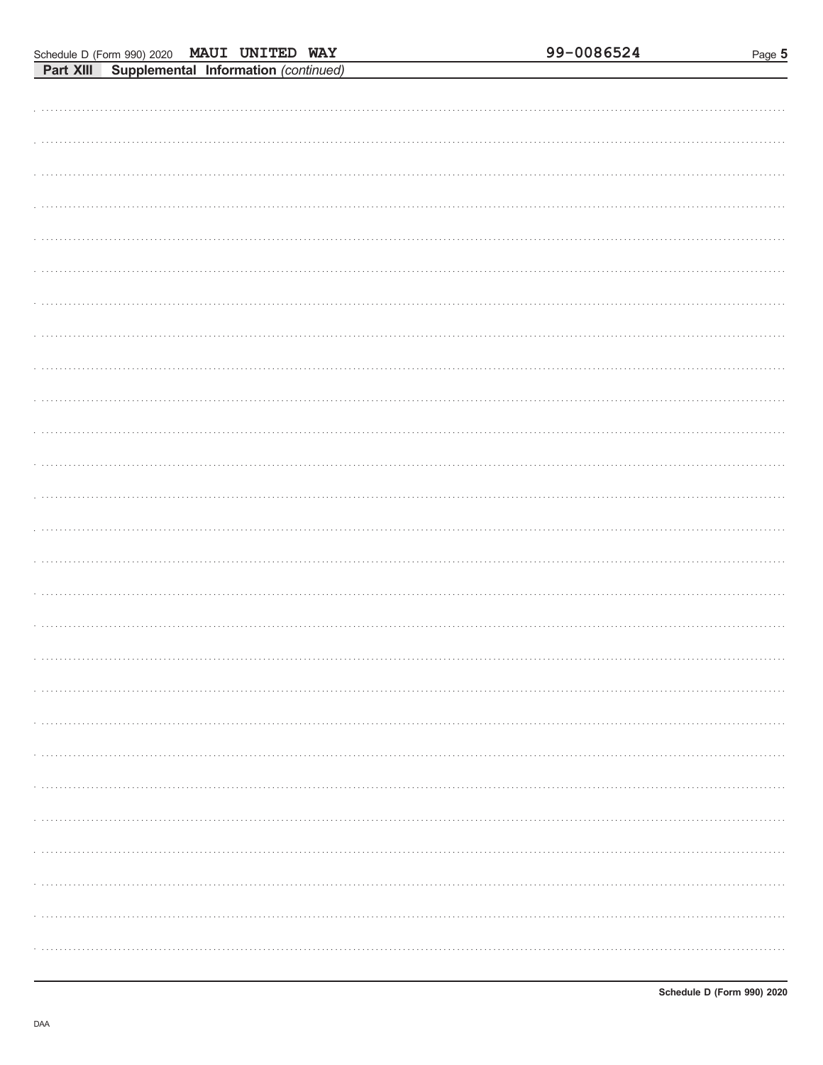| <b>FAIL AIII</b> | supplemental imormation (commuted) |  |  |
|------------------|------------------------------------|--|--|
|                  |                                    |  |  |
|                  |                                    |  |  |
|                  |                                    |  |  |
|                  |                                    |  |  |
|                  |                                    |  |  |
|                  |                                    |  |  |
|                  |                                    |  |  |
|                  |                                    |  |  |
|                  |                                    |  |  |
|                  |                                    |  |  |
|                  |                                    |  |  |
|                  |                                    |  |  |
|                  |                                    |  |  |
|                  |                                    |  |  |
|                  |                                    |  |  |
|                  |                                    |  |  |
|                  |                                    |  |  |
|                  |                                    |  |  |
|                  |                                    |  |  |
|                  |                                    |  |  |
|                  |                                    |  |  |
|                  |                                    |  |  |
|                  |                                    |  |  |
|                  |                                    |  |  |
|                  |                                    |  |  |
|                  |                                    |  |  |
|                  |                                    |  |  |
|                  |                                    |  |  |
|                  |                                    |  |  |
|                  |                                    |  |  |
|                  |                                    |  |  |
|                  |                                    |  |  |
|                  |                                    |  |  |
|                  |                                    |  |  |
|                  |                                    |  |  |
|                  |                                    |  |  |
|                  |                                    |  |  |
|                  |                                    |  |  |
|                  |                                    |  |  |
| .                |                                    |  |  |
|                  |                                    |  |  |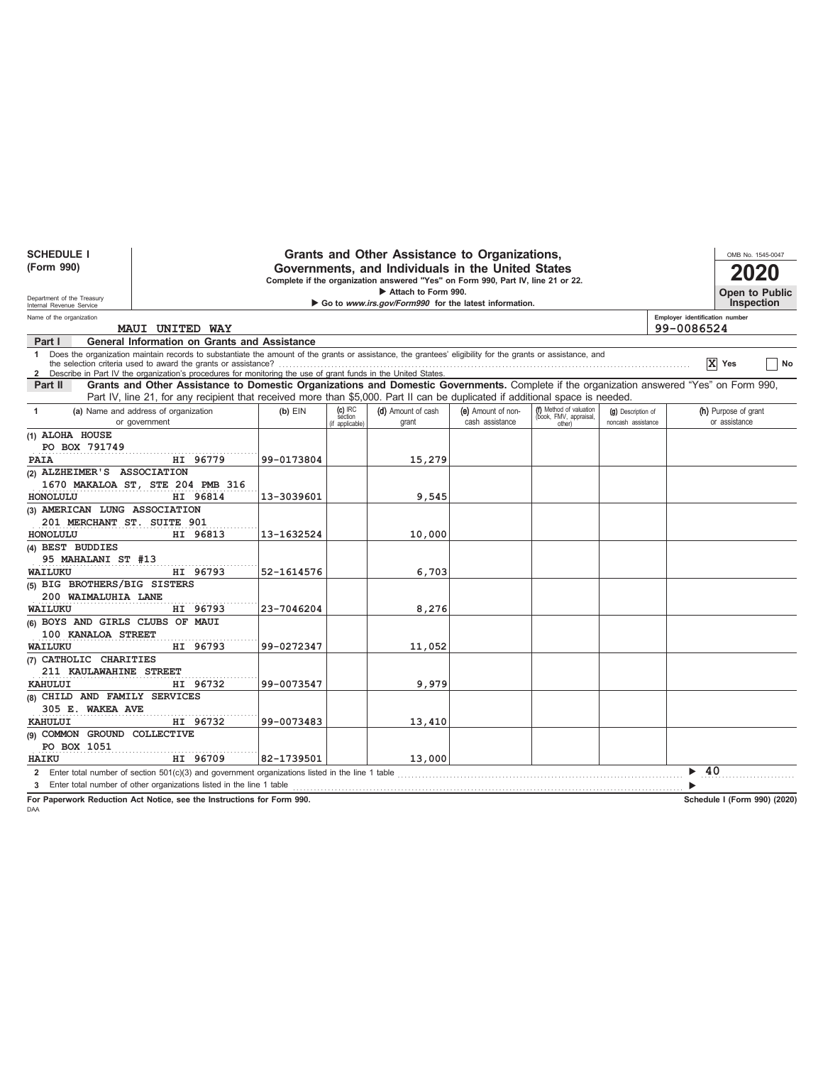| <b>SCHEDULE I</b><br>(Form 990)<br>Department of the Treasury |                                                                                                                                                                                                                                                                               |            |                                         | Grants and Other Assistance to Organizations,<br>Governments, and Individuals in the United States<br>Complete if the organization answered "Yes" on Form 990, Part IV, line 21 or 22.<br>Attach to Form 990. |                                       |                                                             |                                          | OMB No. 1545-0047<br>Open to Public          |    |
|---------------------------------------------------------------|-------------------------------------------------------------------------------------------------------------------------------------------------------------------------------------------------------------------------------------------------------------------------------|------------|-----------------------------------------|---------------------------------------------------------------------------------------------------------------------------------------------------------------------------------------------------------------|---------------------------------------|-------------------------------------------------------------|------------------------------------------|----------------------------------------------|----|
| Internal Revenue Service                                      |                                                                                                                                                                                                                                                                               |            |                                         | Go to www.irs.gov/Form990 for the latest information.                                                                                                                                                         |                                       |                                                             |                                          | Inspection                                   |    |
| Name of the organization                                      | MAUI UNITED WAY                                                                                                                                                                                                                                                               |            |                                         |                                                                                                                                                                                                               |                                       |                                                             |                                          | Employer identification number<br>99-0086524 |    |
| Part I                                                        | <b>General Information on Grants and Assistance</b>                                                                                                                                                                                                                           |            |                                         |                                                                                                                                                                                                               |                                       |                                                             |                                          |                                              |    |
| $\mathbf{1}$                                                  | Does the organization maintain records to substantiate the amount of the grants or assistance, the grantees' eligibility for the grants or assistance, and<br>2 Describe in Part IV the organization's procedures for monitoring the use of grant funds in the United States. |            |                                         |                                                                                                                                                                                                               |                                       |                                                             |                                          | X Yes                                        | No |
| Part II                                                       | Grants and Other Assistance to Domestic Organizations and Domestic Governments. Complete if the organization answered "Yes" on Form 990,                                                                                                                                      |            |                                         |                                                                                                                                                                                                               |                                       |                                                             |                                          |                                              |    |
|                                                               | Part IV, line 21, for any recipient that received more than \$5,000. Part II can be duplicated if additional space is needed.                                                                                                                                                 |            |                                         |                                                                                                                                                                                                               |                                       |                                                             |                                          |                                              |    |
| 1                                                             | (a) Name and address of organization<br>or government                                                                                                                                                                                                                         | $(b)$ EIN  | $(c)$ IRC<br>section<br>(if applicable) | (d) Amount of cash<br>grant                                                                                                                                                                                   | (e) Amount of non-<br>cash assistance | (f) Method of valuation<br>(book, FMV, appraisal,<br>other) | (g) Description of<br>noncash assistance | (h) Purpose of grant<br>or assistance        |    |
| (1) ALOHA HOUSE                                               |                                                                                                                                                                                                                                                                               |            |                                         |                                                                                                                                                                                                               |                                       |                                                             |                                          |                                              |    |
| PO BOX 791749                                                 |                                                                                                                                                                                                                                                                               |            |                                         |                                                                                                                                                                                                               |                                       |                                                             |                                          |                                              |    |
| <b>PAIA</b>                                                   | HI 96779                                                                                                                                                                                                                                                                      | 99-0173804 |                                         | 15,279                                                                                                                                                                                                        |                                       |                                                             |                                          |                                              |    |
| (2) ALZHEIMER'S ASSOCIATION                                   |                                                                                                                                                                                                                                                                               |            |                                         |                                                                                                                                                                                                               |                                       |                                                             |                                          |                                              |    |
|                                                               | 1670 MAKALOA ST, STE 204 PMB 316                                                                                                                                                                                                                                              |            |                                         |                                                                                                                                                                                                               |                                       |                                                             |                                          |                                              |    |
| HONOLULU                                                      | HI 96814                                                                                                                                                                                                                                                                      | 13-3039601 |                                         | 9,545                                                                                                                                                                                                         |                                       |                                                             |                                          |                                              |    |
| (3) AMERICAN LUNG ASSOCIATION                                 |                                                                                                                                                                                                                                                                               |            |                                         |                                                                                                                                                                                                               |                                       |                                                             |                                          |                                              |    |
| 201 MERCHANT ST. SUITE 901                                    |                                                                                                                                                                                                                                                                               |            |                                         |                                                                                                                                                                                                               |                                       |                                                             |                                          |                                              |    |
| <b>HONOLULU</b>                                               | HI 96813                                                                                                                                                                                                                                                                      | 13-1632524 |                                         | 10,000                                                                                                                                                                                                        |                                       |                                                             |                                          |                                              |    |
| (4) BEST BUDDIES                                              |                                                                                                                                                                                                                                                                               |            |                                         |                                                                                                                                                                                                               |                                       |                                                             |                                          |                                              |    |
| 95 MAHALANI ST #13                                            |                                                                                                                                                                                                                                                                               |            |                                         |                                                                                                                                                                                                               |                                       |                                                             |                                          |                                              |    |
| WAILUKU                                                       | HI 96793                                                                                                                                                                                                                                                                      | 52-1614576 |                                         | 6,703                                                                                                                                                                                                         |                                       |                                                             |                                          |                                              |    |
| (5) BIG BROTHERS/BIG SISTERS                                  |                                                                                                                                                                                                                                                                               |            |                                         |                                                                                                                                                                                                               |                                       |                                                             |                                          |                                              |    |
| 200 WAIMALUHIA LANE                                           |                                                                                                                                                                                                                                                                               |            |                                         |                                                                                                                                                                                                               |                                       |                                                             |                                          |                                              |    |
| WAILUKU                                                       | HI 96793                                                                                                                                                                                                                                                                      | 23-7046204 |                                         | 8,276                                                                                                                                                                                                         |                                       |                                                             |                                          |                                              |    |
| (6) BOYS AND GIRLS CLUBS OF MAUI                              |                                                                                                                                                                                                                                                                               |            |                                         |                                                                                                                                                                                                               |                                       |                                                             |                                          |                                              |    |
| 100 KANALOA STREET                                            |                                                                                                                                                                                                                                                                               |            |                                         |                                                                                                                                                                                                               |                                       |                                                             |                                          |                                              |    |
| WAILUKU                                                       | HI 96793                                                                                                                                                                                                                                                                      | 99-0272347 |                                         | 11,052                                                                                                                                                                                                        |                                       |                                                             |                                          |                                              |    |
| (7) CATHOLIC CHARITIES                                        |                                                                                                                                                                                                                                                                               |            |                                         |                                                                                                                                                                                                               |                                       |                                                             |                                          |                                              |    |
| 211 KAULAWAHINE STREET                                        |                                                                                                                                                                                                                                                                               |            |                                         |                                                                                                                                                                                                               |                                       |                                                             |                                          |                                              |    |
| <b>KAHULUI</b>                                                | HI 96732                                                                                                                                                                                                                                                                      | 99-0073547 |                                         | 9,979                                                                                                                                                                                                         |                                       |                                                             |                                          |                                              |    |
| (8) CHILD AND FAMILY SERVICES                                 |                                                                                                                                                                                                                                                                               |            |                                         |                                                                                                                                                                                                               |                                       |                                                             |                                          |                                              |    |
| 305 E. WAKEA AVE                                              |                                                                                                                                                                                                                                                                               |            |                                         |                                                                                                                                                                                                               |                                       |                                                             |                                          |                                              |    |
| <b>KAHULUI</b>                                                | HI 96732                                                                                                                                                                                                                                                                      | 99-0073483 |                                         | 13,410                                                                                                                                                                                                        |                                       |                                                             |                                          |                                              |    |
| (9) COMMON GROUND COLLECTIVE                                  |                                                                                                                                                                                                                                                                               |            |                                         |                                                                                                                                                                                                               |                                       |                                                             |                                          |                                              |    |
| PO BOX 1051                                                   |                                                                                                                                                                                                                                                                               |            |                                         |                                                                                                                                                                                                               |                                       |                                                             |                                          |                                              |    |
| <b>HAIKU</b>                                                  | HI 96709                                                                                                                                                                                                                                                                      | 82-1739501 |                                         | 13,000                                                                                                                                                                                                        |                                       |                                                             |                                          |                                              |    |
|                                                               | 2 Enter total number of section 501(c)(3) and government organizations listed in the line 1 table                                                                                                                                                                             |            |                                         |                                                                                                                                                                                                               |                                       |                                                             |                                          | 40                                           |    |
|                                                               | 3 Enter total number of other organizations listed in the line 1 table                                                                                                                                                                                                        |            |                                         |                                                                                                                                                                                                               |                                       |                                                             |                                          |                                              |    |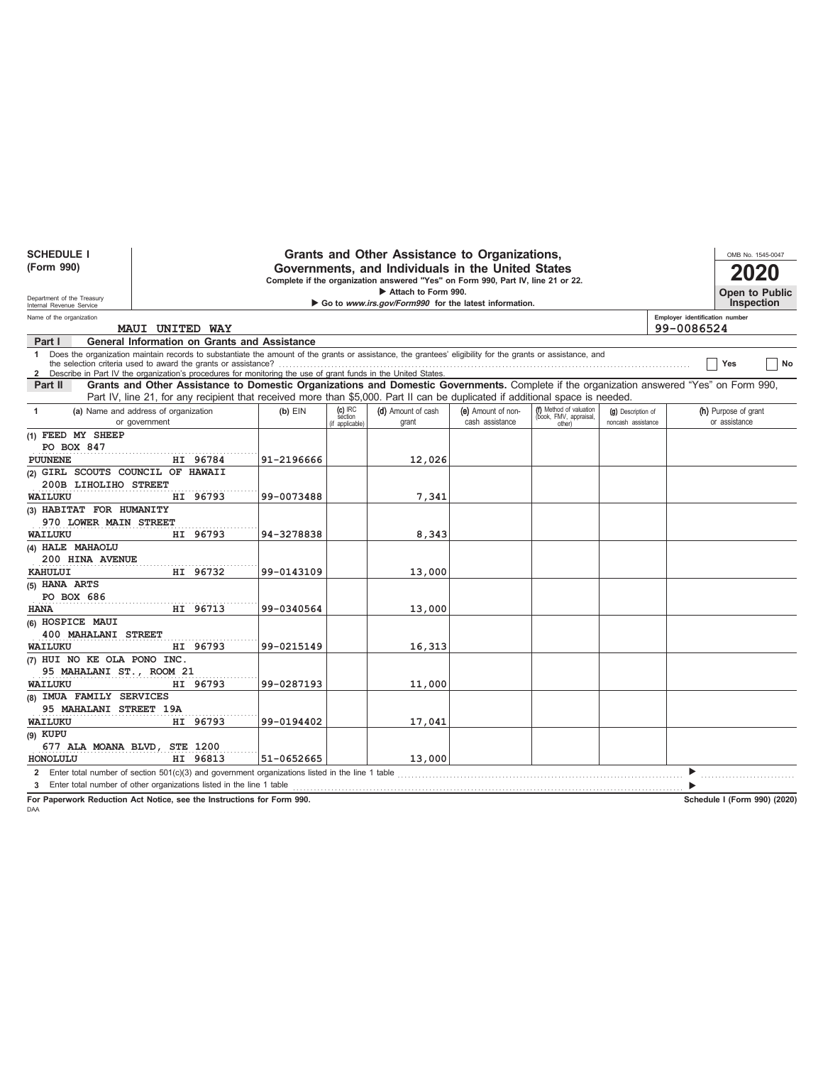| <b>SCHEDULE I</b>                 |                                                                                                                                                                                                                                                                                                                                                   |            |                                        | Grants and Other Assistance to Organizations,                                    |                                       |                                                             |                                          |                                              |                                       | OMB No. 1545-0047 |
|-----------------------------------|---------------------------------------------------------------------------------------------------------------------------------------------------------------------------------------------------------------------------------------------------------------------------------------------------------------------------------------------------|------------|----------------------------------------|----------------------------------------------------------------------------------|---------------------------------------|-------------------------------------------------------------|------------------------------------------|----------------------------------------------|---------------------------------------|-------------------|
| (Form 990)                        |                                                                                                                                                                                                                                                                                                                                                   |            |                                        | Governments, and Individuals in the United States                                |                                       |                                                             |                                          |                                              |                                       |                   |
|                                   |                                                                                                                                                                                                                                                                                                                                                   |            |                                        | Complete if the organization answered "Yes" on Form 990, Part IV, line 21 or 22. |                                       |                                                             |                                          |                                              |                                       |                   |
| Department of the Treasury        |                                                                                                                                                                                                                                                                                                                                                   |            |                                        | Attach to Form 990.                                                              |                                       |                                                             |                                          |                                              |                                       | Open to Public    |
| Internal Revenue Service          |                                                                                                                                                                                                                                                                                                                                                   |            |                                        | Go to www.irs.gov/Form990 for the latest information.                            |                                       |                                                             |                                          |                                              |                                       | <b>Inspection</b> |
| Name of the organization          | <b>MAUI UNITED WAY</b>                                                                                                                                                                                                                                                                                                                            |            |                                        |                                                                                  |                                       |                                                             |                                          | Employer identification number<br>99-0086524 |                                       |                   |
| Part I                            | General Information on Grants and Assistance                                                                                                                                                                                                                                                                                                      |            |                                        |                                                                                  |                                       |                                                             |                                          |                                              |                                       |                   |
|                                   | 1 Does the organization maintain records to substantiate the amount of the grants or assistance, the grantees' eligibility for the grants or assistance, and<br>the selection criteria used to award the grants or assistance?<br>2 Describe in Part IV the organization's procedures for monitoring the use of grant funds in the United States. |            |                                        |                                                                                  |                                       |                                                             |                                          |                                              | Yes                                   | No                |
| Part II                           | Grants and Other Assistance to Domestic Organizations and Domestic Governments. Complete if the organization answered "Yes" on Form 990,                                                                                                                                                                                                          |            |                                        |                                                                                  |                                       |                                                             |                                          |                                              |                                       |                   |
|                                   | Part IV, line 21, for any recipient that received more than \$5,000. Part II can be duplicated if additional space is needed.                                                                                                                                                                                                                     |            |                                        |                                                                                  |                                       |                                                             |                                          |                                              |                                       |                   |
| $\mathbf{1}$                      | (a) Name and address of organization<br>or government                                                                                                                                                                                                                                                                                             | $(b)$ EIN  | $(c)$ IRC<br>section<br>if applicable) | (d) Amount of cash<br>grant                                                      | (e) Amount of non-<br>cash assistance | (f) Method of valuation<br>(book, FMV, appraisal,<br>other) | (g) Description of<br>noncash assistance |                                              | (h) Purpose of grant<br>or assistance |                   |
| (1) FEED MY SHEEP                 |                                                                                                                                                                                                                                                                                                                                                   |            |                                        |                                                                                  |                                       |                                                             |                                          |                                              |                                       |                   |
| PO BOX 847                        |                                                                                                                                                                                                                                                                                                                                                   |            |                                        |                                                                                  |                                       |                                                             |                                          |                                              |                                       |                   |
| <b>PUUNENE</b>                    | HI 96784                                                                                                                                                                                                                                                                                                                                          | 91-2196666 |                                        | 12,026                                                                           |                                       |                                                             |                                          |                                              |                                       |                   |
| (2) GIRL SCOUTS COUNCIL OF HAWAII |                                                                                                                                                                                                                                                                                                                                                   |            |                                        |                                                                                  |                                       |                                                             |                                          |                                              |                                       |                   |
| 200B LIHOLIHO STREET              |                                                                                                                                                                                                                                                                                                                                                   |            |                                        |                                                                                  |                                       |                                                             |                                          |                                              |                                       |                   |
| WAILUKU                           | HI 96793                                                                                                                                                                                                                                                                                                                                          | 99-0073488 |                                        | 7,341                                                                            |                                       |                                                             |                                          |                                              |                                       |                   |
| (3) HABITAT FOR HUMANITY          |                                                                                                                                                                                                                                                                                                                                                   |            |                                        |                                                                                  |                                       |                                                             |                                          |                                              |                                       |                   |
| 970 LOWER MAIN STREET             |                                                                                                                                                                                                                                                                                                                                                   |            |                                        |                                                                                  |                                       |                                                             |                                          |                                              |                                       |                   |
| WAILUKU                           | HI 96793                                                                                                                                                                                                                                                                                                                                          | 94-3278838 |                                        | 8,343                                                                            |                                       |                                                             |                                          |                                              |                                       |                   |
| (4) HALE MAHAOLU                  |                                                                                                                                                                                                                                                                                                                                                   |            |                                        |                                                                                  |                                       |                                                             |                                          |                                              |                                       |                   |
| 200 HINA AVENUE                   |                                                                                                                                                                                                                                                                                                                                                   |            |                                        |                                                                                  |                                       |                                                             |                                          |                                              |                                       |                   |
| KAHULUI                           | HI 96732                                                                                                                                                                                                                                                                                                                                          | 99-0143109 |                                        | 13,000                                                                           |                                       |                                                             |                                          |                                              |                                       |                   |
| (5) HANA ARTS<br>PO BOX 686       |                                                                                                                                                                                                                                                                                                                                                   |            |                                        |                                                                                  |                                       |                                                             |                                          |                                              |                                       |                   |
| <b>HANA</b>                       | HI 96713                                                                                                                                                                                                                                                                                                                                          | 99-0340564 |                                        | 13,000                                                                           |                                       |                                                             |                                          |                                              |                                       |                   |
| (6) HOSPICE MAUI                  |                                                                                                                                                                                                                                                                                                                                                   |            |                                        |                                                                                  |                                       |                                                             |                                          |                                              |                                       |                   |
| 400 MAHALANI STREET               |                                                                                                                                                                                                                                                                                                                                                   |            |                                        |                                                                                  |                                       |                                                             |                                          |                                              |                                       |                   |
| WAILUKU                           | HI 96793                                                                                                                                                                                                                                                                                                                                          | 99-0215149 |                                        | 16,313                                                                           |                                       |                                                             |                                          |                                              |                                       |                   |
| (7) HUI NO KE OLA PONO INC.       |                                                                                                                                                                                                                                                                                                                                                   |            |                                        |                                                                                  |                                       |                                                             |                                          |                                              |                                       |                   |
| 95 MAHALANI ST., ROOM 21          |                                                                                                                                                                                                                                                                                                                                                   |            |                                        |                                                                                  |                                       |                                                             |                                          |                                              |                                       |                   |
| WAILUKU                           | HI 96793                                                                                                                                                                                                                                                                                                                                          | 99-0287193 |                                        | 11,000                                                                           |                                       |                                                             |                                          |                                              |                                       |                   |
| (8) IMUA FAMILY SERVICES          |                                                                                                                                                                                                                                                                                                                                                   |            |                                        |                                                                                  |                                       |                                                             |                                          |                                              |                                       |                   |
| 95 MAHALANI STREET 19A            |                                                                                                                                                                                                                                                                                                                                                   |            |                                        |                                                                                  |                                       |                                                             |                                          |                                              |                                       |                   |
| <b>WAILUKU</b>                    | HI 96793                                                                                                                                                                                                                                                                                                                                          | 99-0194402 |                                        | 17,041                                                                           |                                       |                                                             |                                          |                                              |                                       |                   |
| $(9)$ KUPU                        |                                                                                                                                                                                                                                                                                                                                                   |            |                                        |                                                                                  |                                       |                                                             |                                          |                                              |                                       |                   |
| 677 ALA MOANA BLVD,               | <b>STE 1200</b>                                                                                                                                                                                                                                                                                                                                   |            |                                        |                                                                                  |                                       |                                                             |                                          |                                              |                                       |                   |
| HONOLULU                          | HI 96813                                                                                                                                                                                                                                                                                                                                          | 51-0652665 |                                        | 13,000                                                                           |                                       |                                                             |                                          |                                              |                                       |                   |
|                                   | 2 Enter total number of section $501(c)(3)$ and government organizations listed in the line 1 table                                                                                                                                                                                                                                               |            |                                        |                                                                                  |                                       |                                                             |                                          |                                              |                                       |                   |
|                                   | 3 Enter total number of other organizations listed in the line 1 table                                                                                                                                                                                                                                                                            |            |                                        |                                                                                  |                                       |                                                             |                                          |                                              |                                       |                   |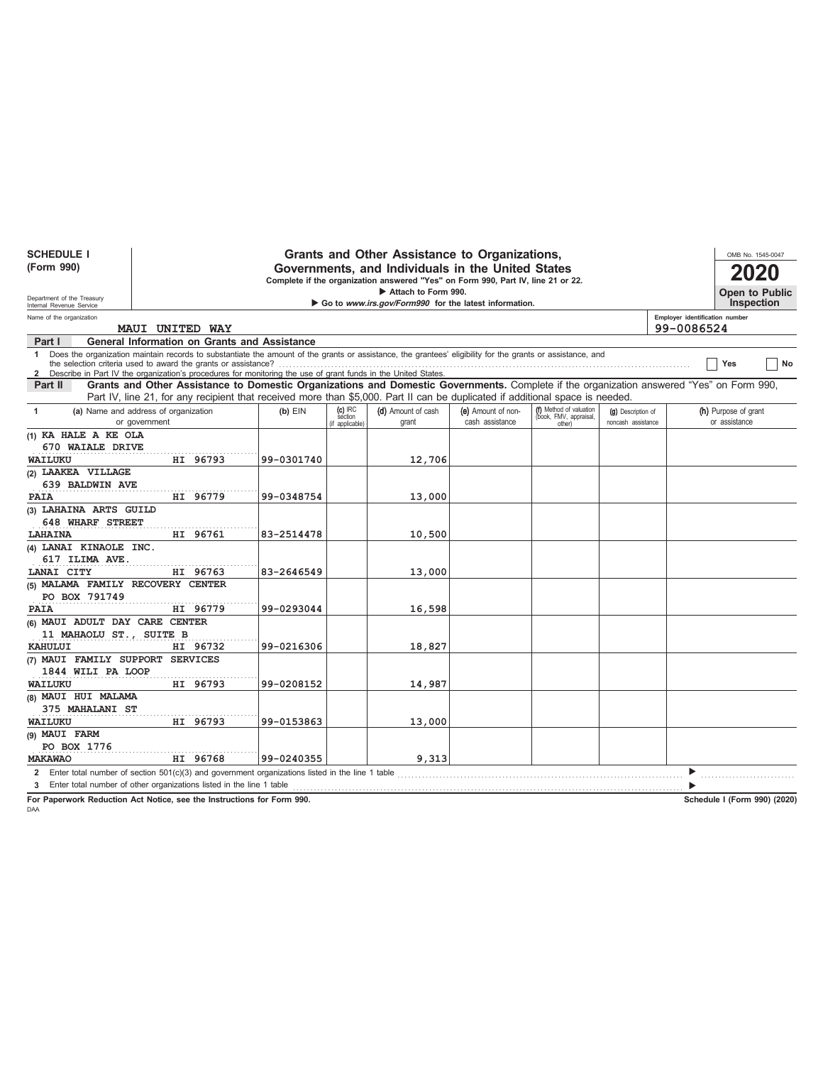| <b>SCHEDULE I</b>                 |                                                                                                                                                                                                                                                                                 |            |                                         | Grants and Other Assistance to Organizations,                                    |                                       |                                                             |                                          | OMB No. 1545-0047                                                                                                                        |
|-----------------------------------|---------------------------------------------------------------------------------------------------------------------------------------------------------------------------------------------------------------------------------------------------------------------------------|------------|-----------------------------------------|----------------------------------------------------------------------------------|---------------------------------------|-------------------------------------------------------------|------------------------------------------|------------------------------------------------------------------------------------------------------------------------------------------|
| (Form 990)                        |                                                                                                                                                                                                                                                                                 |            |                                         | Governments, and Individuals in the United States                                |                                       |                                                             |                                          |                                                                                                                                          |
|                                   |                                                                                                                                                                                                                                                                                 |            |                                         | Complete if the organization answered "Yes" on Form 990, Part IV, line 21 or 22. |                                       |                                                             |                                          |                                                                                                                                          |
| Department of the Treasury        |                                                                                                                                                                                                                                                                                 |            |                                         | Attach to Form 990.                                                              |                                       |                                                             |                                          | <b>Open to Public</b>                                                                                                                    |
| Internal Revenue Service          |                                                                                                                                                                                                                                                                                 |            |                                         | Go to www.irs.gov/Form990 for the latest information.                            |                                       |                                                             |                                          | Inspection                                                                                                                               |
| Name of the organization          | MAUI UNITED WAY                                                                                                                                                                                                                                                                 |            |                                         |                                                                                  |                                       |                                                             |                                          | Employer identification number<br>99-0086524                                                                                             |
| Part I                            | General Information on Grants and Assistance                                                                                                                                                                                                                                    |            |                                         |                                                                                  |                                       |                                                             |                                          |                                                                                                                                          |
|                                   | 1 Does the organization maintain records to substantiate the amount of the grants or assistance, the grantees' eligibility for the grants or assistance, and<br>2 Describe in Part IV the organization's procedures for monitoring the use of grant funds in the United States. |            |                                         |                                                                                  |                                       |                                                             |                                          | Yes<br>No                                                                                                                                |
| Part II                           |                                                                                                                                                                                                                                                                                 |            |                                         |                                                                                  |                                       |                                                             |                                          | Grants and Other Assistance to Domestic Organizations and Domestic Governments. Complete if the organization answered "Yes" on Form 990, |
|                                   | Part IV, line 21, for any recipient that received more than \$5,000. Part II can be duplicated if additional space is needed.                                                                                                                                                   |            |                                         |                                                                                  |                                       |                                                             |                                          |                                                                                                                                          |
| $\mathbf{1}$                      | (a) Name and address of organization<br>or government                                                                                                                                                                                                                           | $(b)$ EIN  | $(c)$ IRC<br>section<br>(if applicable) | (d) Amount of cash<br>grant                                                      | (e) Amount of non-<br>cash assistance | (f) Method of valuation<br>(book, FMV, appraisal,<br>other) | (g) Description of<br>noncash assistance | (h) Purpose of grant<br>or assistance                                                                                                    |
| (1) KA HALE A KE OLA              |                                                                                                                                                                                                                                                                                 |            |                                         |                                                                                  |                                       |                                                             |                                          |                                                                                                                                          |
| 670 WAIALE DRIVE                  |                                                                                                                                                                                                                                                                                 |            |                                         |                                                                                  |                                       |                                                             |                                          |                                                                                                                                          |
| WAILUKU                           | HI 96793                                                                                                                                                                                                                                                                        | 99-0301740 |                                         | 12,706                                                                           |                                       |                                                             |                                          |                                                                                                                                          |
| (2) LAAKEA VILLAGE                |                                                                                                                                                                                                                                                                                 |            |                                         |                                                                                  |                                       |                                                             |                                          |                                                                                                                                          |
| 639 BALDWIN AVE                   |                                                                                                                                                                                                                                                                                 |            |                                         |                                                                                  |                                       |                                                             |                                          |                                                                                                                                          |
| <b>PAIA</b>                       | HI 96779                                                                                                                                                                                                                                                                        | 99-0348754 |                                         | 13,000                                                                           |                                       |                                                             |                                          |                                                                                                                                          |
| (3) LAHAINA ARTS GUILD            |                                                                                                                                                                                                                                                                                 |            |                                         |                                                                                  |                                       |                                                             |                                          |                                                                                                                                          |
| 648 WHARF STREET                  |                                                                                                                                                                                                                                                                                 |            |                                         |                                                                                  |                                       |                                                             |                                          |                                                                                                                                          |
| <b>LAHAINA</b>                    | HI 96761                                                                                                                                                                                                                                                                        | 83-2514478 |                                         | 10,500                                                                           |                                       |                                                             |                                          |                                                                                                                                          |
| (4) LANAI KINAOLE INC.            |                                                                                                                                                                                                                                                                                 |            |                                         |                                                                                  |                                       |                                                             |                                          |                                                                                                                                          |
| 617 ILIMA AVE.                    |                                                                                                                                                                                                                                                                                 |            |                                         |                                                                                  |                                       |                                                             |                                          |                                                                                                                                          |
| LANAI CITY                        | HI 96763                                                                                                                                                                                                                                                                        | 83-2646549 |                                         | 13,000                                                                           |                                       |                                                             |                                          |                                                                                                                                          |
| (5) MALAMA FAMILY RECOVERY CENTER |                                                                                                                                                                                                                                                                                 |            |                                         |                                                                                  |                                       |                                                             |                                          |                                                                                                                                          |
| PO BOX 791749                     |                                                                                                                                                                                                                                                                                 |            |                                         |                                                                                  |                                       |                                                             |                                          |                                                                                                                                          |
| <b>PAIA</b>                       | HI 96779                                                                                                                                                                                                                                                                        | 99-0293044 |                                         | 16,598                                                                           |                                       |                                                             |                                          |                                                                                                                                          |
| (6) MAUI ADULT DAY CARE CENTER    |                                                                                                                                                                                                                                                                                 |            |                                         |                                                                                  |                                       |                                                             |                                          |                                                                                                                                          |
| 11 MAHAOLU ST., SUITE B           |                                                                                                                                                                                                                                                                                 |            |                                         |                                                                                  |                                       |                                                             |                                          |                                                                                                                                          |
| KAHULUI                           | HI 96732                                                                                                                                                                                                                                                                        | 99-0216306 |                                         | 18,827                                                                           |                                       |                                                             |                                          |                                                                                                                                          |
| (7) MAUI FAMILY SUPPORT SERVICES  |                                                                                                                                                                                                                                                                                 |            |                                         |                                                                                  |                                       |                                                             |                                          |                                                                                                                                          |
| 1844 WILI PA LOOP                 |                                                                                                                                                                                                                                                                                 |            |                                         |                                                                                  |                                       |                                                             |                                          |                                                                                                                                          |
| WAILUKU                           | HI 96793                                                                                                                                                                                                                                                                        | 99-0208152 |                                         | 14,987                                                                           |                                       |                                                             |                                          |                                                                                                                                          |
| (8) MAUI HUI MALAMA               |                                                                                                                                                                                                                                                                                 |            |                                         |                                                                                  |                                       |                                                             |                                          |                                                                                                                                          |
| 375 MAHALANI ST                   |                                                                                                                                                                                                                                                                                 |            |                                         |                                                                                  |                                       |                                                             |                                          |                                                                                                                                          |
| <b>WAILUKU</b>                    | HI 96793                                                                                                                                                                                                                                                                        | 99-0153863 |                                         | 13,000                                                                           |                                       |                                                             |                                          |                                                                                                                                          |
| (9) MAUI FARM                     |                                                                                                                                                                                                                                                                                 |            |                                         |                                                                                  |                                       |                                                             |                                          |                                                                                                                                          |
| PO BOX 1776                       |                                                                                                                                                                                                                                                                                 |            |                                         |                                                                                  |                                       |                                                             |                                          |                                                                                                                                          |
| <b>MAKAWAO</b>                    | HI 96768                                                                                                                                                                                                                                                                        | 99-0240355 |                                         | 9,313                                                                            |                                       |                                                             |                                          |                                                                                                                                          |
|                                   | 2 Enter total number of section 501(c)(3) and government organizations listed in the line 1 table                                                                                                                                                                               |            |                                         |                                                                                  |                                       |                                                             |                                          |                                                                                                                                          |
|                                   | 3 Enter total number of other organizations listed in the line 1 table                                                                                                                                                                                                          |            |                                         |                                                                                  |                                       |                                                             |                                          |                                                                                                                                          |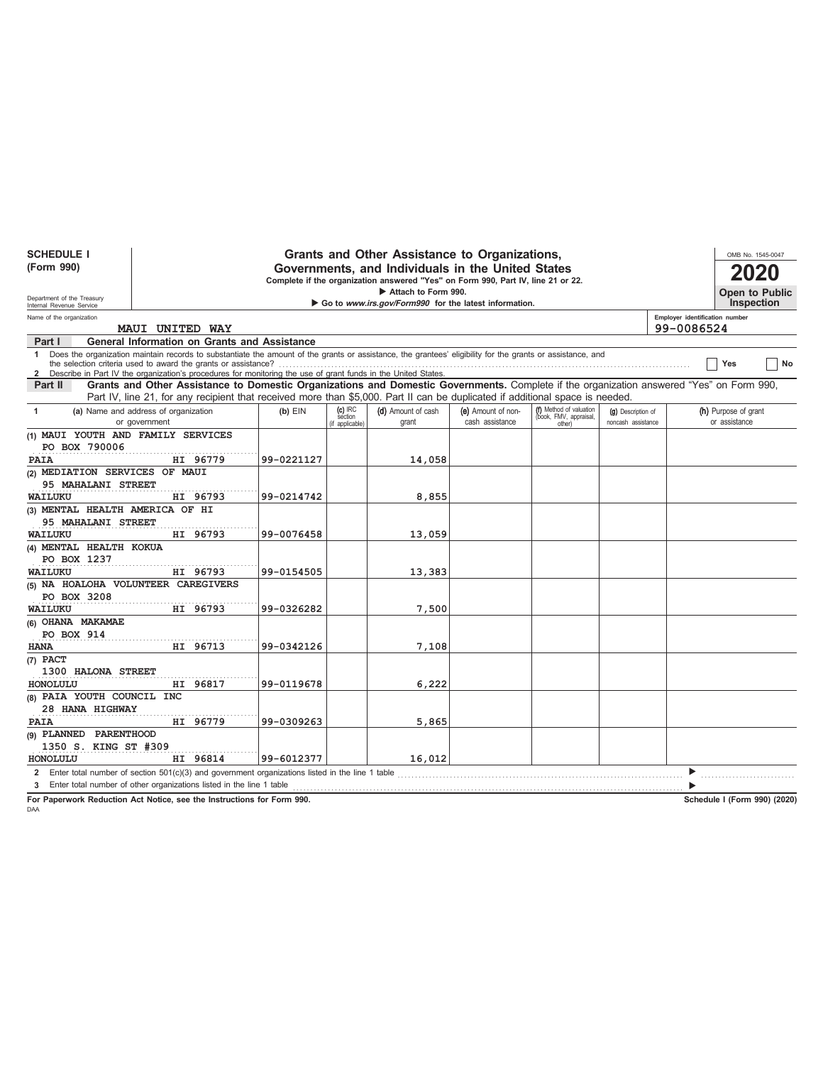| <b>SCHEDULE I</b>                                      |                                                                                                                                                              |            |                                         | Grants and Other Assistance to Organizations,                                    |                                       |                                                             |                                          | OMB No. 1545-0047                                                                                                                        |
|--------------------------------------------------------|--------------------------------------------------------------------------------------------------------------------------------------------------------------|------------|-----------------------------------------|----------------------------------------------------------------------------------|---------------------------------------|-------------------------------------------------------------|------------------------------------------|------------------------------------------------------------------------------------------------------------------------------------------|
| (Form 990)                                             |                                                                                                                                                              |            |                                         | Governments, and Individuals in the United States                                |                                       |                                                             |                                          |                                                                                                                                          |
|                                                        |                                                                                                                                                              |            |                                         | Complete if the organization answered "Yes" on Form 990, Part IV, line 21 or 22. |                                       |                                                             |                                          |                                                                                                                                          |
|                                                        |                                                                                                                                                              |            |                                         | Attach to Form 990.                                                              |                                       |                                                             |                                          | Open to Public                                                                                                                           |
| Department of the Treasury<br>Internal Revenue Service |                                                                                                                                                              |            |                                         | Go to www.irs.gov/Form990 for the latest information.                            |                                       |                                                             |                                          | Inspection                                                                                                                               |
| Name of the organization                               | <b>MAUI UNITED WAY</b>                                                                                                                                       |            |                                         |                                                                                  |                                       |                                                             |                                          | Employer identification number<br>99-0086524                                                                                             |
| Part I                                                 | <b>General Information on Grants and Assistance</b>                                                                                                          |            |                                         |                                                                                  |                                       |                                                             |                                          |                                                                                                                                          |
|                                                        | 1 Does the organization maintain records to substantiate the amount of the grants or assistance, the grantees' eligibility for the grants or assistance, and |            |                                         |                                                                                  |                                       |                                                             |                                          | Yes<br>No                                                                                                                                |
|                                                        | 2 Describe in Part IV the organization's procedures for monitoring the use of grant funds in the United States.                                              |            |                                         |                                                                                  |                                       |                                                             |                                          |                                                                                                                                          |
| Part II                                                |                                                                                                                                                              |            |                                         |                                                                                  |                                       |                                                             |                                          | Grants and Other Assistance to Domestic Organizations and Domestic Governments. Complete if the organization answered "Yes" on Form 990, |
|                                                        | Part IV, line 21, for any recipient that received more than \$5,000. Part II can be duplicated if additional space is needed.                                |            |                                         |                                                                                  |                                       |                                                             |                                          |                                                                                                                                          |
| -1                                                     | (a) Name and address of organization<br>or government                                                                                                        | $(b)$ EIN  | $(c)$ IRC<br>section<br>(if applicable) | (d) Amount of cash<br>grant                                                      | (e) Amount of non-<br>cash assistance | (f) Method of valuation<br>(book, FMV, appraisal,<br>other) | (g) Description of<br>noncash assistance | (h) Purpose of grant<br>or assistance                                                                                                    |
| (1) MAUI YOUTH AND FAMILY SERVICES                     |                                                                                                                                                              |            |                                         |                                                                                  |                                       |                                                             |                                          |                                                                                                                                          |
| PO BOX 790006                                          |                                                                                                                                                              |            |                                         |                                                                                  |                                       |                                                             |                                          |                                                                                                                                          |
| PAIA                                                   | HI 96779                                                                                                                                                     | 99-0221127 |                                         | 14,058                                                                           |                                       |                                                             |                                          |                                                                                                                                          |
| (2) MEDIATION SERVICES OF MAUI                         |                                                                                                                                                              |            |                                         |                                                                                  |                                       |                                                             |                                          |                                                                                                                                          |
| 95 MAHALANI STREET                                     |                                                                                                                                                              |            |                                         |                                                                                  |                                       |                                                             |                                          |                                                                                                                                          |
| WAILUKU                                                | HI 96793                                                                                                                                                     | 99-0214742 |                                         | 8,855                                                                            |                                       |                                                             |                                          |                                                                                                                                          |
| (3) MENTAL HEALTH AMERICA OF HI                        |                                                                                                                                                              |            |                                         |                                                                                  |                                       |                                                             |                                          |                                                                                                                                          |
| 95 MAHALANI STREET                                     |                                                                                                                                                              |            |                                         |                                                                                  |                                       |                                                             |                                          |                                                                                                                                          |
| WAILUKU                                                | HI 96793                                                                                                                                                     | 99-0076458 |                                         | 13,059                                                                           |                                       |                                                             |                                          |                                                                                                                                          |
| (4) MENTAL HEALTH KOKUA                                |                                                                                                                                                              |            |                                         |                                                                                  |                                       |                                                             |                                          |                                                                                                                                          |
| PO BOX 1237                                            |                                                                                                                                                              |            |                                         |                                                                                  |                                       |                                                             |                                          |                                                                                                                                          |
| WAILUKU                                                | HI 96793                                                                                                                                                     | 99-0154505 |                                         | 13,383                                                                           |                                       |                                                             |                                          |                                                                                                                                          |
| (5) NA HOALOHA VOLUNTEER CAREGIVERS                    |                                                                                                                                                              |            |                                         |                                                                                  |                                       |                                                             |                                          |                                                                                                                                          |
| PO BOX 3208                                            |                                                                                                                                                              |            |                                         |                                                                                  |                                       |                                                             |                                          |                                                                                                                                          |
| WAILUKU                                                | HI 96793                                                                                                                                                     | 99-0326282 |                                         | 7,500                                                                            |                                       |                                                             |                                          |                                                                                                                                          |
| (6) OHANA MAKAMAE                                      |                                                                                                                                                              |            |                                         |                                                                                  |                                       |                                                             |                                          |                                                                                                                                          |
| PO BOX 914                                             |                                                                                                                                                              |            |                                         |                                                                                  |                                       |                                                             |                                          |                                                                                                                                          |
| <b>HANA</b>                                            | HI 96713                                                                                                                                                     | 99-0342126 |                                         | 7,108                                                                            |                                       |                                                             |                                          |                                                                                                                                          |
| (7) PACT                                               |                                                                                                                                                              |            |                                         |                                                                                  |                                       |                                                             |                                          |                                                                                                                                          |
| 1300 HALONA STREET                                     |                                                                                                                                                              |            |                                         |                                                                                  |                                       |                                                             |                                          |                                                                                                                                          |
| HONOLULU                                               | HI 96817                                                                                                                                                     | 99-0119678 |                                         | 6,222                                                                            |                                       |                                                             |                                          |                                                                                                                                          |
| (8) PAIA YOUTH COUNCIL INC                             |                                                                                                                                                              |            |                                         |                                                                                  |                                       |                                                             |                                          |                                                                                                                                          |
| 28 HANA HIGHWAY                                        |                                                                                                                                                              |            |                                         |                                                                                  |                                       |                                                             |                                          |                                                                                                                                          |
| PAIA                                                   | HI 96779                                                                                                                                                     | 99-0309263 |                                         | 5,865                                                                            |                                       |                                                             |                                          |                                                                                                                                          |
| (9) PLANNED PARENTHOOD                                 |                                                                                                                                                              |            |                                         |                                                                                  |                                       |                                                             |                                          |                                                                                                                                          |
| 1350 S. KING ST #309                                   |                                                                                                                                                              |            |                                         |                                                                                  |                                       |                                                             |                                          |                                                                                                                                          |
| HONOLULU                                               | HI 96814                                                                                                                                                     | 99-6012377 |                                         | 16,012                                                                           |                                       |                                                             |                                          |                                                                                                                                          |
| $\mathbf{2}$                                           | Enter total number of section $501(c)(3)$ and government organizations listed in the line 1 table                                                            |            |                                         |                                                                                  |                                       |                                                             |                                          |                                                                                                                                          |
|                                                        | 3 Enter total number of other organizations listed in the line 1 table                                                                                       |            |                                         |                                                                                  |                                       |                                                             |                                          |                                                                                                                                          |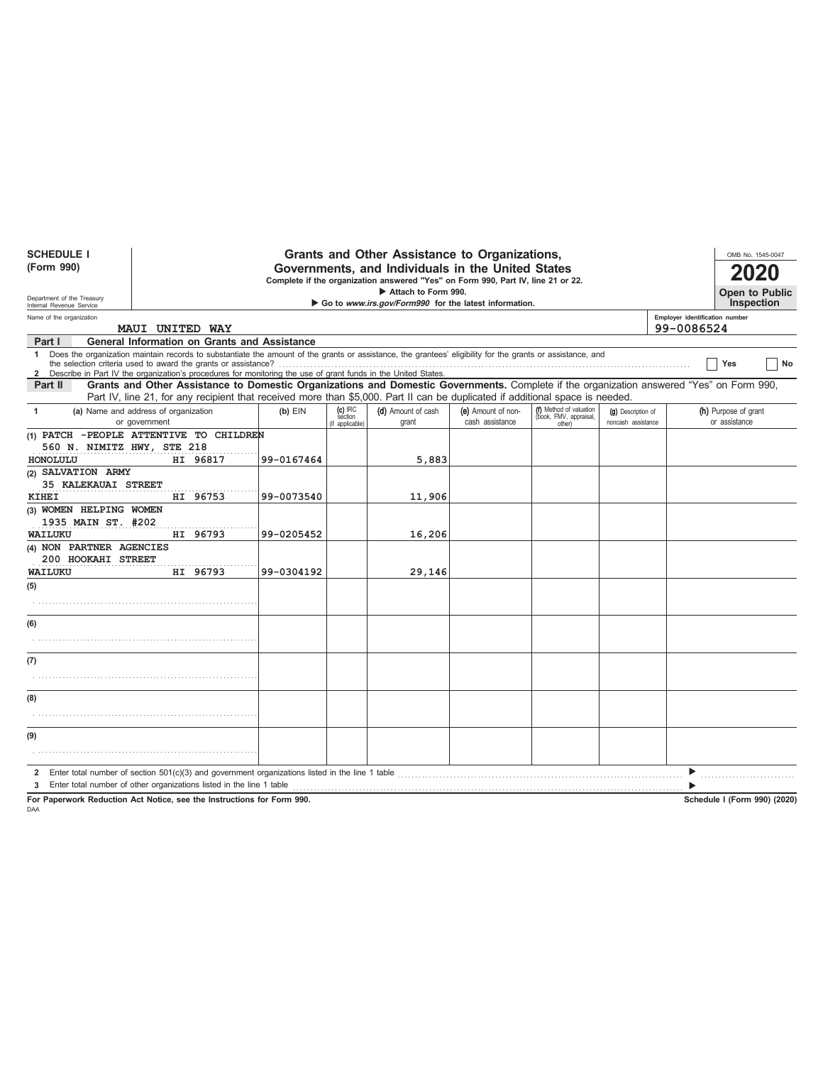| <b>SCHEDULE I</b>                                                                                                       |                                                                                                                                                                                                                                                                                 |            |                                         | Grants and Other Assistance to Organizations, |                                       |                                                             |                                          |  | OMB No. 1545-0047                     |  |
|-------------------------------------------------------------------------------------------------------------------------|---------------------------------------------------------------------------------------------------------------------------------------------------------------------------------------------------------------------------------------------------------------------------------|------------|-----------------------------------------|-----------------------------------------------|---------------------------------------|-------------------------------------------------------------|------------------------------------------|--|---------------------------------------|--|
| (Form 990)                                                                                                              | Governments, and Individuals in the United States<br>Complete if the organization answered "Yes" on Form 990, Part IV, line 21 or 22.                                                                                                                                           |            |                                         |                                               |                                       |                                                             |                                          |  |                                       |  |
| Department of the Treasury                                                                                              | Attach to Form 990.<br>Go to www.irs.gov/Form990 for the latest information.                                                                                                                                                                                                    |            |                                         |                                               |                                       |                                                             |                                          |  |                                       |  |
| Internal Revenue Service<br>Employer identification number<br>Name of the organization<br>99-0086524<br>MAUI UNITED WAY |                                                                                                                                                                                                                                                                                 |            |                                         |                                               |                                       |                                                             |                                          |  |                                       |  |
| Part I                                                                                                                  | <b>General Information on Grants and Assistance</b>                                                                                                                                                                                                                             |            |                                         |                                               |                                       |                                                             |                                          |  |                                       |  |
|                                                                                                                         | 1 Does the organization maintain records to substantiate the amount of the grants or assistance, the grantees' eligibility for the grants or assistance, and<br>2 Describe in Part IV the organization's procedures for monitoring the use of grant funds in the United States. |            |                                         |                                               |                                       |                                                             |                                          |  | Yes<br>No                             |  |
| Part II                                                                                                                 | Grants and Other Assistance to Domestic Organizations and Domestic Governments. Complete if the organization answered "Yes" on Form 990,<br>Part IV, line 21, for any recipient that received more than \$5,000. Part II can be duplicated if additional space is needed.       |            |                                         |                                               |                                       |                                                             |                                          |  |                                       |  |
| $\mathbf{1}$                                                                                                            | (a) Name and address of organization<br>or government                                                                                                                                                                                                                           | $(b)$ EIN  | $(c)$ IRC<br>section<br>(if applicable) | (d) Amount of cash<br>grant                   | (e) Amount of non-<br>cash assistance | (f) Method of valuation<br>(book, FMV, appraisal,<br>other) | (g) Description of<br>noncash assistance |  | (h) Purpose of grant<br>or assistance |  |
| 560 N. NIMITZ HWY, STE 218<br>HONOLULU                                                                                  | (1) PATCH - PEOPLE ATTENTIVE TO CHILDREN<br>HI 96817                                                                                                                                                                                                                            | 99-0167464 |                                         | 5,883                                         |                                       |                                                             |                                          |  |                                       |  |
| (2) SALVATION ARMY<br><b>35 KALEKAUAI STREET</b><br><b>KIHEI</b>                                                        | HI 96753                                                                                                                                                                                                                                                                        | 99-0073540 |                                         | 11,906                                        |                                       |                                                             |                                          |  |                                       |  |
| (3) WOMEN HELPING WOMEN<br>1935 MAIN ST. #202                                                                           |                                                                                                                                                                                                                                                                                 |            |                                         |                                               |                                       |                                                             |                                          |  |                                       |  |
| WAILUKU                                                                                                                 | HI 96793                                                                                                                                                                                                                                                                        | 99-0205452 |                                         | 16,206                                        |                                       |                                                             |                                          |  |                                       |  |
| (4) NON PARTNER AGENCIES<br>200 HOOKAHI STREET                                                                          |                                                                                                                                                                                                                                                                                 |            |                                         |                                               |                                       |                                                             |                                          |  |                                       |  |
| WAILUKU                                                                                                                 | HI 96793                                                                                                                                                                                                                                                                        | 99-0304192 |                                         | 29,146                                        |                                       |                                                             |                                          |  |                                       |  |
| (5)                                                                                                                     |                                                                                                                                                                                                                                                                                 |            |                                         |                                               |                                       |                                                             |                                          |  |                                       |  |
| (6)                                                                                                                     |                                                                                                                                                                                                                                                                                 |            |                                         |                                               |                                       |                                                             |                                          |  |                                       |  |
| (7)                                                                                                                     |                                                                                                                                                                                                                                                                                 |            |                                         |                                               |                                       |                                                             |                                          |  |                                       |  |
|                                                                                                                         |                                                                                                                                                                                                                                                                                 |            |                                         |                                               |                                       |                                                             |                                          |  |                                       |  |
| (8)                                                                                                                     |                                                                                                                                                                                                                                                                                 |            |                                         |                                               |                                       |                                                             |                                          |  |                                       |  |
|                                                                                                                         |                                                                                                                                                                                                                                                                                 |            |                                         |                                               |                                       |                                                             |                                          |  |                                       |  |
| (9)                                                                                                                     |                                                                                                                                                                                                                                                                                 |            |                                         |                                               |                                       |                                                             |                                          |  |                                       |  |
|                                                                                                                         | 2 Enter total number of section $501(c)(3)$ and government organizations listed in the line 1 table                                                                                                                                                                             |            |                                         |                                               |                                       |                                                             |                                          |  |                                       |  |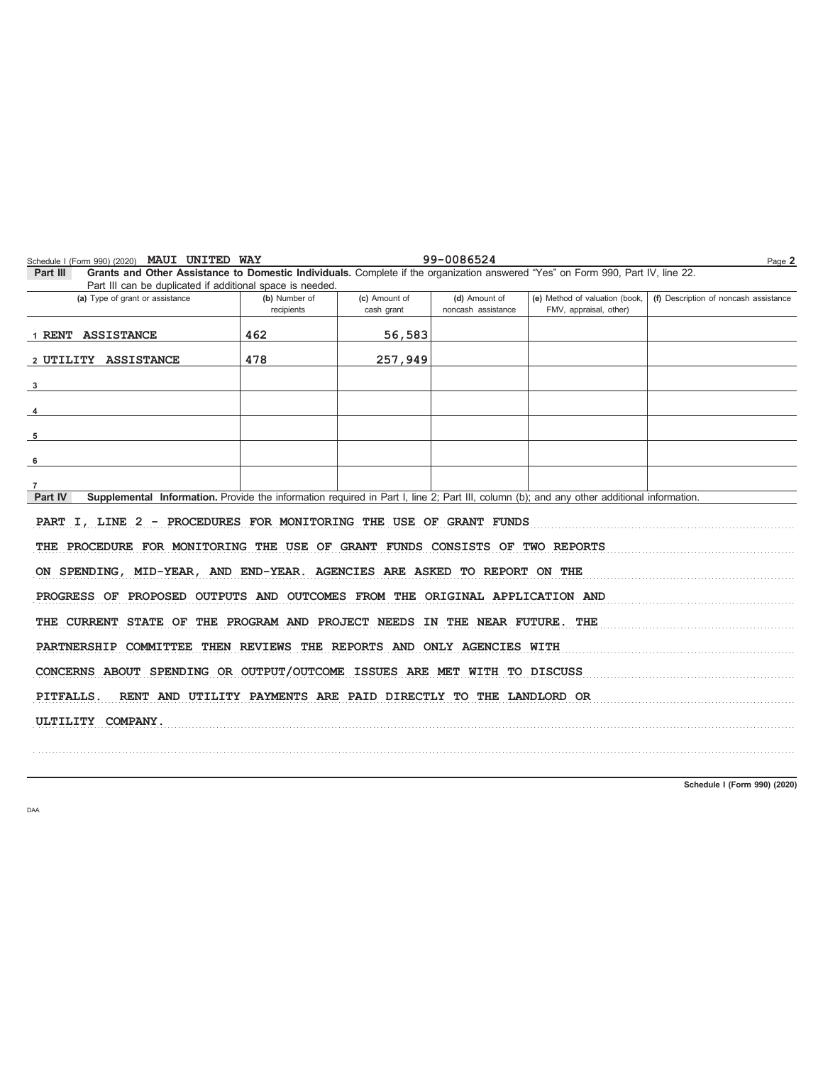|                                                                          |                                                                                                           |                                     |                                                          | Page 2                                                                                                                                                                                                                                                                                                                                                                                                                                                                                                                                                                                                                                                                                                                                      |  |  |  |  |  |
|--------------------------------------------------------------------------|-----------------------------------------------------------------------------------------------------------|-------------------------------------|----------------------------------------------------------|---------------------------------------------------------------------------------------------------------------------------------------------------------------------------------------------------------------------------------------------------------------------------------------------------------------------------------------------------------------------------------------------------------------------------------------------------------------------------------------------------------------------------------------------------------------------------------------------------------------------------------------------------------------------------------------------------------------------------------------------|--|--|--|--|--|
|                                                                          |                                                                                                           |                                     |                                                          |                                                                                                                                                                                                                                                                                                                                                                                                                                                                                                                                                                                                                                                                                                                                             |  |  |  |  |  |
| (b) Number of<br>recipients                                              | (c) Amount of<br>cash grant                                                                               | (d) Amount of<br>noncash assistance | (e) Method of valuation (book,<br>FMV, appraisal, other) | (f) Description of noncash assistance                                                                                                                                                                                                                                                                                                                                                                                                                                                                                                                                                                                                                                                                                                       |  |  |  |  |  |
| 462                                                                      | 56,583                                                                                                    |                                     |                                                          |                                                                                                                                                                                                                                                                                                                                                                                                                                                                                                                                                                                                                                                                                                                                             |  |  |  |  |  |
| 478                                                                      | 257,949                                                                                                   |                                     |                                                          |                                                                                                                                                                                                                                                                                                                                                                                                                                                                                                                                                                                                                                                                                                                                             |  |  |  |  |  |
|                                                                          |                                                                                                           |                                     |                                                          |                                                                                                                                                                                                                                                                                                                                                                                                                                                                                                                                                                                                                                                                                                                                             |  |  |  |  |  |
|                                                                          |                                                                                                           |                                     |                                                          |                                                                                                                                                                                                                                                                                                                                                                                                                                                                                                                                                                                                                                                                                                                                             |  |  |  |  |  |
|                                                                          |                                                                                                           |                                     |                                                          |                                                                                                                                                                                                                                                                                                                                                                                                                                                                                                                                                                                                                                                                                                                                             |  |  |  |  |  |
|                                                                          |                                                                                                           |                                     |                                                          |                                                                                                                                                                                                                                                                                                                                                                                                                                                                                                                                                                                                                                                                                                                                             |  |  |  |  |  |
|                                                                          |                                                                                                           |                                     |                                                          |                                                                                                                                                                                                                                                                                                                                                                                                                                                                                                                                                                                                                                                                                                                                             |  |  |  |  |  |
|                                                                          |                                                                                                           |                                     |                                                          |                                                                                                                                                                                                                                                                                                                                                                                                                                                                                                                                                                                                                                                                                                                                             |  |  |  |  |  |
|                                                                          |                                                                                                           |                                     |                                                          |                                                                                                                                                                                                                                                                                                                                                                                                                                                                                                                                                                                                                                                                                                                                             |  |  |  |  |  |
|                                                                          |                                                                                                           |                                     |                                                          |                                                                                                                                                                                                                                                                                                                                                                                                                                                                                                                                                                                                                                                                                                                                             |  |  |  |  |  |
|                                                                          |                                                                                                           |                                     |                                                          |                                                                                                                                                                                                                                                                                                                                                                                                                                                                                                                                                                                                                                                                                                                                             |  |  |  |  |  |
|                                                                          |                                                                                                           |                                     |                                                          |                                                                                                                                                                                                                                                                                                                                                                                                                                                                                                                                                                                                                                                                                                                                             |  |  |  |  |  |
|                                                                          |                                                                                                           |                                     |                                                          |                                                                                                                                                                                                                                                                                                                                                                                                                                                                                                                                                                                                                                                                                                                                             |  |  |  |  |  |
| PARTNERSHIP COMMITTEE THEN REVIEWS THE REPORTS AND ONLY AGENCIES WITH    |                                                                                                           |                                     |                                                          |                                                                                                                                                                                                                                                                                                                                                                                                                                                                                                                                                                                                                                                                                                                                             |  |  |  |  |  |
| CONCERNS ABOUT SPENDING OR OUTPUT/OUTCOME ISSUES ARE MET WITH TO DISCUSS |                                                                                                           |                                     |                                                          |                                                                                                                                                                                                                                                                                                                                                                                                                                                                                                                                                                                                                                                                                                                                             |  |  |  |  |  |
| PITFALLS.                                                                |                                                                                                           |                                     |                                                          |                                                                                                                                                                                                                                                                                                                                                                                                                                                                                                                                                                                                                                                                                                                                             |  |  |  |  |  |
|                                                                          |                                                                                                           |                                     |                                                          |                                                                                                                                                                                                                                                                                                                                                                                                                                                                                                                                                                                                                                                                                                                                             |  |  |  |  |  |
|                                                                          |                                                                                                           |                                     |                                                          |                                                                                                                                                                                                                                                                                                                                                                                                                                                                                                                                                                                                                                                                                                                                             |  |  |  |  |  |
|                                                                          |                                                                                                           |                                     |                                                          |                                                                                                                                                                                                                                                                                                                                                                                                                                                                                                                                                                                                                                                                                                                                             |  |  |  |  |  |
|                                                                          | Schedule I (Form 990) (2020) MAUI UNITED WAY<br>Part III can be duplicated if additional space is needed. |                                     | 99-0086524                                               | Grants and Other Assistance to Domestic Individuals. Complete if the organization answered "Yes" on Form 990, Part IV, line 22.<br>Supplemental Information. Provide the information required in Part I, line 2; Part III, column (b); and any other additional information.<br>PART I, LINE 2 - PROCEDURES FOR MONITORING THE USE OF GRANT FUNDS<br>THE PROCEDURE FOR MONITORING THE USE OF GRANT FUNDS CONSISTS OF TWO REPORTS<br>ON SPENDING, MID-YEAR, AND END-YEAR. AGENCIES ARE ASKED TO REPORT ON THE<br>PROGRESS OF PROPOSED OUTPUTS AND OUTCOMES FROM THE ORIGINAL APPLICATION AND<br>THE CURRENT STATE OF THE PROGRAM AND PROJECT NEEDS IN THE NEAR FUTURE. THE<br>RENT AND UTILITY PAYMENTS ARE PAID DIRECTLY TO THE LANDLORD OR |  |  |  |  |  |

**Schedule I (Form 990) (2020)**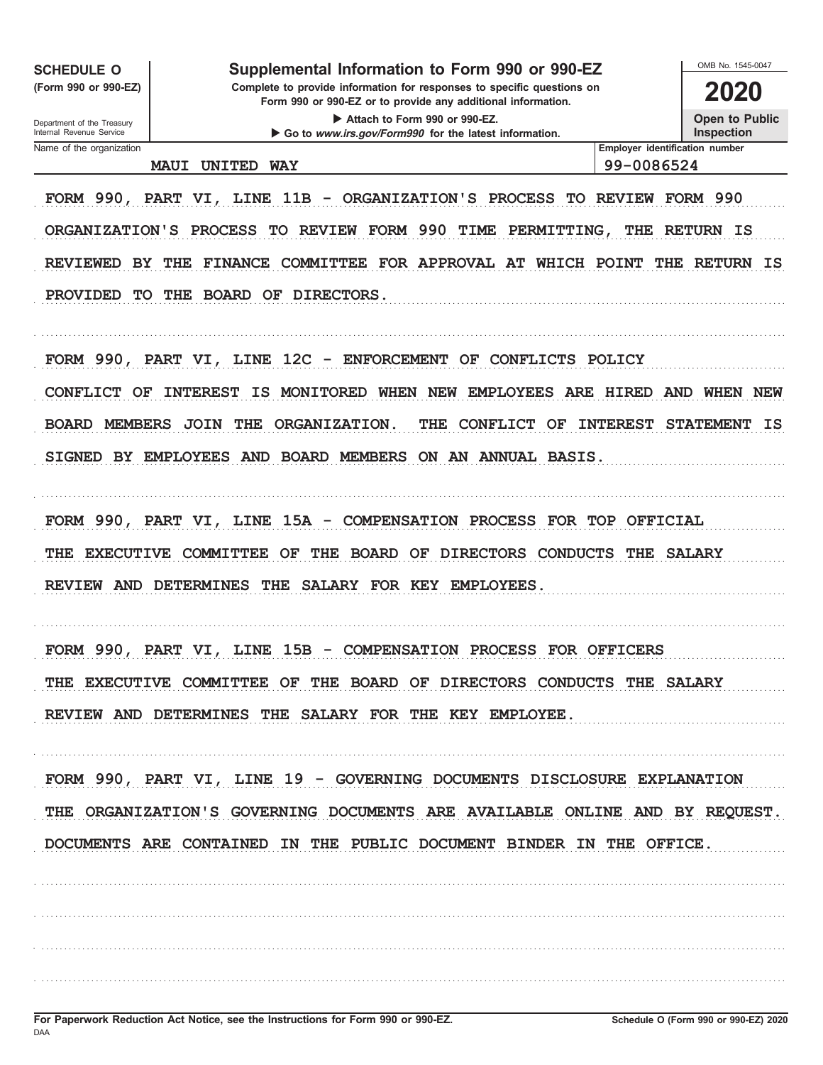**SCHEDULE O** 

(Form 990 or 990-EZ)

### Supplemental Information to Form 990 or 990-EZ

Complete to provide information for responses to specific questions on Form 990 or 990-EZ or to provide any additional information. Attach to Form 990 or 990-EZ.

Go to www.irs.gov/Form990 for the latest information.

2020

OMB No 1545-0047

Open to Public

Inspection

Department of the Treasury Internal Revenue Service Name of the organization

#### MAUI UNITED WAY

99-0086524

Employer identification number

FORM 990, PART VI, LINE 11B - ORGANIZATION'S PROCESS TO REVIEW FORM 990 ORGANIZATION'S PROCESS TO REVIEW FORM 990 TIME PERMITTING, THE RETURN IS REVIEWED BY THE FINANCE COMMITTEE FOR APPROVAL AT WHICH POINT THE RETURN IS PROVIDED TO THE BOARD OF DIRECTORS.

FORM 990, PART VI, LINE 12C - ENFORCEMENT OF CONFLICTS POLICY CONFLICT OF INTEREST IS MONITORED WHEN NEW EMPLOYEES ARE HIRED AND WHEN NEW BOARD MEMBERS JOIN THE ORGANIZATION. THE CONFLICT OF INTEREST STATEMENT IS SIGNED BY EMPLOYEES AND BOARD MEMBERS ON AN ANNUAL BASIS.

FORM 990, PART VI, LINE 15A - COMPENSATION PROCESS FOR TOP OFFICIAL THE EXECUTIVE COMMITTEE OF THE BOARD OF DIRECTORS CONDUCTS THE SALARY REVIEW AND DETERMINES THE SALARY FOR KEY EMPLOYEES.

FORM 990, PART VI, LINE 15B - COMPENSATION PROCESS FOR OFFICERS THE EXECUTIVE COMMITTEE OF THE BOARD OF DIRECTORS CONDUCTS THE SALARY REVIEW AND DETERMINES THE SALARY FOR THE KEY EMPLOYEE.

FORM 990, PART VI, LINE 19 - GOVERNING DOCUMENTS DISCLOSURE EXPLANATION THE ORGANIZATION'S GOVERNING DOCUMENTS ARE AVAILABLE ONLINE AND BY REQUEST. DOCUMENTS ARE CONTAINED IN THE PUBLIC DOCUMENT BINDER IN THE OFFICE.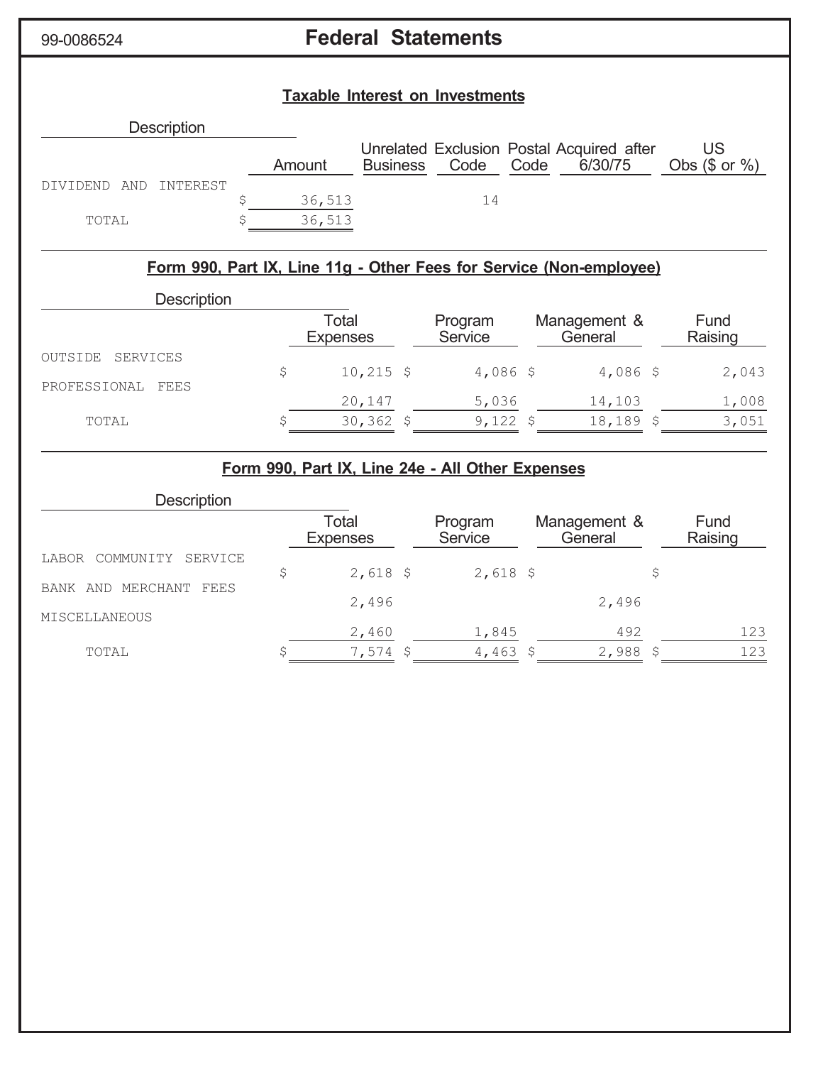# 99-0086524 **Federal Statements**

### **Taxable Interest on Investments**

| <b>Description</b>       |        |                 |      |      |                                                      |                          |
|--------------------------|--------|-----------------|------|------|------------------------------------------------------|--------------------------|
|                          | Amount | <b>Business</b> | Code | Code | Unrelated Exclusion Postal Acquired after<br>6/30/75 | US<br>Obs $(\$$ or $%$ ) |
| TNTEREST<br>DIVIDEND AND |        |                 |      |      |                                                      |                          |
|                          | 36,513 |                 | 14   |      |                                                      |                          |
| TOTAL                    | 36,513 |                 |      |      |                                                      |                          |

### **Form 990, Part IX, Line 11g - Other Fees for Service (Non-employee)**

| <b>Description</b>   |                          |                    |                         |                 |
|----------------------|--------------------------|--------------------|-------------------------|-----------------|
|                      | Total<br><b>Expenses</b> | Program<br>Service | Management &<br>General | Fund<br>Raising |
| SERVICES<br>OUTSIDE  | $10,215$ \$              | $4,086$ \$         | $4,086$ \$              | 2,043           |
| PROFESSIONAL<br>FEES | 20,147                   | 5,036              | 14,103                  | 1,008           |
| TOTAL                | $30,362$ \$              | 9,122              | $18, 189$ \$            | 3,051           |

### **Form 990, Part IX, Line 24e - All Other Expenses**

| <b>Description</b>            |                          |                    |                         |                 |
|-------------------------------|--------------------------|--------------------|-------------------------|-----------------|
|                               | Total<br><b>Expenses</b> | Program<br>Service | Management &<br>General | Fund<br>Raising |
| COMMUNITY<br>SERVICE<br>LABOR |                          |                    |                         |                 |
|                               | $2,618$ \$               | $2,618$ \$         |                         |                 |
| AND MERCHANT FEES<br>BANK     | 2,496                    |                    | 2,496                   |                 |
| MISCELLANEOUS                 |                          |                    |                         |                 |
|                               | 2,460                    | 1,845              | 492                     | 123             |
| TOTAL                         | $7,574$ \$               | 4,463 \$           | 2,988                   | 123             |